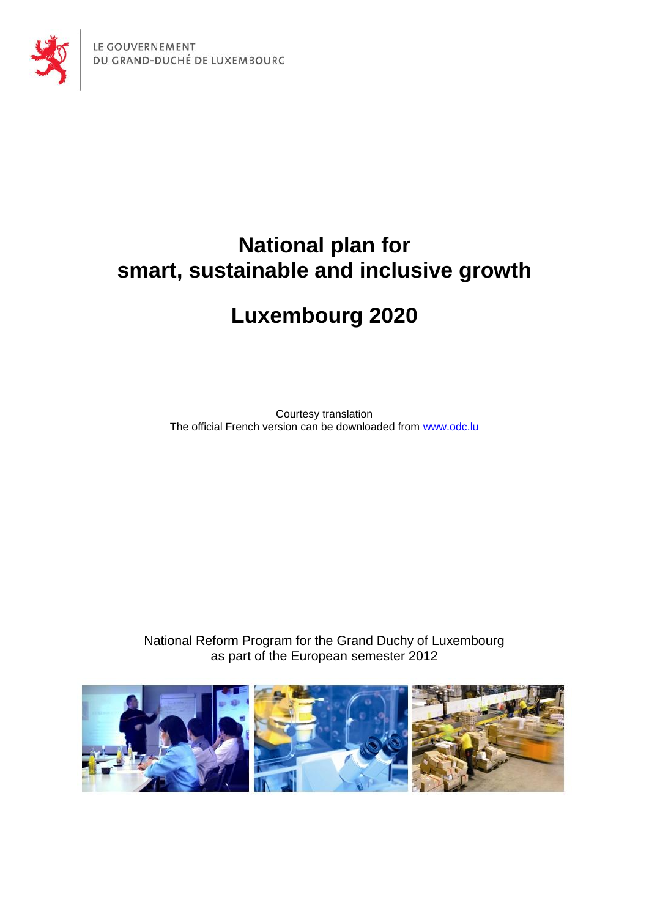



# **National plan for smart, sustainable and inclusive growth**

# **Luxembourg 2020**

Courtesy translation The official French version can be downloaded from [www.odc.lu](http://www.odc.lu/)

National Reform Program for the Grand Duchy of Luxembourg as part of the European semester 2012

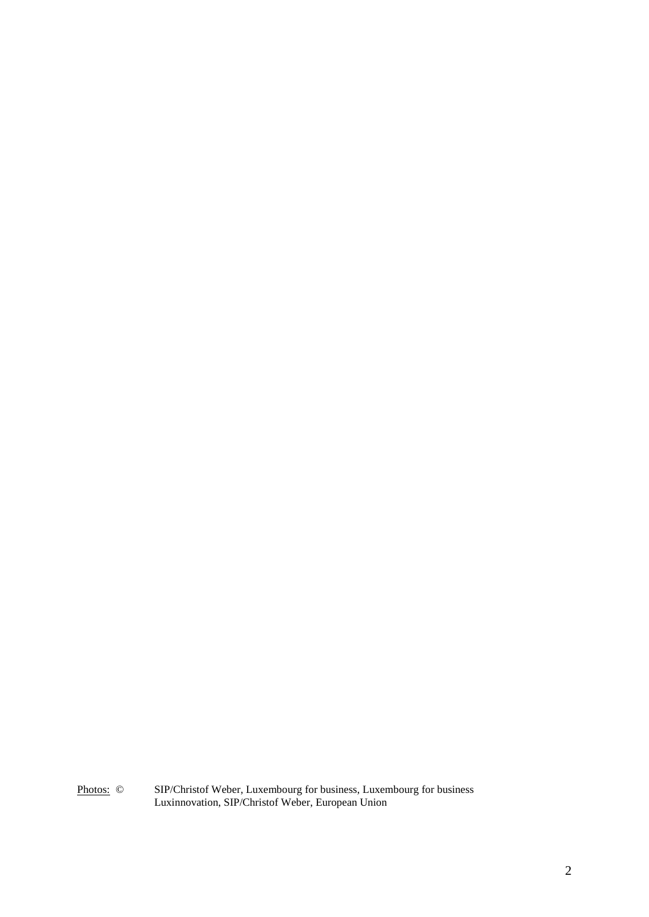Photos: © SIP/Christof Weber, Luxembourg for business, Luxembourg for business Luxinnovation, SIP/Christof Weber, European Union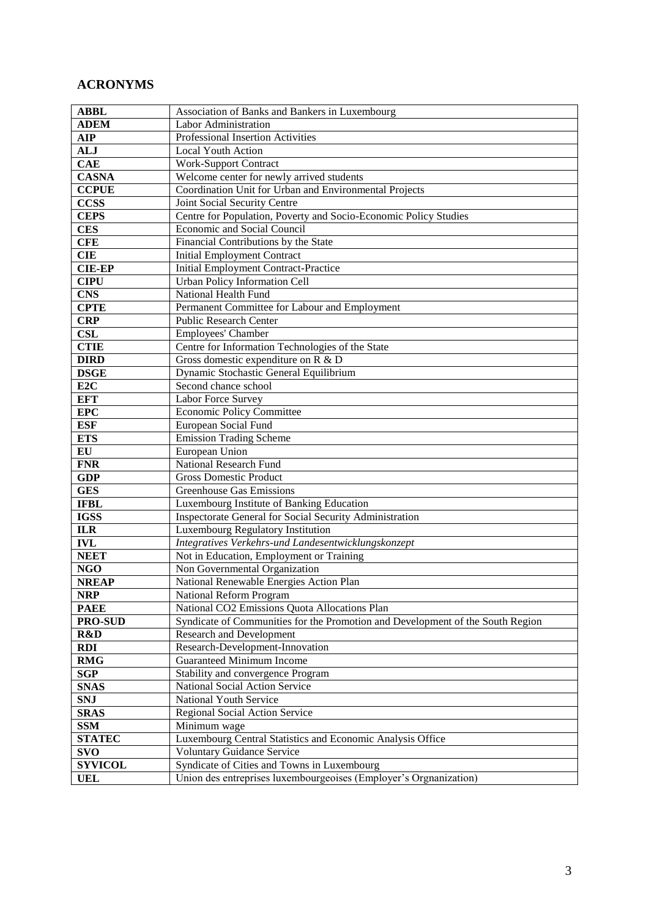## **ACRONYMS**

| <b>ABBL</b>     | Association of Banks and Bankers in Luxembourg                                 |
|-----------------|--------------------------------------------------------------------------------|
| <b>ADEM</b>     | Labor Administration                                                           |
| <b>AIP</b>      | Professional Insertion Activities                                              |
| <b>ALJ</b>      | <b>Local Youth Action</b>                                                      |
| <b>CAE</b>      | <b>Work-Support Contract</b>                                                   |
| <b>CASNA</b>    | Welcome center for newly arrived students                                      |
| <b>CCPUE</b>    | Coordination Unit for Urban and Environmental Projects                         |
| <b>CCSS</b>     | Joint Social Security Centre                                                   |
| <b>CEPS</b>     | Centre for Population, Poverty and Socio-Economic Policy Studies               |
| <b>CES</b>      | Economic and Social Council                                                    |
| <b>CFE</b>      | Financial Contributions by the State                                           |
| <b>CIE</b>      | <b>Initial Employment Contract</b>                                             |
| <b>CIE-EP</b>   | <b>Initial Employment Contract-Practice</b>                                    |
| <b>CIPU</b>     | Urban Policy Information Cell                                                  |
| <b>CNS</b>      | National Health Fund                                                           |
| <b>CPTE</b>     | Permanent Committee for Labour and Employment                                  |
| <b>CRP</b>      | <b>Public Research Center</b>                                                  |
| <b>CSL</b>      | Employees' Chamber                                                             |
| <b>CTIE</b>     | Centre for Information Technologies of the State                               |
| <b>DIRD</b>     | Gross domestic expenditure on R & D                                            |
| <b>DSGE</b>     | Dynamic Stochastic General Equilibrium                                         |
| E <sub>2C</sub> | Second chance school                                                           |
| <b>EFT</b>      | Labor Force Survey                                                             |
| <b>EPC</b>      | <b>Economic Policy Committee</b>                                               |
| <b>ESF</b>      | European Social Fund                                                           |
| <b>ETS</b>      | <b>Emission Trading Scheme</b>                                                 |
| EU              | European Union                                                                 |
| <b>FNR</b>      | <b>National Research Fund</b>                                                  |
| <b>GDP</b>      | <b>Gross Domestic Product</b>                                                  |
| <b>GES</b>      | <b>Greenhouse Gas Emissions</b>                                                |
| <b>IFBL</b>     | Luxembourg Institute of Banking Education                                      |
| <b>IGSS</b>     | Inspectorate General for Social Security Administration                        |
| <b>ILR</b>      | Luxembourg Regulatory Institution                                              |
| <b>IVL</b>      | Integratives Verkehrs-und Landesentwicklungskonzept                            |
| <b>NEET</b>     | Not in Education, Employment or Training                                       |
| <b>NGO</b>      | Non Governmental Organization                                                  |
| <b>NREAP</b>    | National Renewable Energies Action Plan                                        |
| <b>NRP</b>      | National Reform Program                                                        |
| <b>PAEE</b>     | National CO2 Emissions Quota Allocations Plan                                  |
| <b>PRO-SUD</b>  | Syndicate of Communities for the Promotion and Development of the South Region |
| R&D             | <b>Research and Development</b>                                                |
| <b>RDI</b>      | Research-Development-Innovation                                                |
| <b>RMG</b>      | <b>Guaranteed Minimum Income</b>                                               |
| <b>SGP</b>      | Stability and convergence Program                                              |
| <b>SNAS</b>     | National Social Action Service                                                 |
| <b>SNJ</b>      | National Youth Service                                                         |
| <b>SRAS</b>     | Regional Social Action Service                                                 |
| <b>SSM</b>      | Minimum wage                                                                   |
| <b>STATEC</b>   | Luxembourg Central Statistics and Economic Analysis Office                     |
| <b>SVO</b>      | <b>Voluntary Guidance Service</b>                                              |
| <b>SYVICOL</b>  | Syndicate of Cities and Towns in Luxembourg                                    |
| <b>UEL</b>      | Union des entreprises luxembourgeoises (Employer's Orgnanization)              |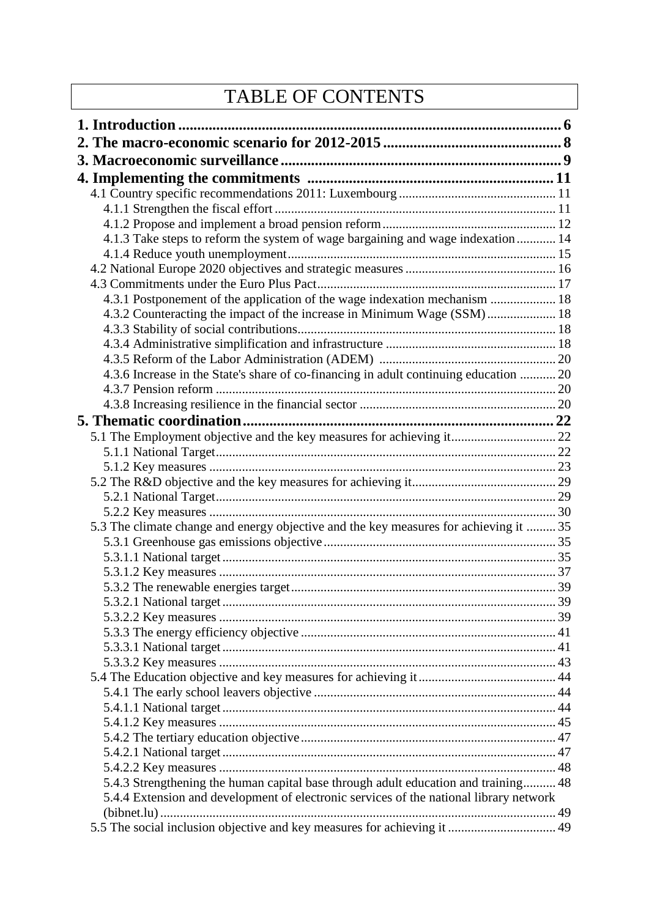# TABLE OF CONTENTS

| 4.1.3 Take steps to reform the system of wage bargaining and wage indexation  14       |  |
|----------------------------------------------------------------------------------------|--|
|                                                                                        |  |
|                                                                                        |  |
|                                                                                        |  |
| 4.3.1 Postponement of the application of the wage indexation mechanism  18             |  |
| 4.3.2 Counteracting the impact of the increase in Minimum Wage (SSM) 18                |  |
|                                                                                        |  |
|                                                                                        |  |
|                                                                                        |  |
| 4.3.6 Increase in the State's share of co-financing in adult continuing education  20  |  |
|                                                                                        |  |
|                                                                                        |  |
|                                                                                        |  |
| 5.1 The Employment objective and the key measures for achieving it 22                  |  |
|                                                                                        |  |
|                                                                                        |  |
|                                                                                        |  |
|                                                                                        |  |
|                                                                                        |  |
| 5.3 The climate change and energy objective and the key measures for achieving it  35  |  |
|                                                                                        |  |
|                                                                                        |  |
|                                                                                        |  |
|                                                                                        |  |
| . 39                                                                                   |  |
|                                                                                        |  |
|                                                                                        |  |
|                                                                                        |  |
|                                                                                        |  |
|                                                                                        |  |
|                                                                                        |  |
|                                                                                        |  |
|                                                                                        |  |
|                                                                                        |  |
|                                                                                        |  |
| 5.4.3 Strengthening the human capital base through adult education and training 48     |  |
| 5.4.4 Extension and development of electronic services of the national library network |  |
|                                                                                        |  |
| 5.5 The social inclusion objective and key measures for achieving it  49               |  |
|                                                                                        |  |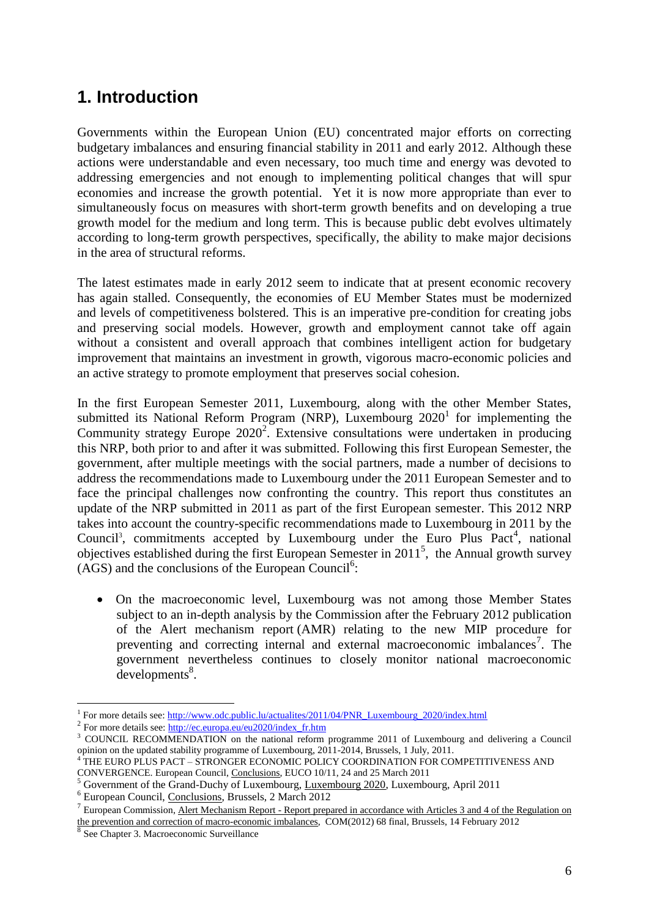# <span id="page-5-0"></span>**1. Introduction**

Governments within the European Union (EU) concentrated major efforts on correcting budgetary imbalances and ensuring financial stability in 2011 and early 2012. Although these actions were understandable and even necessary, too much time and energy was devoted to addressing emergencies and not enough to implementing political changes that will spur economies and increase the growth potential. Yet it is now more appropriate than ever to simultaneously focus on measures with short-term growth benefits and on developing a true growth model for the medium and long term. This is because public debt evolves ultimately according to long-term growth perspectives, specifically, the ability to make major decisions in the area of structural reforms.

The latest estimates made in early 2012 seem to indicate that at present economic recovery has again stalled. Consequently, the economies of EU Member States must be modernized and levels of competitiveness bolstered. This is an imperative pre-condition for creating jobs and preserving social models. However, growth and employment cannot take off again without a consistent and overall approach that combines intelligent action for budgetary improvement that maintains an investment in growth, vigorous macro-economic policies and an active strategy to promote employment that preserves social cohesion.

In the first European Semester 2011, Luxembourg, along with the other Member States, submitted its National Reform Program (NRP), Luxembourg  $2020<sup>1</sup>$  for implementing the Community strategy Europe  $2020^2$ . Extensive consultations were undertaken in producing this NRP, both prior to and after it was submitted. Following this first European Semester, the government, after multiple meetings with the social partners, made a number of decisions to address the recommendations made to Luxembourg under the 2011 European Semester and to face the principal challenges now confronting the country. This report thus constitutes an update of the NRP submitted in 2011 as part of the first European semester. This 2012 NRP takes into account the country-specific recommendations made to Luxembourg in 2011 by the Council<sup>3</sup>, commitments accepted by Luxembourg under the Euro Plus Pact<sup>4</sup>, national objectives established during the first European Semester in 2011<sup>5</sup>, the Annual growth survey  $(AGS)$  and the conclusions of the European Council<sup>6</sup>:

 On the macroeconomic level, Luxembourg was not among those Member States subject to an in-depth analysis by the Commission after the February 2012 publication of the Alert mechanism report (AMR) relating to the new MIP procedure for preventing and correcting internal and external macroeconomic imbalances<sup>7</sup>. The government nevertheless continues to closely monitor national macroeconomic  $developments<sup>8</sup>$ .

 $\overline{a}$ 

<sup>&</sup>lt;sup>1</sup> For more details see[: http://www.odc.public.lu/actualites/2011/04/PNR\\_Luxembourg\\_2020/index.html](http://www.odc.public.lu/actualites/2011/04/PNR_Luxembourg_2020/index.html)

<sup>&</sup>lt;sup>2</sup> For more details see: [http://ec.europa.eu/eu2020/index\\_fr.htm](http://ec.europa.eu/eu2020/index_fr.htm)

<sup>&</sup>lt;sup>3</sup> COUNCIL RECOMMENDATION on the national reform programme 2011 of Luxembourg and delivering a Council opinion on the updated stability programme of Luxembourg, 2011-2014, Brussels, 1 July, 2011.

THE EURO PLUS PACT – STRONGER ECONOMIC POLICY COORDINATION FOR COMPETITIVENESS AND CONVERGENCE. European Council, Conclusions, EUCO 10/11, 24 and 25 March 2011

<sup>&</sup>lt;sup>5</sup> Government of the Grand-Duchy of Luxembourg, Luxembourg 2020, Luxembourg, April 2011

<sup>6</sup> European Council, Conclusions, Brussels, 2 March 2012

<sup>&</sup>lt;sup>7</sup> European Commission, <u>Alert Mechanism Report - Report prepared in accordance with Articles 3 and 4 of the Regulation on</u> the prevention and correction of macro-economic imbalances, COM(2012) 68 final, Brussels, 14 February 2012

<sup>8</sup> See Chapter 3. Macroeconomic Surveillance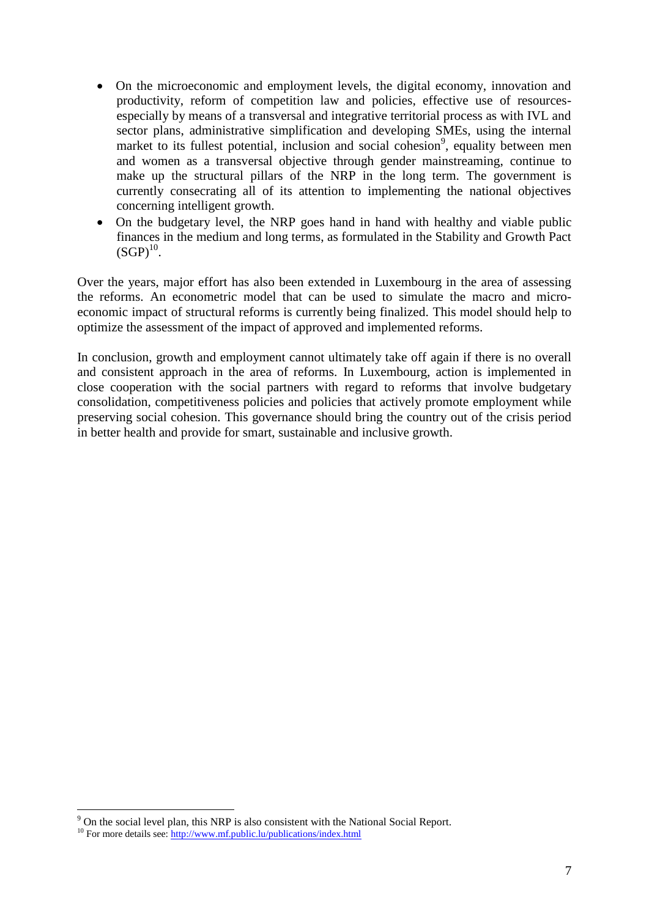- On the microeconomic and employment levels, the digital economy, innovation and productivity, reform of competition law and policies, effective use of resourcesespecially by means of a transversal and integrative territorial process as with IVL and sector plans, administrative simplification and developing SMEs, using the internal market to its fullest potential, inclusion and social cohesion<sup>9</sup>, equality between men and women as a transversal objective through gender mainstreaming, continue to make up the structural pillars of the NRP in the long term. The government is currently consecrating all of its attention to implementing the national objectives concerning intelligent growth.
- On the budgetary level, the NRP goes hand in hand with healthy and viable public finances in the medium and long terms, as formulated in the Stability and Growth Pact  $(SGP)<sup>10</sup>$ .

Over the years, major effort has also been extended in Luxembourg in the area of assessing the reforms. An econometric model that can be used to simulate the macro and microeconomic impact of structural reforms is currently being finalized. This model should help to optimize the assessment of the impact of approved and implemented reforms.

In conclusion, growth and employment cannot ultimately take off again if there is no overall and consistent approach in the area of reforms. In Luxembourg, action is implemented in close cooperation with the social partners with regard to reforms that involve budgetary consolidation, competitiveness policies and policies that actively promote employment while preserving social cohesion. This governance should bring the country out of the crisis period in better health and provide for smart, sustainable and inclusive growth.

 $\overline{a}$ 

 $9^9$  On the social level plan, this NRP is also consistent with the National Social Report.

<sup>&</sup>lt;sup>10</sup> For more details see: <http://www.mf.public.lu/publications/index.html>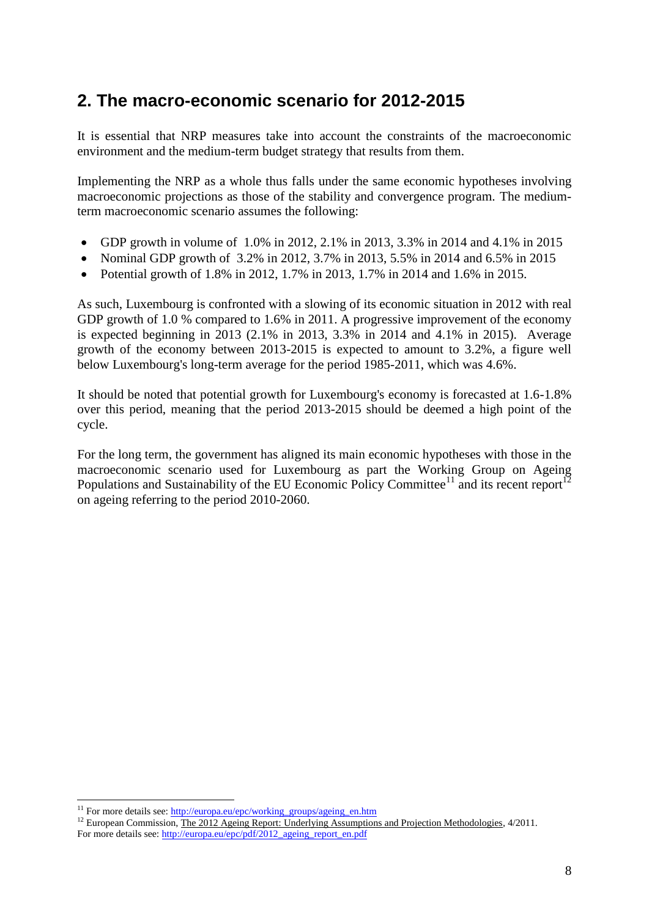# <span id="page-7-0"></span>**2. The macro-economic scenario for 2012-2015**

It is essential that NRP measures take into account the constraints of the macroeconomic environment and the medium-term budget strategy that results from them.

Implementing the NRP as a whole thus falls under the same economic hypotheses involving macroeconomic projections as those of the stability and convergence program. The mediumterm macroeconomic scenario assumes the following:

- GDP growth in volume of 1.0% in 2012, 2.1% in 2013, 3.3% in 2014 and 4.1% in 2015
- Nominal GDP growth of 3.2% in 2012, 3.7% in 2013, 5.5% in 2014 and 6.5% in 2015
- Potential growth of 1.8% in 2012, 1.7% in 2013, 1.7% in 2014 and 1.6% in 2015.

As such, Luxembourg is confronted with a slowing of its economic situation in 2012 with real GDP growth of 1.0 % compared to 1.6% in 2011. A progressive improvement of the economy is expected beginning in 2013 (2.1% in 2013, 3.3% in 2014 and 4.1% in 2015). Average growth of the economy between 2013-2015 is expected to amount to 3.2%, a figure well below Luxembourg's long-term average for the period 1985-2011, which was 4.6%.

It should be noted that potential growth for Luxembourg's economy is forecasted at 1.6-1.8% over this period, meaning that the period 2013-2015 should be deemed a high point of the cycle.

For the long term, the government has aligned its main economic hypotheses with those in the macroeconomic scenario used for Luxembourg as part the Working Group on Ageing Populations and Sustainability of the EU Economic Policy Committee<sup>11</sup> and its recent report<sup>12</sup> on ageing referring to the period 2010-2060.

 $\overline{a}$ <sup>11</sup> For more details see: [http://europa.eu/epc/working\\_groups/ageing\\_en.htm](http://europa.eu/epc/working_groups/ageing_en.htm)

<sup>&</sup>lt;sup>12</sup> European Commission, The 2012 Ageing Report: Underlying Assumptions and Projection Methodologies, 4/2011. For more details see: [http://europa.eu/epc/pdf/2012\\_ageing\\_report\\_en.pdf](http://europa.eu/epc/pdf/2012_ageing_report_en.pdf)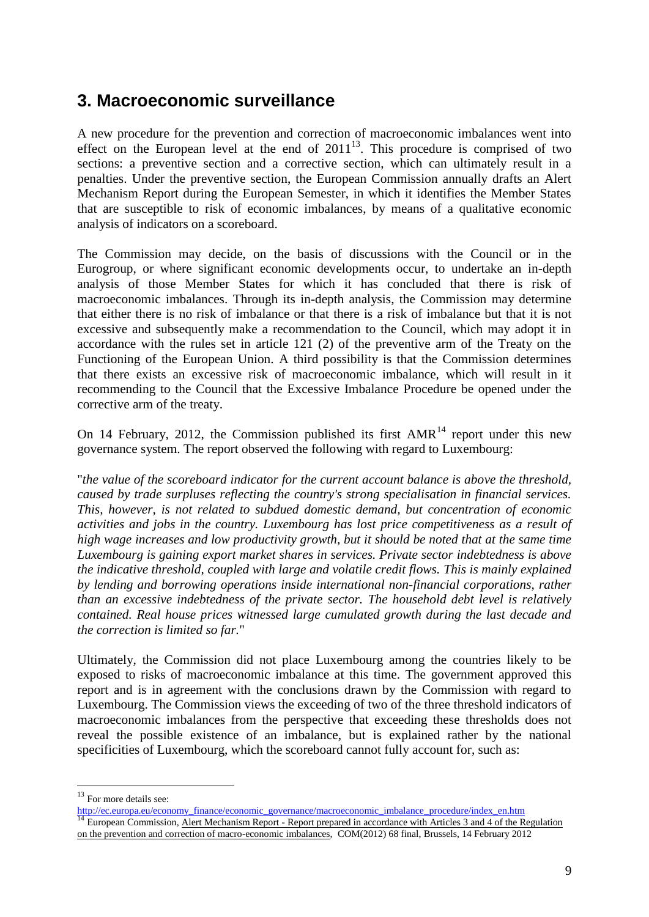# <span id="page-8-0"></span>**3. Macroeconomic surveillance**

A new procedure for the prevention and correction of macroeconomic imbalances went into effect on the European level at the end of  $2011^{13}$ . This procedure is comprised of two sections: a preventive section and a corrective section, which can ultimately result in a penalties. Under the preventive section, the European Commission annually drafts an Alert Mechanism Report during the European Semester, in which it identifies the Member States that are susceptible to risk of economic imbalances, by means of a qualitative economic analysis of indicators on a scoreboard.

The Commission may decide, on the basis of discussions with the Council or in the Eurogroup, or where significant economic developments occur, to undertake an in-depth analysis of those Member States for which it has concluded that there is risk of macroeconomic imbalances. Through its in-depth analysis, the Commission may determine that either there is no risk of imbalance or that there is a risk of imbalance but that it is not excessive and subsequently make a recommendation to the Council, which may adopt it in accordance with the rules set in article 121 (2) of the preventive arm of the Treaty on the Functioning of the European Union. A third possibility is that the Commission determines that there exists an excessive risk of macroeconomic imbalance, which will result in it recommending to the Council that the Excessive Imbalance Procedure be opened under the corrective arm of the treaty.

On 14 February, 2012, the Commission published its first  $AMR<sup>14</sup>$  report under this new governance system. The report observed the following with regard to Luxembourg:

"*the value of the scoreboard indicator for the current account balance is above the threshold, caused by trade surpluses reflecting the country's strong specialisation in financial services. This, however, is not related to subdued domestic demand, but concentration of economic activities and jobs in the country. Luxembourg has lost price competitiveness as a result of high wage increases and low productivity growth, but it should be noted that at the same time Luxembourg is gaining export market shares in services. Private sector indebtedness is above the indicative threshold, coupled with large and volatile credit flows. This is mainly explained by lending and borrowing operations inside international non-financial corporations, rather than an excessive indebtedness of the private sector. The household debt level is relatively contained. Real house prices witnessed large cumulated growth during the last decade and the correction is limited so far.*"

Ultimately, the Commission did not place Luxembourg among the countries likely to be exposed to risks of macroeconomic imbalance at this time. The government approved this report and is in agreement with the conclusions drawn by the Commission with regard to Luxembourg. The Commission views the exceeding of two of the three threshold indicators of macroeconomic imbalances from the perspective that exceeding these thresholds does not reveal the possible existence of an imbalance, but is explained rather by the national specificities of Luxembourg, which the scoreboard cannot fully account for, such as:

 $\overline{a}$ 

 $13$  For more details see:

[http://ec.europa.eu/economy\\_finance/economic\\_governance/macroeconomic\\_imbalance\\_procedure/index\\_en.htm](http://ec.europa.eu/economy_finance/economic_governance/macroeconomic_imbalance_procedure/index_en.htm) <sup>14</sup> European Commission, Alert Mechanism Report - Report prepared in accordance with Articles 3 and 4 of the Regulation on the prevention and correction of macro-economic imbalances, COM(2012) 68 final, Brussels, 14 February 2012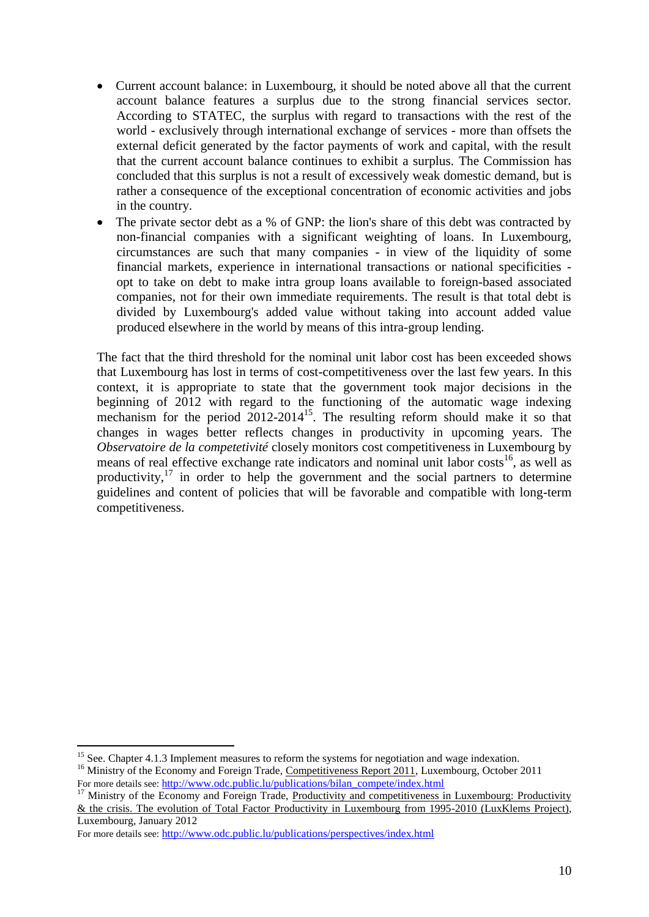- Current account balance: in Luxembourg, it should be noted above all that the current account balance features a surplus due to the strong financial services sector. According to STATEC, the surplus with regard to transactions with the rest of the world - exclusively through international exchange of services - more than offsets the external deficit generated by the factor payments of work and capital, with the result that the current account balance continues to exhibit a surplus. The Commission has concluded that this surplus is not a result of excessively weak domestic demand, but is rather a consequence of the exceptional concentration of economic activities and jobs in the country.
- The private sector debt as a % of GNP: the lion's share of this debt was contracted by non-financial companies with a significant weighting of loans. In Luxembourg, circumstances are such that many companies - in view of the liquidity of some financial markets, experience in international transactions or national specificities opt to take on debt to make intra group loans available to foreign-based associated companies, not for their own immediate requirements. The result is that total debt is divided by Luxembourg's added value without taking into account added value produced elsewhere in the world by means of this intra-group lending.

The fact that the third threshold for the nominal unit labor cost has been exceeded shows that Luxembourg has lost in terms of cost-competitiveness over the last few years. In this context, it is appropriate to state that the government took major decisions in the beginning of 2012 with regard to the functioning of the automatic wage indexing mechanism for the period 2012-2014<sup>15</sup>. The resulting reform should make it so that changes in wages better reflects changes in productivity in upcoming years. The *Observatoire de la competetivité* closely monitors cost competitiveness in Luxembourg by means of real effective exchange rate indicators and nominal unit labor costs<sup>16</sup>, as well as productivity, $17$  in order to help the government and the social partners to determine guidelines and content of policies that will be favorable and compatible with long-term competitiveness.

 $\overline{a}$ 

<sup>&</sup>lt;sup>15</sup> See. Chapter 4.1.3 Implement measures to reform the systems for negotiation and wage indexation.

<sup>&</sup>lt;sup>16</sup> Ministry of the Economy and Foreign Trade, Competitiveness Report 2011, Luxembourg, October 2011 For more details see: [http://www.odc.public.lu/publications/bilan\\_compete/index.html](http://www.odc.public.lu/publications/bilan_compete/index.html)

Ministry of the Economy and Foreign Trade, Productivity and competitiveness in Luxembourg: Productivity & the crisis. The evolution of Total Factor Productivity in Luxembourg from 1995-2010 (LuxKlems Project), Luxembourg, January 2012

For more details see: <http://www.odc.public.lu/publications/perspectives/index.html>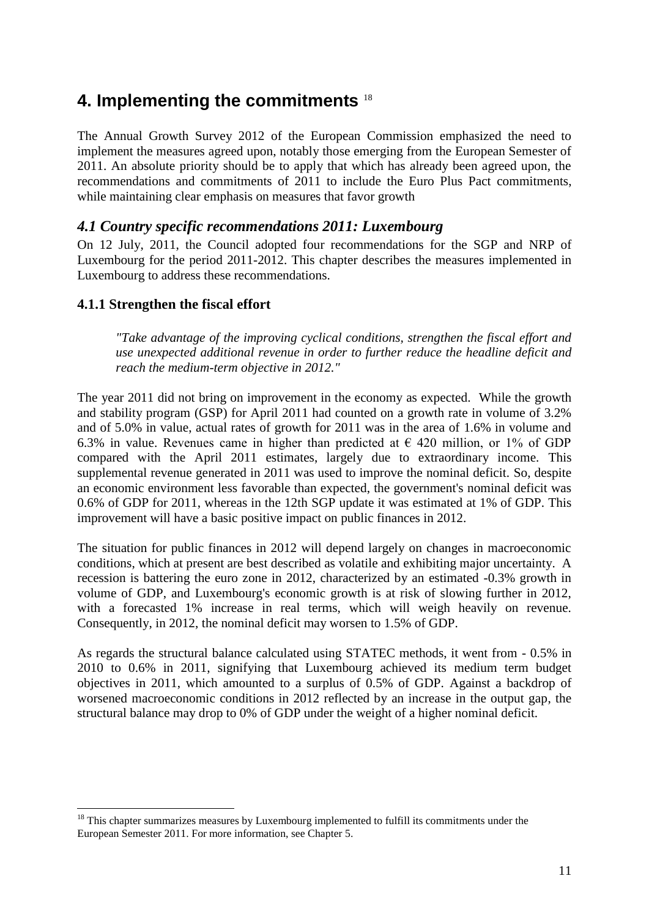# <span id="page-10-0"></span>**4. Implementing the commitments** <sup>18</sup>

The Annual Growth Survey 2012 of the European Commission emphasized the need to implement the measures agreed upon, notably those emerging from the European Semester of 2011. An absolute priority should be to apply that which has already been agreed upon, the recommendations and commitments of 2011 to include the Euro Plus Pact commitments, while maintaining clear emphasis on measures that favor growth

#### <span id="page-10-1"></span>*4.1 Country specific recommendations 2011: Luxembourg*

On 12 July, 2011, the Council adopted four recommendations for the SGP and NRP of Luxembourg for the period 2011-2012. This chapter describes the measures implemented in Luxembourg to address these recommendations.

#### <span id="page-10-2"></span>**4.1.1 Strengthen the fiscal effort**

 $\overline{a}$ 

*"Take advantage of the improving cyclical conditions, strengthen the fiscal effort and use unexpected additional revenue in order to further reduce the headline deficit and reach the medium-term objective in 2012."*

The year 2011 did not bring on improvement in the economy as expected. While the growth and stability program (GSP) for April 2011 had counted on a growth rate in volume of 3.2% and of 5.0% in value, actual rates of growth for 2011 was in the area of 1.6% in volume and 6.3% in value. Revenues came in higher than predicted at  $\epsilon$  420 million, or 1% of GDP compared with the April 2011 estimates, largely due to extraordinary income. This supplemental revenue generated in 2011 was used to improve the nominal deficit. So, despite an economic environment less favorable than expected, the government's nominal deficit was 0.6% of GDP for 2011, whereas in the 12th SGP update it was estimated at 1% of GDP. This improvement will have a basic positive impact on public finances in 2012.

The situation for public finances in 2012 will depend largely on changes in macroeconomic conditions, which at present are best described as volatile and exhibiting major uncertainty. A recession is battering the euro zone in 2012, characterized by an estimated -0.3% growth in volume of GDP, and Luxembourg's economic growth is at risk of slowing further in 2012, with a forecasted 1% increase in real terms, which will weigh heavily on revenue. Consequently, in 2012, the nominal deficit may worsen to 1.5% of GDP.

As regards the structural balance calculated using STATEC methods, it went from - 0.5% in 2010 to 0.6% in 2011, signifying that Luxembourg achieved its medium term budget objectives in 2011, which amounted to a surplus of 0.5% of GDP. Against a backdrop of worsened macroeconomic conditions in 2012 reflected by an increase in the output gap, the structural balance may drop to 0% of GDP under the weight of a higher nominal deficit.

<sup>&</sup>lt;sup>18</sup> This chapter summarizes measures by Luxembourg implemented to fulfill its commitments under the European Semester 2011. For more information, see Chapter 5.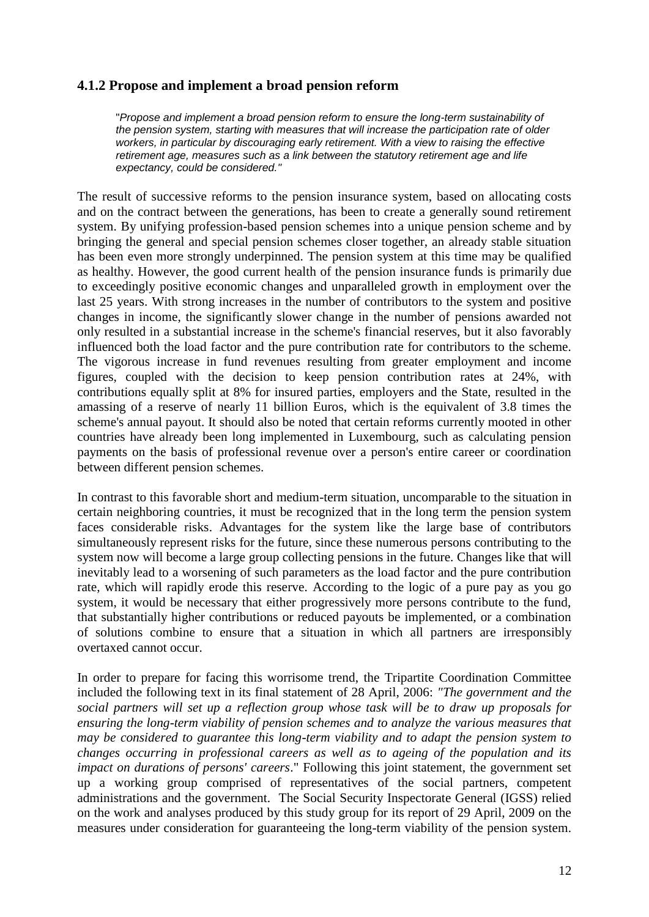#### <span id="page-11-0"></span>**4.1.2 Propose and implement a broad pension reform**

"*Propose and implement a broad pension reform to ensure the long-term sustainability of the pension system, starting with measures that will increase the participation rate of older workers, in particular by discouraging early retirement. With a view to raising the effective retirement age, measures such as a link between the statutory retirement age and life expectancy, could be considered."*

The result of successive reforms to the pension insurance system, based on allocating costs and on the contract between the generations, has been to create a generally sound retirement system. By unifying profession-based pension schemes into a unique pension scheme and by bringing the general and special pension schemes closer together, an already stable situation has been even more strongly underpinned. The pension system at this time may be qualified as healthy. However, the good current health of the pension insurance funds is primarily due to exceedingly positive economic changes and unparalleled growth in employment over the last 25 years. With strong increases in the number of contributors to the system and positive changes in income, the significantly slower change in the number of pensions awarded not only resulted in a substantial increase in the scheme's financial reserves, but it also favorably influenced both the load factor and the pure contribution rate for contributors to the scheme. The vigorous increase in fund revenues resulting from greater employment and income figures, coupled with the decision to keep pension contribution rates at 24%, with contributions equally split at 8% for insured parties, employers and the State, resulted in the amassing of a reserve of nearly 11 billion Euros, which is the equivalent of 3.8 times the scheme's annual payout. It should also be noted that certain reforms currently mooted in other countries have already been long implemented in Luxembourg, such as calculating pension payments on the basis of professional revenue over a person's entire career or coordination between different pension schemes.

In contrast to this favorable short and medium-term situation, uncomparable to the situation in certain neighboring countries, it must be recognized that in the long term the pension system faces considerable risks. Advantages for the system like the large base of contributors simultaneously represent risks for the future, since these numerous persons contributing to the system now will become a large group collecting pensions in the future. Changes like that will inevitably lead to a worsening of such parameters as the load factor and the pure contribution rate, which will rapidly erode this reserve. According to the logic of a pure pay as you go system, it would be necessary that either progressively more persons contribute to the fund, that substantially higher contributions or reduced payouts be implemented, or a combination of solutions combine to ensure that a situation in which all partners are irresponsibly overtaxed cannot occur.

In order to prepare for facing this worrisome trend, the Tripartite Coordination Committee included the following text in its final statement of 28 April, 2006: *"The government and the social partners will set up a reflection group whose task will be to draw up proposals for ensuring the long-term viability of pension schemes and to analyze the various measures that may be considered to guarantee this long-term viability and to adapt the pension system to changes occurring in professional careers as well as to ageing of the population and its impact on durations of persons' careers*." Following this joint statement, the government set up a working group comprised of representatives of the social partners, competent administrations and the government. The Social Security Inspectorate General (IGSS) relied on the work and analyses produced by this study group for its report of 29 April, 2009 on the measures under consideration for guaranteeing the long-term viability of the pension system.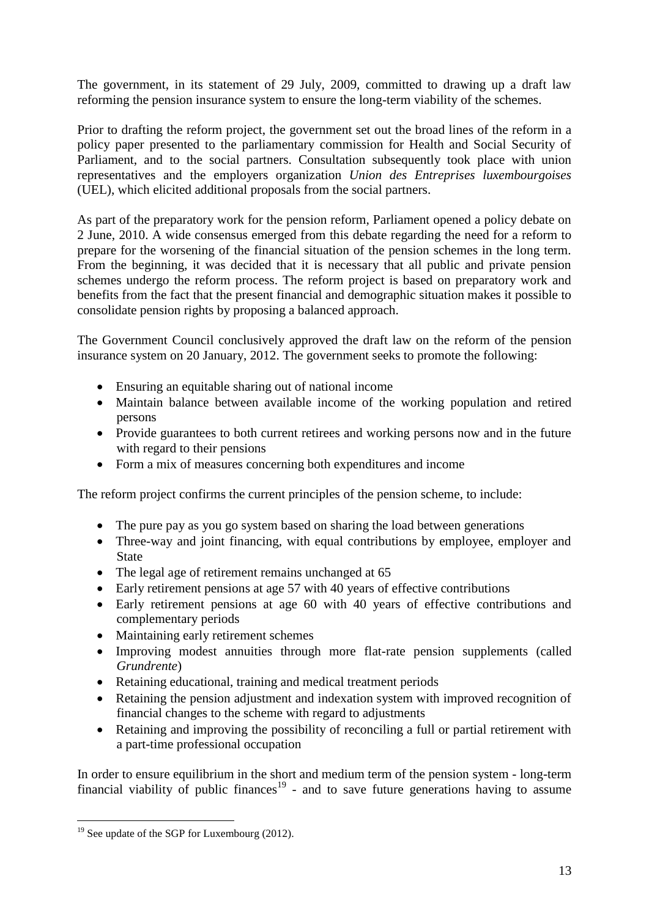The government, in its statement of 29 July, 2009, committed to drawing up a draft law reforming the pension insurance system to ensure the long-term viability of the schemes.

Prior to drafting the reform project, the government set out the broad lines of the reform in a policy paper presented to the parliamentary commission for Health and Social Security of Parliament, and to the social partners. Consultation subsequently took place with union representatives and the employers organization *Union des Entreprises luxembourgoises* (UEL), which elicited additional proposals from the social partners.

As part of the preparatory work for the pension reform, Parliament opened a policy debate on 2 June, 2010. A wide consensus emerged from this debate regarding the need for a reform to prepare for the worsening of the financial situation of the pension schemes in the long term. From the beginning, it was decided that it is necessary that all public and private pension schemes undergo the reform process. The reform project is based on preparatory work and benefits from the fact that the present financial and demographic situation makes it possible to consolidate pension rights by proposing a balanced approach.

The Government Council conclusively approved the draft law on the reform of the pension insurance system on 20 January, 2012. The government seeks to promote the following:

- Ensuring an equitable sharing out of national income
- Maintain balance between available income of the working population and retired persons
- Provide guarantees to both current retirees and working persons now and in the future with regard to their pensions
- Form a mix of measures concerning both expenditures and income

The reform project confirms the current principles of the pension scheme, to include:

- The pure pay as you go system based on sharing the load between generations
- Three-way and joint financing, with equal contributions by employee, employer and State
- The legal age of retirement remains unchanged at 65
- Early retirement pensions at age 57 with 40 years of effective contributions
- Early retirement pensions at age 60 with 40 years of effective contributions and complementary periods
- Maintaining early retirement schemes
- Improving modest annuities through more flat-rate pension supplements (called *Grundrente*)
- Retaining educational, training and medical treatment periods
- Retaining the pension adjustment and indexation system with improved recognition of financial changes to the scheme with regard to adjustments
- Retaining and improving the possibility of reconciling a full or partial retirement with a part-time professional occupation

In order to ensure equilibrium in the short and medium term of the pension system - long-term financial viability of public finances<sup>19</sup> - and to save future generations having to assume

 $\overline{a}$ 

 $19$  See update of the SGP for Luxembourg (2012).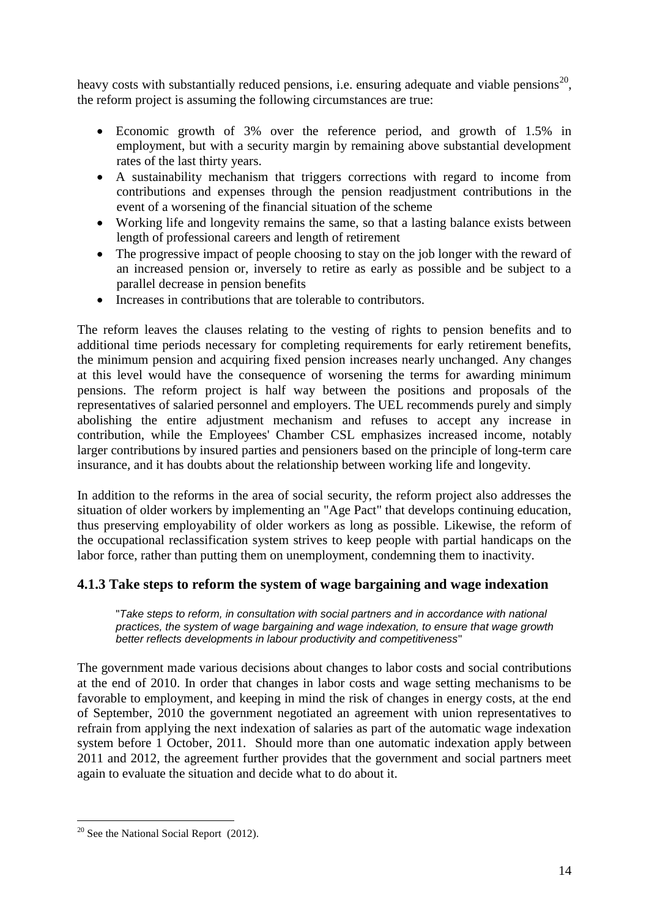heavy costs with substantially reduced pensions, i.e. ensuring adequate and viable pensions<sup>20</sup>, the reform project is assuming the following circumstances are true:

- Economic growth of 3% over the reference period, and growth of 1.5% in employment, but with a security margin by remaining above substantial development rates of the last thirty years.
- A sustainability mechanism that triggers corrections with regard to income from contributions and expenses through the pension readjustment contributions in the event of a worsening of the financial situation of the scheme
- Working life and longevity remains the same, so that a lasting balance exists between length of professional careers and length of retirement
- The progressive impact of people choosing to stay on the job longer with the reward of an increased pension or, inversely to retire as early as possible and be subject to a parallel decrease in pension benefits
- Increases in contributions that are tolerable to contributors.

The reform leaves the clauses relating to the vesting of rights to pension benefits and to additional time periods necessary for completing requirements for early retirement benefits, the minimum pension and acquiring fixed pension increases nearly unchanged. Any changes at this level would have the consequence of worsening the terms for awarding minimum pensions. The reform project is half way between the positions and proposals of the representatives of salaried personnel and employers. The UEL recommends purely and simply abolishing the entire adjustment mechanism and refuses to accept any increase in contribution, while the Employees' Chamber CSL emphasizes increased income, notably larger contributions by insured parties and pensioners based on the principle of long-term care insurance, and it has doubts about the relationship between working life and longevity.

In addition to the reforms in the area of social security, the reform project also addresses the situation of older workers by implementing an "Age Pact" that develops continuing education, thus preserving employability of older workers as long as possible. Likewise, the reform of the occupational reclassification system strives to keep people with partial handicaps on the labor force, rather than putting them on unemployment, condemning them to inactivity.

#### <span id="page-13-0"></span>**4.1.3 Take steps to reform the system of wage bargaining and wage indexation**

"*Take steps to reform, in consultation with social partners and in accordance with national practices, the system of wage bargaining and wage indexation, to ensure that wage growth better reflects developments in labour productivity and competitiveness*"

The government made various decisions about changes to labor costs and social contributions at the end of 2010. In order that changes in labor costs and wage setting mechanisms to be favorable to employment, and keeping in mind the risk of changes in energy costs, at the end of September, 2010 the government negotiated an agreement with union representatives to refrain from applying the next indexation of salaries as part of the automatic wage indexation system before 1 October, 2011. Should more than one automatic indexation apply between 2011 and 2012, the agreement further provides that the government and social partners meet again to evaluate the situation and decide what to do about it.

 $\overline{a}$  $20$  See the National Social Report (2012).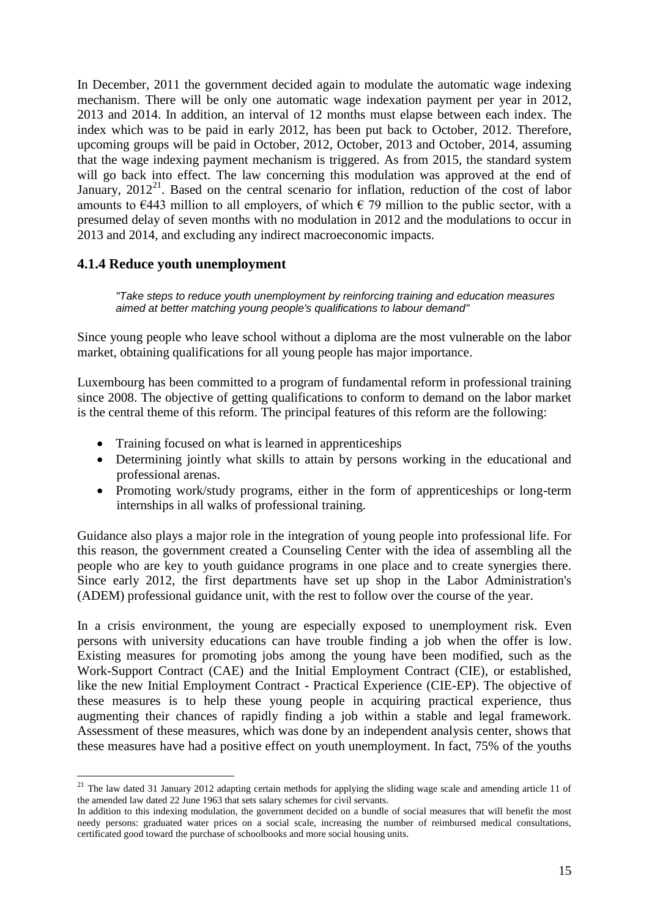In December, 2011 the government decided again to modulate the automatic wage indexing mechanism. There will be only one automatic wage indexation payment per year in 2012, 2013 and 2014. In addition, an interval of 12 months must elapse between each index. The index which was to be paid in early 2012, has been put back to October, 2012. Therefore, upcoming groups will be paid in October, 2012, October, 2013 and October, 2014, assuming that the wage indexing payment mechanism is triggered. As from 2015, the standard system will go back into effect. The law concerning this modulation was approved at the end of January,  $2012^{21}$ . Based on the central scenario for inflation, reduction of the cost of labor amounts to  $\epsilon$ 443 million to all employers, of which  $\epsilon$  79 million to the public sector, with a presumed delay of seven months with no modulation in 2012 and the modulations to occur in 2013 and 2014, and excluding any indirect macroeconomic impacts.

#### <span id="page-14-0"></span>**4.1.4 Reduce youth unemployment**

 $\overline{a}$ 

*"Take steps to reduce youth unemployment by reinforcing training and education measures aimed at better matching young people's qualifications to labour demand"*

Since young people who leave school without a diploma are the most vulnerable on the labor market, obtaining qualifications for all young people has major importance.

Luxembourg has been committed to a program of fundamental reform in professional training since 2008. The objective of getting qualifications to conform to demand on the labor market is the central theme of this reform. The principal features of this reform are the following:

- Training focused on what is learned in apprenticeships
- Determining jointly what skills to attain by persons working in the educational and professional arenas.
- Promoting work/study programs, either in the form of apprenticeships or long-term internships in all walks of professional training.

Guidance also plays a major role in the integration of young people into professional life. For this reason, the government created a Counseling Center with the idea of assembling all the people who are key to youth guidance programs in one place and to create synergies there. Since early 2012, the first departments have set up shop in the Labor Administration's (ADEM) professional guidance unit, with the rest to follow over the course of the year.

In a crisis environment, the young are especially exposed to unemployment risk. Even persons with university educations can have trouble finding a job when the offer is low. Existing measures for promoting jobs among the young have been modified, such as the Work-Support Contract (CAE) and the Initial Employment Contract (CIE), or established, like the new Initial Employment Contract - Practical Experience (CIE-EP). The objective of these measures is to help these young people in acquiring practical experience, thus augmenting their chances of rapidly finding a job within a stable and legal framework. Assessment of these measures, which was done by an independent analysis center, shows that these measures have had a positive effect on youth unemployment. In fact, 75% of the youths

 $21$  The law dated 31 January 2012 adapting certain methods for applying the sliding wage scale and amending article 11 of the amended law dated 22 June 1963 that sets salary schemes for civil servants.

In addition to this indexing modulation, the government decided on a bundle of social measures that will benefit the most needy persons: graduated water prices on a social scale, increasing the number of reimbursed medical consultations, certificated good toward the purchase of schoolbooks and more social housing units.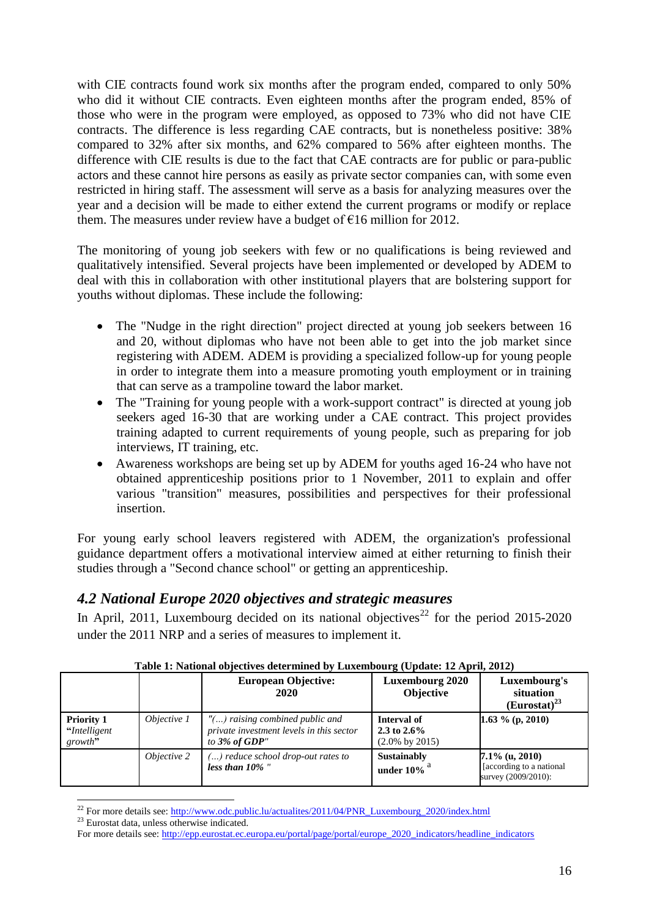with CIE contracts found work six months after the program ended, compared to only 50% who did it without CIE contracts. Even eighteen months after the program ended, 85% of those who were in the program were employed, as opposed to 73% who did not have CIE contracts. The difference is less regarding CAE contracts, but is nonetheless positive: 38% compared to 32% after six months, and 62% compared to 56% after eighteen months. The difference with CIE results is due to the fact that CAE contracts are for public or para-public actors and these cannot hire persons as easily as private sector companies can, with some even restricted in hiring staff. The assessment will serve as a basis for analyzing measures over the year and a decision will be made to either extend the current programs or modify or replace them. The measures under review have a budget of  $\epsilon$ 16 million for 2012.

The monitoring of young job seekers with few or no qualifications is being reviewed and qualitatively intensified. Several projects have been implemented or developed by ADEM to deal with this in collaboration with other institutional players that are bolstering support for youths without diplomas. These include the following:

- The "Nudge in the right direction" project directed at young job seekers between 16 and 20, without diplomas who have not been able to get into the job market since registering with ADEM. ADEM is providing a specialized follow-up for young people in order to integrate them into a measure promoting youth employment or in training that can serve as a trampoline toward the labor market.
- The "Training for young people with a work-support contract" is directed at young job seekers aged 16-30 that are working under a CAE contract. This project provides training adapted to current requirements of young people, such as preparing for job interviews, IT training, etc.
- Awareness workshops are being set up by ADEM for youths aged 16-24 who have not obtained apprenticeship positions prior to 1 November, 2011 to explain and offer various "transition" measures, possibilities and perspectives for their professional insertion.

For young early school leavers registered with ADEM, the organization's professional guidance department offers a motivational interview aimed at either returning to finish their studies through a "Second chance school" or getting an apprenticeship.

# <span id="page-15-0"></span>*4.2 National Europe 2020 objectives and strategic measures*

In April, 2011, Luxembourg decided on its national objectives<sup>22</sup> for the period 2015-2020 under the 2011 NRP and a series of measures to implement it.

|                                               |             | <b>European Objective:</b><br>2020                                                                 | <b>Luxembourg 2020</b><br><b>Objective</b>                  | Luxembourg's<br>situation<br>$(Eurostat)^{23}$                        |
|-----------------------------------------------|-------------|----------------------------------------------------------------------------------------------------|-------------------------------------------------------------|-----------------------------------------------------------------------|
| <b>Priority 1</b><br>"Intelligent"<br>growth" | Objective 1 | $"$ () raising combined public and<br>private investment levels in this sector<br>to $3\%$ of GDP" | Interval of<br>2.3 to $2.6\%$<br>$(2.0\% \text{ by } 2015)$ | 1.63 $\%$ (p, 2010)                                                   |
|                                               | Objective 2 | () reduce school drop-out rates to<br>less than $10\%$ "                                           | Sustainably<br>under $10\%$ <sup>a</sup>                    | $7.1\%$ (u, 2010)<br>[according to a national]<br>survey (2009/2010): |

#### **Table 1: National objectives determined by Luxembourg (Update: 12 April, 2012)**

<sup>23</sup> Eurostat data, unless otherwise indicated.

 $\overline{a}$ <sup>22</sup> For more details see[: http://www.odc.public.lu/actualites/2011/04/PNR\\_Luxembourg\\_2020/index.html](http://www.odc.public.lu/actualites/2011/04/PNR_Luxembourg_2020/index.html)

For more details see[: http://epp.eurostat.ec.europa.eu/portal/page/portal/europe\\_2020\\_indicators/headline\\_indicators](http://epp.eurostat.ec.europa.eu/portal/page/portal/europe_2020_indicators/headline_indicators)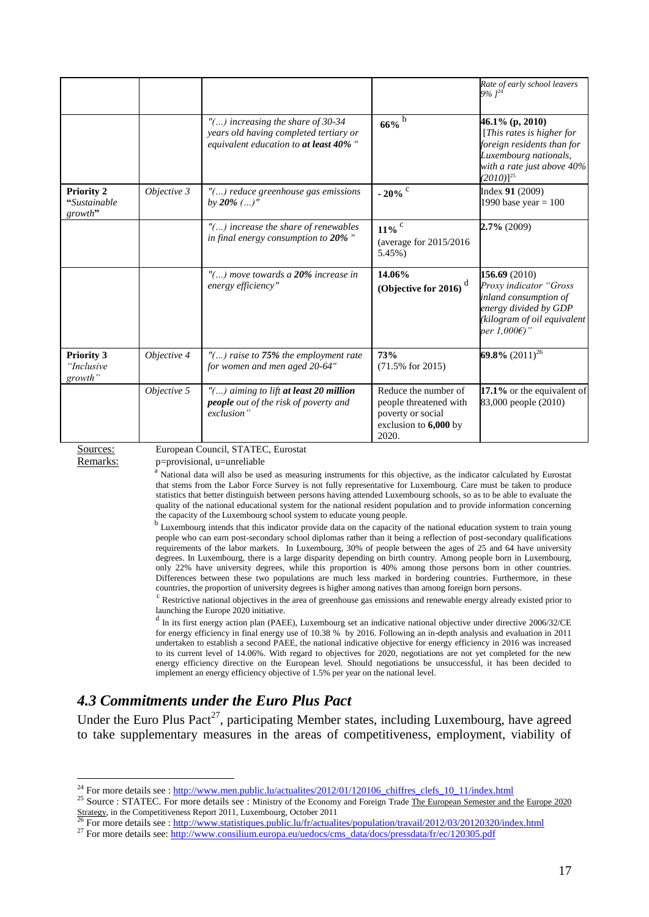|                                               |             |                                                                                                                         |                                                                                                       | Rate of early school leavers<br>$9\%$ $l^{24}$                                                                                                              |
|-----------------------------------------------|-------------|-------------------------------------------------------------------------------------------------------------------------|-------------------------------------------------------------------------------------------------------|-------------------------------------------------------------------------------------------------------------------------------------------------------------|
|                                               |             | $"$ () increasing the share of 30-34<br>years old having completed tertiary or<br>equivalent education to at least 40%" | $66\%$ <sup>b</sup>                                                                                   | 46.1% (p, 2010)<br>[This rates is higher for<br>foreign residents than for<br>Luxembourg nationals,<br>with a rate just above 40%<br>$(2010)$ <sup>25</sup> |
| <b>Priority 2</b><br>"Sustainable"<br>growth" | Objective 3 | "() reduce greenhouse gas emissions<br>by $20\%$ ()"                                                                    | - 20% $^{\circ}$                                                                                      | Index 91 (2009)<br>1990 base year = $100$                                                                                                                   |
|                                               |             | $"$ () increase the share of renewables<br>in final energy consumption to 20%"                                          | $11\%$<br>(average for $2015/2016$<br>5.45%)                                                          | $2.7\%$ (2009)                                                                                                                                              |
|                                               |             | $"$ () move towards a 20% increase in<br>energy efficiency"                                                             | 14.06%<br>(Objective for 2016) $^{d}$                                                                 | 156.69 (2010)<br>Proxy indicator "Gross<br>inland consumption of<br>energy divided by GDP<br>(kilogram of oil equivalent<br>per 1,000E)"                    |
| <b>Priority 3</b><br>"Inclusive<br>growth"    | Objective 4 | $"$ () raise to 75% the employment rate<br>for women and men aged 20-64"                                                | 73%<br>$(71.5\% \text{ for } 2015)$                                                                   | 69.8% $(2011)^{26}$                                                                                                                                         |
|                                               | Objective 5 | $"$ () aiming to lift at least 20 million<br>people out of the risk of poverty and<br>exclusion"                        | Reduce the number of<br>people threatened with<br>poverty or social<br>exclusion to 6,000 by<br>2020. | 17.1% or the equivalent of<br>83,000 people (2010)                                                                                                          |

 $\overline{a}$ 

Sources: European Council, STATEC, Eurostat

Remarks: p=provisional, u=unreliable

<sup>a</sup> National data will also be used as measuring instruments for this objective, as the indicator calculated by Eurostat that stems from the Labor Force Survey is not fully representative for Luxembourg. Care must be taken to produce statistics that better distinguish between persons having attended Luxembourg schools, so as to be able to evaluate the quality of the national educational system for the national resident population and to provide information concerning the capacity of the Luxembourg school system to educate young people.

<sup>b</sup> Luxembourg intends that this indicator provide data on the capacity of the national education system to train young people who can earn post-secondary school diplomas rather than it being a reflection of post-secondary qualifications requirements of the labor markets. In Luxembourg, 30% of people between the ages of 25 and 64 have university degrees. In Luxembourg, there is a large disparity depending on birth country. Among people born in Luxembourg, only 22% have university degrees, while this proportion is 40% among those persons born in other countries. Differences between these two populations are much less marked in bordering countries. Furthermore, in these countries, the proportion of university degrees is higher among natives than among foreign born persons.

<sup>c</sup> Restrictive national objectives in the area of greenhouse gas emissions and renewable energy already existed prior to launching the Europe 2020 initiative.

<sup>d</sup> In its first energy action plan (PAEE), Luxembourg set an indicative national objective under directive 2006/32/CE for energy efficiency in final energy use of 10.38 % by 2016. Following an in-depth analysis and evaluation in 2011 undertaken to establish a second PAEE, the national indicative objective for energy efficiency in 2016 was increased to its current level of 14.06%. With regard to objectives for 2020, negotiations are not yet completed for the new energy efficiency directive on the European level. Should negotiations be unsuccessful, it has been decided to implement an energy efficiency objective of 1.5% per year on the national level.

#### <span id="page-16-0"></span>*4.3 Commitments under the Euro Plus Pact*

Under the Euro Plus Pact<sup>27</sup>, participating Member states, including Luxembourg, have agreed to take supplementary measures in the areas of competitiveness, employment, viability of

<sup>25</sup> Source : STATEC. For more details see : Ministry of the Economy and Foreign Trade The European Semester and the Europe 2020 Strategy, in the Competitiveness Report 2011, Luxembourg, October 2011<br><sup>26</sup> For more details see : <u>http://www.statistiques.public.lu/fr/actualites/population/travail/2012/03/20120320/index.html</u>

<sup>&</sup>lt;sup>24</sup> For more details see : [http://www.men.public.lu/actualites/2012/01/120106\\_chiffres\\_clefs\\_10\\_11/index.html](http://www.men.public.lu/actualites/2012/01/120106_chiffres_clefs_10_11/index.html)

<sup>&</sup>lt;sup>27</sup> For more details see[: http://www.consilium.europa.eu/uedocs/cms\\_data/docs/pressdata/fr/ec/120305.pdf](http://www.consilium.europa.eu/uedocs/cms_data/docs/pressdata/fr/ec/120305.pdf)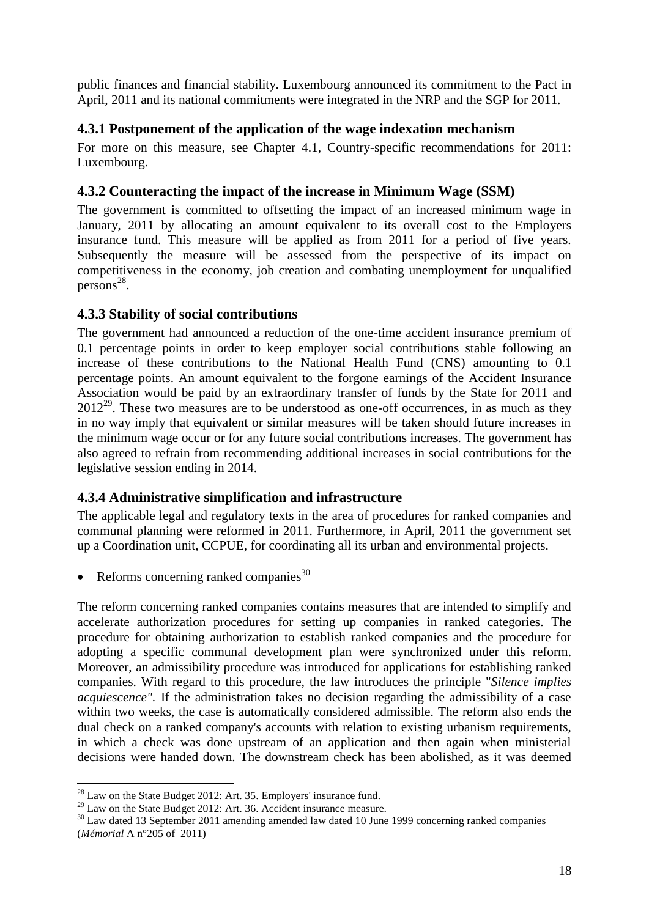public finances and financial stability. Luxembourg announced its commitment to the Pact in April, 2011 and its national commitments were integrated in the NRP and the SGP for 2011.

#### <span id="page-17-0"></span>**4.3.1 Postponement of the application of the wage indexation mechanism**

For more on this measure, see Chapter 4.1, Country-specific recommendations for 2011: Luxembourg.

#### <span id="page-17-1"></span>**4.3.2 Counteracting the impact of the increase in Minimum Wage (SSM)**

The government is committed to offsetting the impact of an increased minimum wage in January, 2011 by allocating an amount equivalent to its overall cost to the Employers insurance fund. This measure will be applied as from 2011 for a period of five years. Subsequently the measure will be assessed from the perspective of its impact on competitiveness in the economy, job creation and combating unemployment for unqualified  $persons<sup>28</sup>$ .

#### <span id="page-17-2"></span>**4.3.3 Stability of social contributions**

The government had announced a reduction of the one-time accident insurance premium of 0.1 percentage points in order to keep employer social contributions stable following an increase of these contributions to the National Health Fund (CNS) amounting to 0.1 percentage points. An amount equivalent to the forgone earnings of the Accident Insurance Association would be paid by an extraordinary transfer of funds by the State for 2011 and  $2012^{29}$ . These two measures are to be understood as one-off occurrences, in as much as they in no way imply that equivalent or similar measures will be taken should future increases in the minimum wage occur or for any future social contributions increases. The government has also agreed to refrain from recommending additional increases in social contributions for the legislative session ending in 2014.

#### <span id="page-17-3"></span>**4.3.4 Administrative simplification and infrastructure**

The applicable legal and regulatory texts in the area of procedures for ranked companies and communal planning were reformed in 2011. Furthermore, in April, 2011 the government set up a Coordination unit, CCPUE, for coordinating all its urban and environmental projects.

Reforms concerning ranked companies $30$ 

The reform concerning ranked companies contains measures that are intended to simplify and accelerate authorization procedures for setting up companies in ranked categories. The procedure for obtaining authorization to establish ranked companies and the procedure for adopting a specific communal development plan were synchronized under this reform. Moreover, an admissibility procedure was introduced for applications for establishing ranked companies. With regard to this procedure, the law introduces the principle "*Silence implies acquiescence".* If the administration takes no decision regarding the admissibility of a case within two weeks, the case is automatically considered admissible. The reform also ends the dual check on a ranked company's accounts with relation to existing urbanism requirements, in which a check was done upstream of an application and then again when ministerial decisions were handed down. The downstream check has been abolished, as it was deemed

 $\overline{a}$ 

 $^{28}$  Law on the State Budget 2012: Art. 35. Employers' insurance fund.

<sup>&</sup>lt;sup>29</sup> Law on the State Budget 2012: Art. 36. Accident insurance measure.

<sup>&</sup>lt;sup>30</sup> Law dated 13 September 2011 amending amended law dated 10 June 1999 concerning ranked companies (*Mémorial* A n°205 of 2011)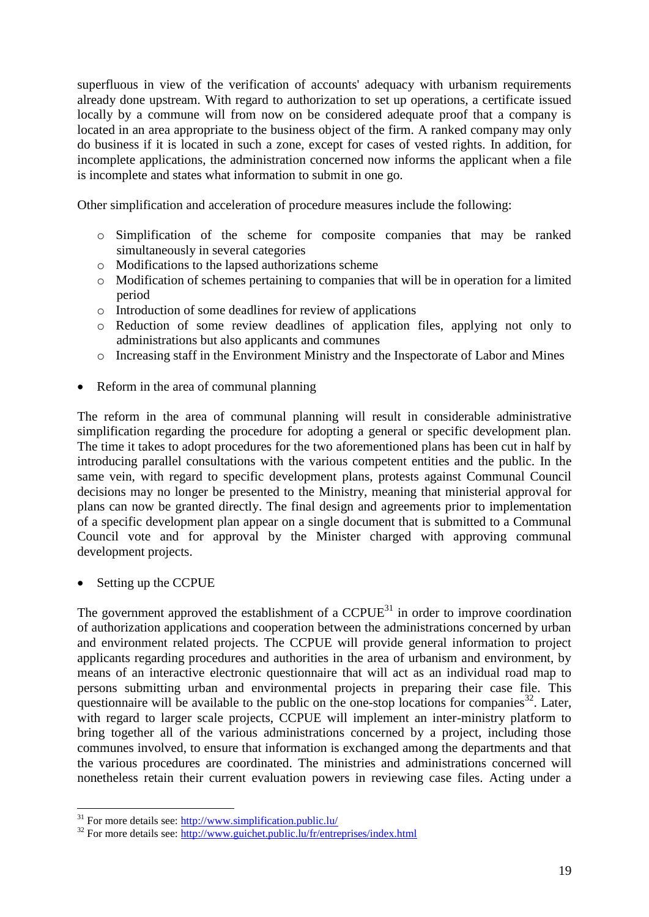superfluous in view of the verification of accounts' adequacy with urbanism requirements already done upstream. With regard to authorization to set up operations, a certificate issued locally by a commune will from now on be considered adequate proof that a company is located in an area appropriate to the business object of the firm. A ranked company may only do business if it is located in such a zone, except for cases of vested rights. In addition, for incomplete applications, the administration concerned now informs the applicant when a file is incomplete and states what information to submit in one go.

Other simplification and acceleration of procedure measures include the following:

- o Simplification of the scheme for composite companies that may be ranked simultaneously in several categories
- o Modifications to the lapsed authorizations scheme
- o Modification of schemes pertaining to companies that will be in operation for a limited period
- o Introduction of some deadlines for review of applications
- o Reduction of some review deadlines of application files, applying not only to administrations but also applicants and communes
- o Increasing staff in the Environment Ministry and the Inspectorate of Labor and Mines
- Reform in the area of communal planning

The reform in the area of communal planning will result in considerable administrative simplification regarding the procedure for adopting a general or specific development plan. The time it takes to adopt procedures for the two aforementioned plans has been cut in half by introducing parallel consultations with the various competent entities and the public. In the same vein, with regard to specific development plans, protests against Communal Council decisions may no longer be presented to the Ministry, meaning that ministerial approval for plans can now be granted directly. The final design and agreements prior to implementation of a specific development plan appear on a single document that is submitted to a Communal Council vote and for approval by the Minister charged with approving communal development projects.

Setting up the CCPUE

 $\overline{a}$ 

The government approved the establishment of a  $CCPUE<sup>31</sup>$  in order to improve coordination of authorization applications and cooperation between the administrations concerned by urban and environment related projects. The CCPUE will provide general information to project applicants regarding procedures and authorities in the area of urbanism and environment, by means of an interactive electronic questionnaire that will act as an individual road map to persons submitting urban and environmental projects in preparing their case file. This questionnaire will be available to the public on the one-stop locations for companies  $32$ . Later, with regard to larger scale projects, CCPUE will implement an inter-ministry platform to bring together all of the various administrations concerned by a project, including those communes involved, to ensure that information is exchanged among the departments and that the various procedures are coordinated. The ministries and administrations concerned will nonetheless retain their current evaluation powers in reviewing case files. Acting under a

 $31$  For more details see:  $\frac{http://www.simplification.public.lu/$ 

 $32$  For more details see:  $\frac{1}{\text{http://www.guichet.public.lu/fr/entreprises/index.html}}$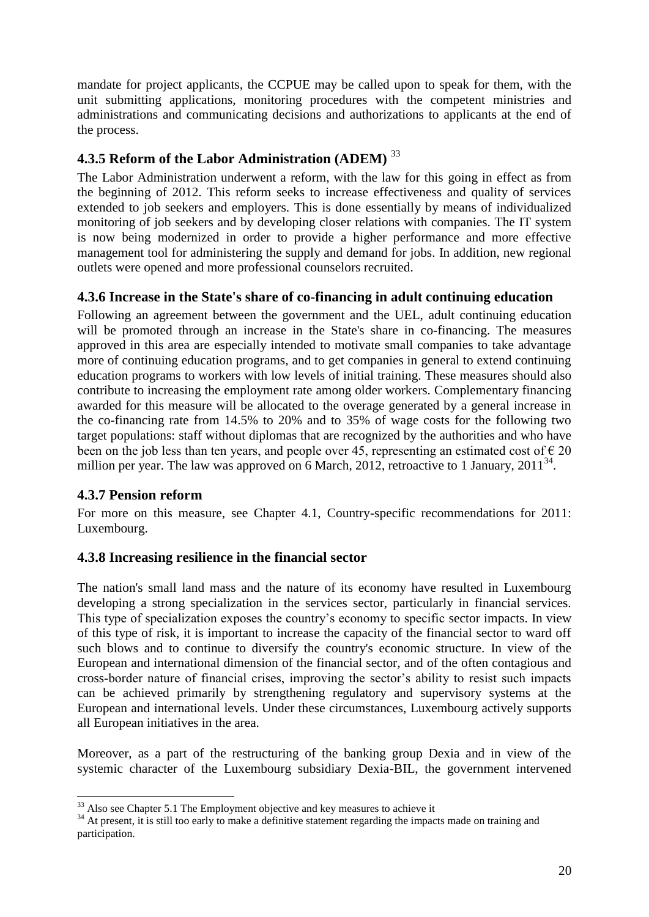mandate for project applicants, the CCPUE may be called upon to speak for them, with the unit submitting applications, monitoring procedures with the competent ministries and administrations and communicating decisions and authorizations to applicants at the end of the process.

# <span id="page-19-0"></span>**4.3.5 Reform of the Labor Administration (ADEM)** <sup>33</sup>

The Labor Administration underwent a reform, with the law for this going in effect as from the beginning of 2012. This reform seeks to increase effectiveness and quality of services extended to job seekers and employers. This is done essentially by means of individualized monitoring of job seekers and by developing closer relations with companies. The IT system is now being modernized in order to provide a higher performance and more effective management tool for administering the supply and demand for jobs. In addition, new regional outlets were opened and more professional counselors recruited.

## <span id="page-19-1"></span>**4.3.6 Increase in the State's share of co-financing in adult continuing education**

Following an agreement between the government and the UEL, adult continuing education will be promoted through an increase in the State's share in co-financing. The measures approved in this area are especially intended to motivate small companies to take advantage more of continuing education programs, and to get companies in general to extend continuing education programs to workers with low levels of initial training. These measures should also contribute to increasing the employment rate among older workers. Complementary financing awarded for this measure will be allocated to the overage generated by a general increase in the co-financing rate from 14.5% to 20% and to 35% of wage costs for the following two target populations: staff without diplomas that are recognized by the authorities and who have been on the job less than ten years, and people over 45, representing an estimated cost of  $\in$  20 million per year. The law was approved on 6 March, 2012, retroactive to 1 January, 2011<sup>34</sup>.

# <span id="page-19-2"></span>**4.3.7 Pension reform**

 $\overline{a}$ 

For more on this measure, see Chapter 4.1, Country-specific recommendations for 2011: Luxembourg.

# <span id="page-19-3"></span>**4.3.8 Increasing resilience in the financial sector**

The nation's small land mass and the nature of its economy have resulted in Luxembourg developing a strong specialization in the services sector, particularly in financial services. This type of specialization exposes the country's economy to specific sector impacts. In view of this type of risk, it is important to increase the capacity of the financial sector to ward off such blows and to continue to diversify the country's economic structure. In view of the European and international dimension of the financial sector, and of the often contagious and cross-border nature of financial crises, improving the sector's ability to resist such impacts can be achieved primarily by strengthening regulatory and supervisory systems at the European and international levels. Under these circumstances, Luxembourg actively supports all European initiatives in the area.

Moreover, as a part of the restructuring of the banking group Dexia and in view of the systemic character of the Luxembourg subsidiary Dexia-BIL, the government intervened

 $33$  Also see Chapter 5.1 The Employment objective and key measures to achieve it

<sup>&</sup>lt;sup>34</sup> At present, it is still too early to make a definitive statement regarding the impacts made on training and participation.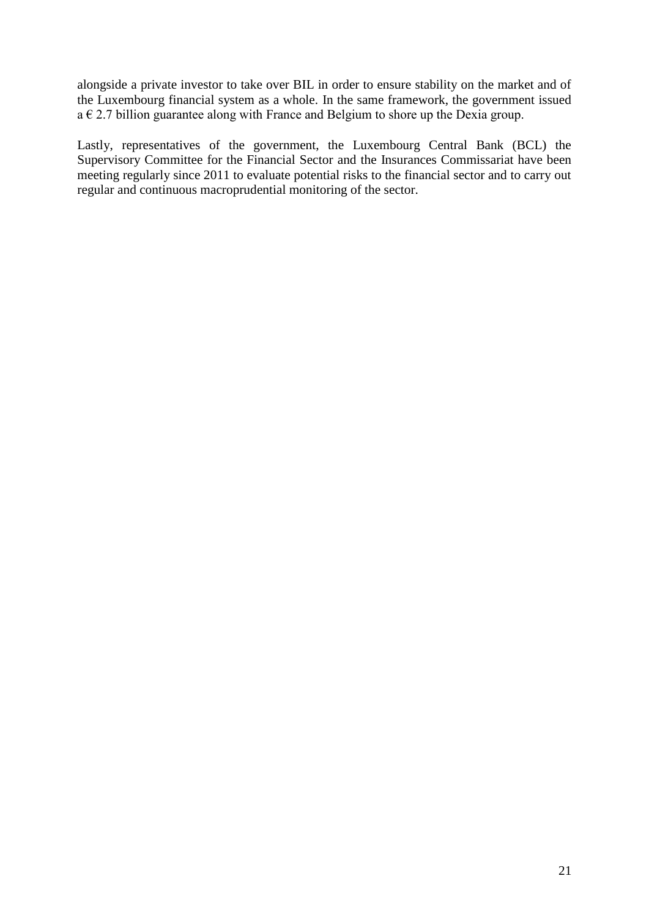alongside a private investor to take over BIL in order to ensure stability on the market and of the Luxembourg financial system as a whole. In the same framework, the government issued  $a \in 2.7$  billion guarantee along with France and Belgium to shore up the Dexia group.

Lastly, representatives of the government, the Luxembourg Central Bank (BCL) the Supervisory Committee for the Financial Sector and the Insurances Commissariat have been meeting regularly since 2011 to evaluate potential risks to the financial sector and to carry out regular and continuous macroprudential monitoring of the sector.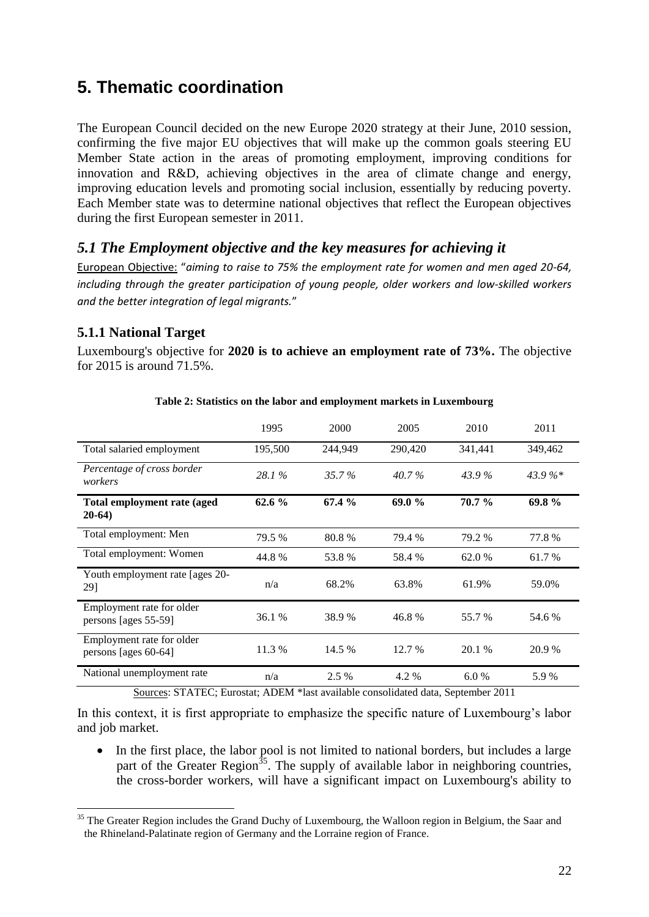# <span id="page-21-0"></span>**5. Thematic coordination**

The European Council decided on the new Europe 2020 strategy at their June, 2010 session, confirming the five major EU objectives that will make up the common goals steering EU Member State action in the areas of promoting employment, improving conditions for innovation and R&D, achieving objectives in the area of climate change and energy, improving education levels and promoting social inclusion, essentially by reducing poverty. Each Member state was to determine national objectives that reflect the European objectives during the first European semester in 2011.

## <span id="page-21-1"></span>*5.1 The Employment objective and the key measures for achieving it*

European Objective: "*aiming to raise to 75% the employment rate for women and men aged 20-64, including through the greater participation of young people, older workers and low-skilled workers and the better integration of legal migrants.*"

## <span id="page-21-2"></span>**5.1.1 National Target**

 $\overline{a}$ 

Luxembourg's objective for **2020 is to achieve an employment rate of 73%.** The objective for 2015 is around 71.5%.

|                                                   | 1995    | 2000     | 2005    | 2010    | 2011    |
|---------------------------------------------------|---------|----------|---------|---------|---------|
| Total salaried employment                         | 195,500 | 244,949  | 290,420 | 341,441 | 349,462 |
| Percentage of cross border<br>workers             | 28.1%   | $35.7\%$ | 40.7%   | 43.9%   | 43.9%*  |
| Total employment rate (aged<br>$20-64)$           | 62.6 %  | 67.4 %   | 69.0%   | 70.7 %  | 69.8%   |
| Total employment: Men                             | 79.5 %  | 80.8%    | 79.4 %  | 79.2 %  | 77.8%   |
| Total employment: Women                           | 44.8%   | 53.8 %   | 58.4 %  | 62.0 %  | 61.7 %  |
| Youth employment rate [ages 20-<br>29]            | n/a     | 68.2%    | 63.8%   | 61.9%   | 59.0%   |
| Employment rate for older<br>persons [ages 55-59] | 36.1 %  | 38.9 %   | 46.8%   | 55.7 %  | 54.6 %  |
| Employment rate for older<br>persons [ages 60-64] | 11.3 %  | 14.5 %   | 12.7 %  | 20.1 %  | 20.9 %  |
| National unemployment rate                        | n/a     | 2.5 %    | 4.2 %   | 6.0%    | 5.9 %   |

#### **Table 2: Statistics on the labor and employment markets in Luxembourg**

Sources: STATEC; Eurostat; ADEM \*last available consolidated data, September 2011

In this context, it is first appropriate to emphasize the specific nature of Luxembourg's labor and job market.

• In the first place, the labor pool is not limited to national borders, but includes a large part of the Greater Region<sup>35</sup>. The supply of available labor in neighboring countries, the cross-border workers, will have a significant impact on Luxembourg's ability to

<sup>&</sup>lt;sup>35</sup> The Greater Region includes the Grand Duchy of Luxembourg, the Walloon region in Belgium, the Saar and the Rhineland-Palatinate region of Germany and the Lorraine region of France.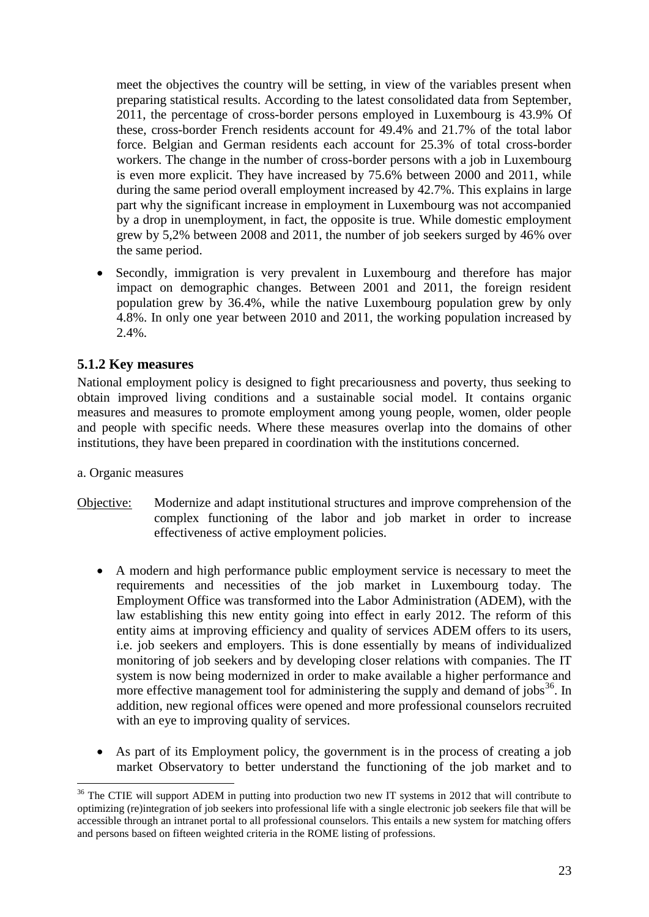meet the objectives the country will be setting, in view of the variables present when preparing statistical results. According to the latest consolidated data from September, 2011, the percentage of cross-border persons employed in Luxembourg is 43.9% Of these, cross-border French residents account for 49.4% and 21.7% of the total labor force. Belgian and German residents each account for 25.3% of total cross-border workers. The change in the number of cross-border persons with a job in Luxembourg is even more explicit. They have increased by 75.6% between 2000 and 2011, while during the same period overall employment increased by 42.7%. This explains in large part why the significant increase in employment in Luxembourg was not accompanied by a drop in unemployment, in fact, the opposite is true. While domestic employment grew by 5,2% between 2008 and 2011, the number of job seekers surged by 46% over the same period.

 Secondly, immigration is very prevalent in Luxembourg and therefore has major impact on demographic changes. Between 2001 and 2011, the foreign resident population grew by 36.4%, while the native Luxembourg population grew by only 4.8%. In only one year between 2010 and 2011, the working population increased by 2.4%.

#### <span id="page-22-0"></span>**5.1.2 Key measures**

National employment policy is designed to fight precariousness and poverty, thus seeking to obtain improved living conditions and a sustainable social model. It contains organic measures and measures to promote employment among young people, women, older people and people with specific needs. Where these measures overlap into the domains of other institutions, they have been prepared in coordination with the institutions concerned.

a. Organic measures

 $\overline{a}$ 

- Objective: Modernize and adapt institutional structures and improve comprehension of the complex functioning of the labor and job market in order to increase effectiveness of active employment policies.
	- A modern and high performance public employment service is necessary to meet the requirements and necessities of the job market in Luxembourg today. The Employment Office was transformed into the Labor Administration (ADEM), with the law establishing this new entity going into effect in early 2012. The reform of this entity aims at improving efficiency and quality of services ADEM offers to its users, i.e. job seekers and employers. This is done essentially by means of individualized monitoring of job seekers and by developing closer relations with companies. The IT system is now being modernized in order to make available a higher performance and more effective management tool for administering the supply and demand of jobs $36$ . In addition, new regional offices were opened and more professional counselors recruited with an eye to improving quality of services.
	- As part of its Employment policy, the government is in the process of creating a job market Observatory to better understand the functioning of the job market and to

 $36$  The CTIE will support ADEM in putting into production two new IT systems in 2012 that will contribute to optimizing (re)integration of job seekers into professional life with a single electronic job seekers file that will be accessible through an intranet portal to all professional counselors. This entails a new system for matching offers and persons based on fifteen weighted criteria in the ROME listing of professions.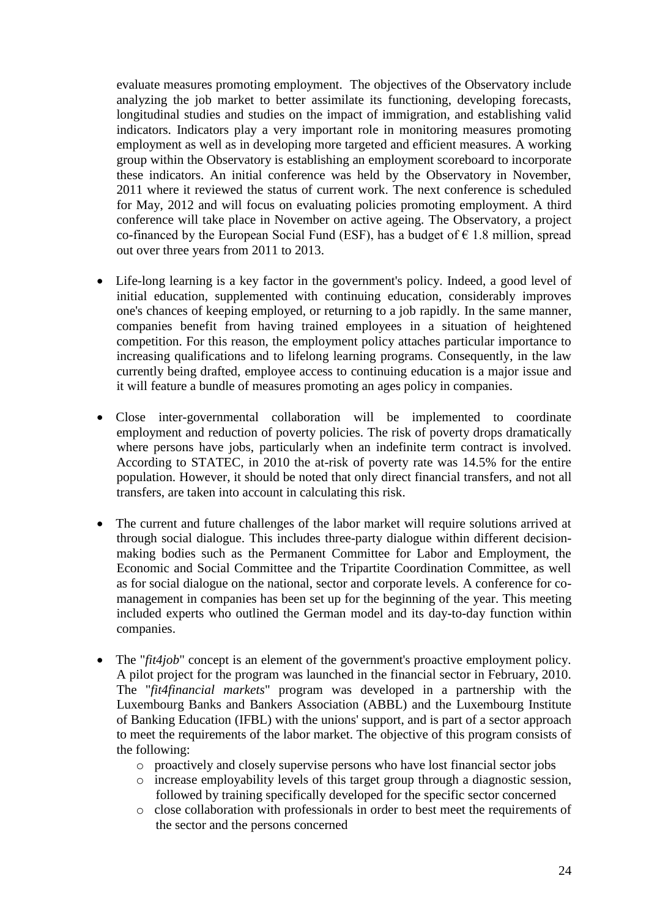evaluate measures promoting employment. The objectives of the Observatory include analyzing the job market to better assimilate its functioning, developing forecasts, longitudinal studies and studies on the impact of immigration, and establishing valid indicators. Indicators play a very important role in monitoring measures promoting employment as well as in developing more targeted and efficient measures. A working group within the Observatory is establishing an employment scoreboard to incorporate these indicators. An initial conference was held by the Observatory in November, 2011 where it reviewed the status of current work. The next conference is scheduled for May, 2012 and will focus on evaluating policies promoting employment. A third conference will take place in November on active ageing. The Observatory, a project co-financed by the European Social Fund (ESF), has a budget of  $\epsilon$  1.8 million, spread out over three years from 2011 to 2013.

- Life-long learning is a key factor in the government's policy. Indeed, a good level of initial education, supplemented with continuing education, considerably improves one's chances of keeping employed, or returning to a job rapidly. In the same manner, companies benefit from having trained employees in a situation of heightened competition. For this reason, the employment policy attaches particular importance to increasing qualifications and to lifelong learning programs. Consequently, in the law currently being drafted, employee access to continuing education is a major issue and it will feature a bundle of measures promoting an ages policy in companies.
- Close inter-governmental collaboration will be implemented to coordinate employment and reduction of poverty policies. The risk of poverty drops dramatically where persons have jobs, particularly when an indefinite term contract is involved. According to STATEC, in 2010 the at-risk of poverty rate was 14.5% for the entire population. However, it should be noted that only direct financial transfers, and not all transfers, are taken into account in calculating this risk.
- The current and future challenges of the labor market will require solutions arrived at through social dialogue. This includes three-party dialogue within different decisionmaking bodies such as the Permanent Committee for Labor and Employment, the Economic and Social Committee and the Tripartite Coordination Committee, as well as for social dialogue on the national, sector and corporate levels. A conference for comanagement in companies has been set up for the beginning of the year. This meeting included experts who outlined the German model and its day-to-day function within companies.
- The "*fit4job*" concept is an element of the government's proactive employment policy. A pilot project for the program was launched in the financial sector in February, 2010. The "*fit4financial markets*" program was developed in a partnership with the Luxembourg Banks and Bankers Association (ABBL) and the Luxembourg Institute of Banking Education (IFBL) with the unions' support, and is part of a sector approach to meet the requirements of the labor market. The objective of this program consists of the following:
	- o proactively and closely supervise persons who have lost financial sector jobs
	- o increase employability levels of this target group through a diagnostic session, followed by training specifically developed for the specific sector concerned
	- o close collaboration with professionals in order to best meet the requirements of the sector and the persons concerned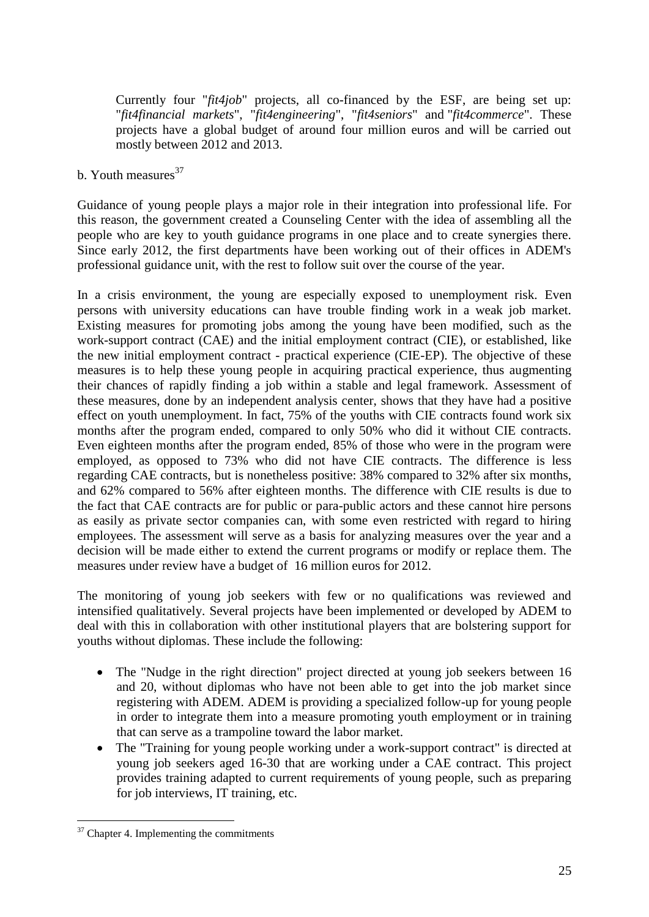Currently four "*fit4job*" projects, all co-financed by the ESF, are being set up: "*fit4financial markets*", "*fit4engineering*", "*fit4seniors*" and "*fit4commerce*". These projects have a global budget of around four million euros and will be carried out mostly between 2012 and 2013.

b. Youth measures $37$ 

Guidance of young people plays a major role in their integration into professional life. For this reason, the government created a Counseling Center with the idea of assembling all the people who are key to youth guidance programs in one place and to create synergies there. Since early 2012, the first departments have been working out of their offices in ADEM's professional guidance unit, with the rest to follow suit over the course of the year.

In a crisis environment, the young are especially exposed to unemployment risk. Even persons with university educations can have trouble finding work in a weak job market. Existing measures for promoting jobs among the young have been modified, such as the work-support contract (CAE) and the initial employment contract (CIE), or established, like the new initial employment contract - practical experience (CIE-EP). The objective of these measures is to help these young people in acquiring practical experience, thus augmenting their chances of rapidly finding a job within a stable and legal framework. Assessment of these measures, done by an independent analysis center, shows that they have had a positive effect on youth unemployment. In fact, 75% of the youths with CIE contracts found work six months after the program ended, compared to only 50% who did it without CIE contracts. Even eighteen months after the program ended, 85% of those who were in the program were employed, as opposed to 73% who did not have CIE contracts. The difference is less regarding CAE contracts, but is nonetheless positive: 38% compared to 32% after six months, and 62% compared to 56% after eighteen months. The difference with CIE results is due to the fact that CAE contracts are for public or para-public actors and these cannot hire persons as easily as private sector companies can, with some even restricted with regard to hiring employees. The assessment will serve as a basis for analyzing measures over the year and a decision will be made either to extend the current programs or modify or replace them. The measures under review have a budget of 16 million euros for 2012.

The monitoring of young job seekers with few or no qualifications was reviewed and intensified qualitatively. Several projects have been implemented or developed by ADEM to deal with this in collaboration with other institutional players that are bolstering support for youths without diplomas. These include the following:

- The "Nudge in the right direction" project directed at young job seekers between 16 and 20, without diplomas who have not been able to get into the job market since registering with ADEM. ADEM is providing a specialized follow-up for young people in order to integrate them into a measure promoting youth employment or in training that can serve as a trampoline toward the labor market.
- The "Training for young people working under a work-support contract" is directed at young job seekers aged 16-30 that are working under a CAE contract. This project provides training adapted to current requirements of young people, such as preparing for job interviews, IT training, etc.

 $\overline{a}$ 

 $37$  Chapter 4. Implementing the commitments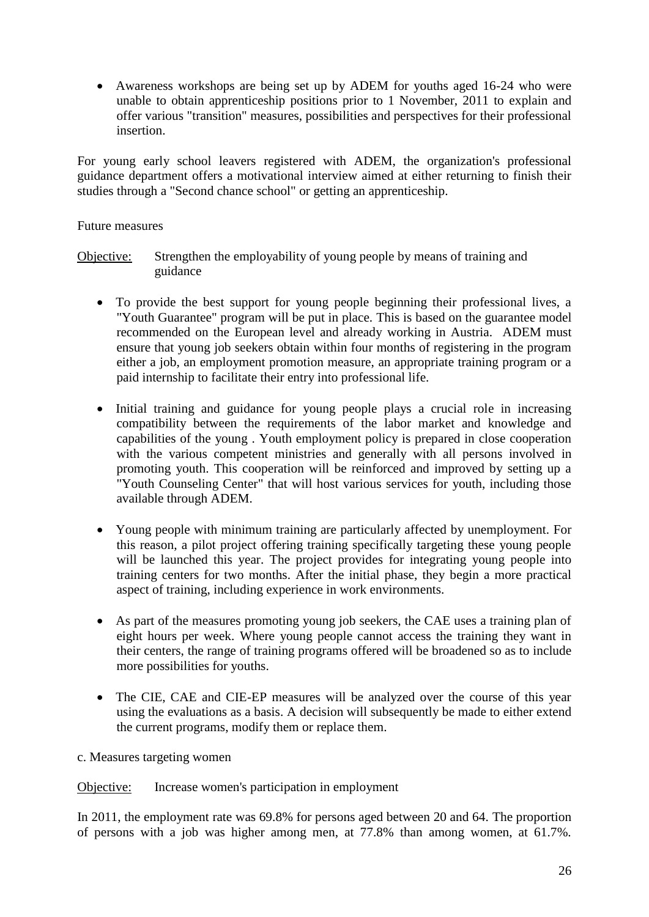Awareness workshops are being set up by ADEM for youths aged 16-24 who were unable to obtain apprenticeship positions prior to 1 November, 2011 to explain and offer various "transition" measures, possibilities and perspectives for their professional insertion.

For young early school leavers registered with ADEM, the organization's professional guidance department offers a motivational interview aimed at either returning to finish their studies through a "Second chance school" or getting an apprenticeship.

#### Future measures

Objective: Strengthen the employability of young people by means of training and guidance

- To provide the best support for young people beginning their professional lives, a "Youth Guarantee" program will be put in place. This is based on the guarantee model recommended on the European level and already working in Austria. ADEM must ensure that young job seekers obtain within four months of registering in the program either a job, an employment promotion measure, an appropriate training program or a paid internship to facilitate their entry into professional life.
- Initial training and guidance for young people plays a crucial role in increasing compatibility between the requirements of the labor market and knowledge and capabilities of the young . Youth employment policy is prepared in close cooperation with the various competent ministries and generally with all persons involved in promoting youth. This cooperation will be reinforced and improved by setting up a "Youth Counseling Center" that will host various services for youth, including those available through ADEM.
- Young people with minimum training are particularly affected by unemployment. For this reason, a pilot project offering training specifically targeting these young people will be launched this year. The project provides for integrating young people into training centers for two months. After the initial phase, they begin a more practical aspect of training, including experience in work environments.
- As part of the measures promoting young job seekers, the CAE uses a training plan of eight hours per week. Where young people cannot access the training they want in their centers, the range of training programs offered will be broadened so as to include more possibilities for youths.
- The CIE, CAE and CIE-EP measures will be analyzed over the course of this year using the evaluations as a basis. A decision will subsequently be made to either extend the current programs, modify them or replace them.
- c. Measures targeting women

Objective: Increase women's participation in employment

In 2011, the employment rate was 69.8% for persons aged between 20 and 64. The proportion of persons with a job was higher among men, at 77.8% than among women, at 61.7%.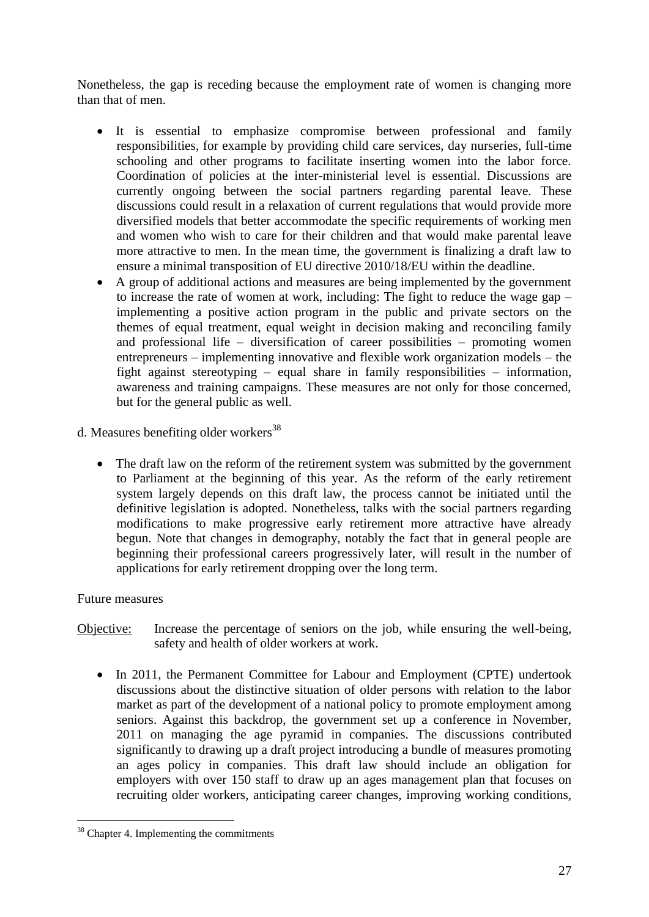Nonetheless, the gap is receding because the employment rate of women is changing more than that of men.

- It is essential to emphasize compromise between professional and family responsibilities, for example by providing child care services, day nurseries, full-time schooling and other programs to facilitate inserting women into the labor force. Coordination of policies at the inter-ministerial level is essential. Discussions are currently ongoing between the social partners regarding parental leave. These discussions could result in a relaxation of current regulations that would provide more diversified models that better accommodate the specific requirements of working men and women who wish to care for their children and that would make parental leave more attractive to men. In the mean time, the government is finalizing a draft law to ensure a minimal transposition of EU directive 2010/18/EU within the deadline.
- A group of additional actions and measures are being implemented by the government to increase the rate of women at work, including: The fight to reduce the wage gap – implementing a positive action program in the public and private sectors on the themes of equal treatment, equal weight in decision making and reconciling family and professional life – diversification of career possibilities – promoting women entrepreneurs – implementing innovative and flexible work organization models – the fight against stereotyping – equal share in family responsibilities – information, awareness and training campaigns. These measures are not only for those concerned, but for the general public as well.
- d. Measures benefiting older workers<sup>38</sup>
	- The draft law on the reform of the retirement system was submitted by the government to Parliament at the beginning of this year. As the reform of the early retirement system largely depends on this draft law, the process cannot be initiated until the definitive legislation is adopted. Nonetheless, talks with the social partners regarding modifications to make progressive early retirement more attractive have already begun. Note that changes in demography, notably the fact that in general people are beginning their professional careers progressively later, will result in the number of applications for early retirement dropping over the long term.

#### Future measures

 $\overline{a}$ 

- Objective: Increase the percentage of seniors on the job, while ensuring the well-being, safety and health of older workers at work.
	- In 2011, the Permanent Committee for Labour and Employment (CPTE) undertook discussions about the distinctive situation of older persons with relation to the labor market as part of the development of a national policy to promote employment among seniors. Against this backdrop, the government set up a conference in November, 2011 on managing the age pyramid in companies. The discussions contributed significantly to drawing up a draft project introducing a bundle of measures promoting an ages policy in companies. This draft law should include an obligation for employers with over 150 staff to draw up an ages management plan that focuses on recruiting older workers, anticipating career changes, improving working conditions,

 $38$  Chapter 4. Implementing the commitments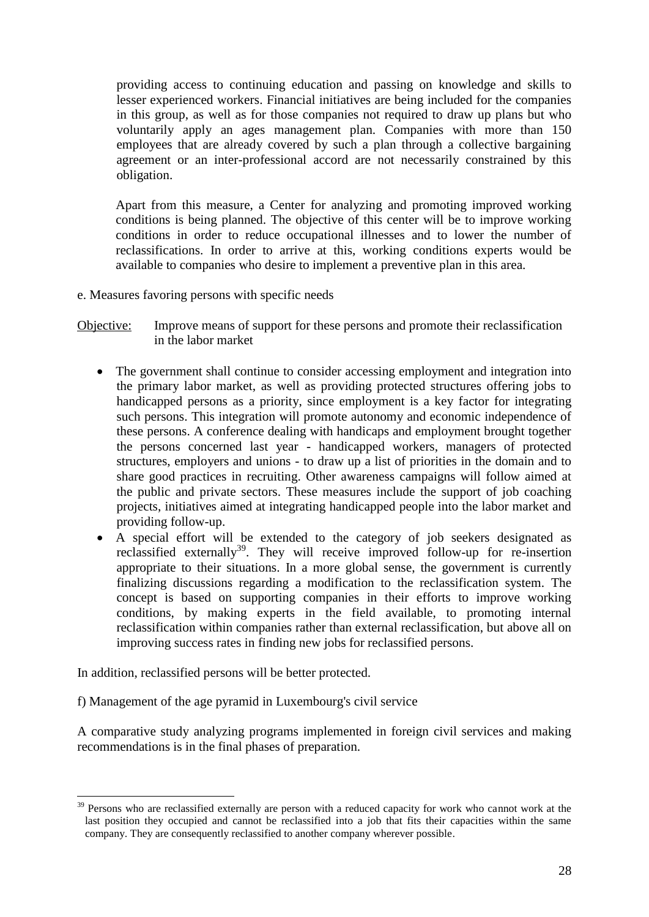providing access to continuing education and passing on knowledge and skills to lesser experienced workers. Financial initiatives are being included for the companies in this group, as well as for those companies not required to draw up plans but who voluntarily apply an ages management plan. Companies with more than 150 employees that are already covered by such a plan through a collective bargaining agreement or an inter-professional accord are not necessarily constrained by this obligation.

Apart from this measure, a Center for analyzing and promoting improved working conditions is being planned. The objective of this center will be to improve working conditions in order to reduce occupational illnesses and to lower the number of reclassifications. In order to arrive at this, working conditions experts would be available to companies who desire to implement a preventive plan in this area.

e. Measures favoring persons with specific needs

#### Objective: Improve means of support for these persons and promote their reclassification in the labor market

- The government shall continue to consider accessing employment and integration into the primary labor market, as well as providing protected structures offering jobs to handicapped persons as a priority, since employment is a key factor for integrating such persons. This integration will promote autonomy and economic independence of these persons. A conference dealing with handicaps and employment brought together the persons concerned last year - handicapped workers, managers of protected structures, employers and unions - to draw up a list of priorities in the domain and to share good practices in recruiting. Other awareness campaigns will follow aimed at the public and private sectors. These measures include the support of job coaching projects, initiatives aimed at integrating handicapped people into the labor market and providing follow-up.
- A special effort will be extended to the category of job seekers designated as reclassified externally<sup>39</sup>. They will receive improved follow-up for re-insertion appropriate to their situations. In a more global sense, the government is currently finalizing discussions regarding a modification to the reclassification system. The concept is based on supporting companies in their efforts to improve working conditions, by making experts in the field available, to promoting internal reclassification within companies rather than external reclassification, but above all on improving success rates in finding new jobs for reclassified persons.

In addition, reclassified persons will be better protected.

 $\overline{a}$ 

f) Management of the age pyramid in Luxembourg's civil service

A comparative study analyzing programs implemented in foreign civil services and making recommendations is in the final phases of preparation.

<sup>&</sup>lt;sup>39</sup> Persons who are reclassified externally are person with a reduced capacity for work who cannot work at the last position they occupied and cannot be reclassified into a job that fits their capacities within the same company. They are consequently reclassified to another company wherever possible.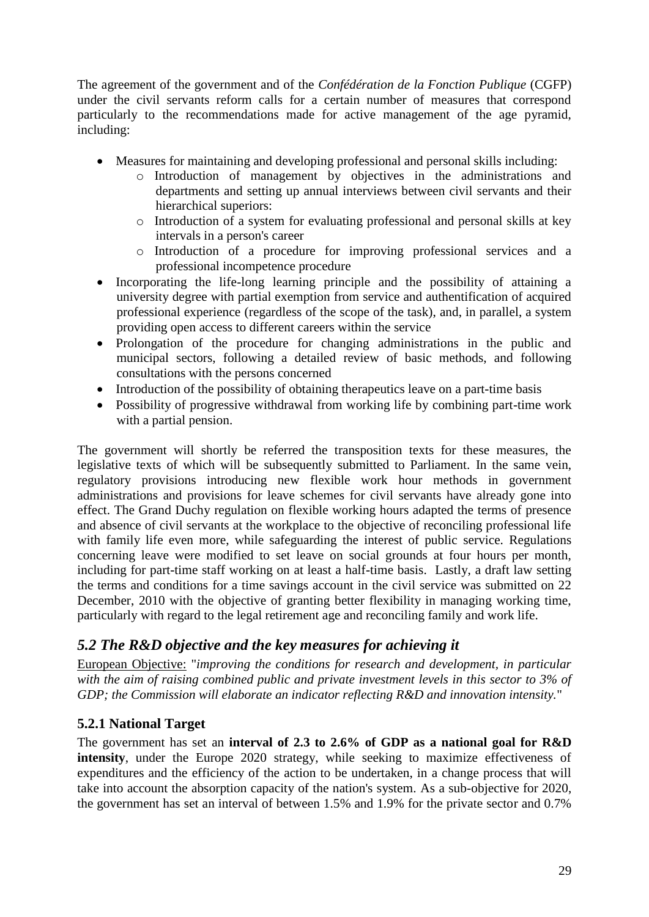The agreement of the government and of the *Confédération de la Fonction Publique* (CGFP) under the civil servants reform calls for a certain number of measures that correspond particularly to the recommendations made for active management of the age pyramid, including:

- Measures for maintaining and developing professional and personal skills including:
	- o Introduction of management by objectives in the administrations and departments and setting up annual interviews between civil servants and their hierarchical superiors:
	- o Introduction of a system for evaluating professional and personal skills at key intervals in a person's career
	- o Introduction of a procedure for improving professional services and a professional incompetence procedure
- Incorporating the life-long learning principle and the possibility of attaining a university degree with partial exemption from service and authentification of acquired professional experience (regardless of the scope of the task), and, in parallel, a system providing open access to different careers within the service
- Prolongation of the procedure for changing administrations in the public and municipal sectors, following a detailed review of basic methods, and following consultations with the persons concerned
- Introduction of the possibility of obtaining therapeutics leave on a part-time basis
- Possibility of progressive withdrawal from working life by combining part-time work with a partial pension.

The government will shortly be referred the transposition texts for these measures, the legislative texts of which will be subsequently submitted to Parliament. In the same vein, regulatory provisions introducing new flexible work hour methods in government administrations and provisions for leave schemes for civil servants have already gone into effect. The Grand Duchy regulation on flexible working hours adapted the terms of presence and absence of civil servants at the workplace to the objective of reconciling professional life with family life even more, while safeguarding the interest of public service. Regulations concerning leave were modified to set leave on social grounds at four hours per month, including for part-time staff working on at least a half-time basis. Lastly, a draft law setting the terms and conditions for a time savings account in the civil service was submitted on 22 December, 2010 with the objective of granting better flexibility in managing working time, particularly with regard to the legal retirement age and reconciling family and work life.

# <span id="page-28-0"></span>*5.2 The R&D objective and the key measures for achieving it*

European Objective: "*improving the conditions for research and development, in particular with the aim of raising combined public and private investment levels in this sector to 3% of GDP; the Commission will elaborate an indicator reflecting R&D and innovation intensity.*"

# <span id="page-28-1"></span>**5.2.1 National Target**

The government has set an **interval of 2.3 to 2.6% of GDP as a national goal for R&D intensity**, under the Europe 2020 strategy, while seeking to maximize effectiveness of expenditures and the efficiency of the action to be undertaken, in a change process that will take into account the absorption capacity of the nation's system. As a sub-objective for 2020, the government has set an interval of between 1.5% and 1.9% for the private sector and 0.7%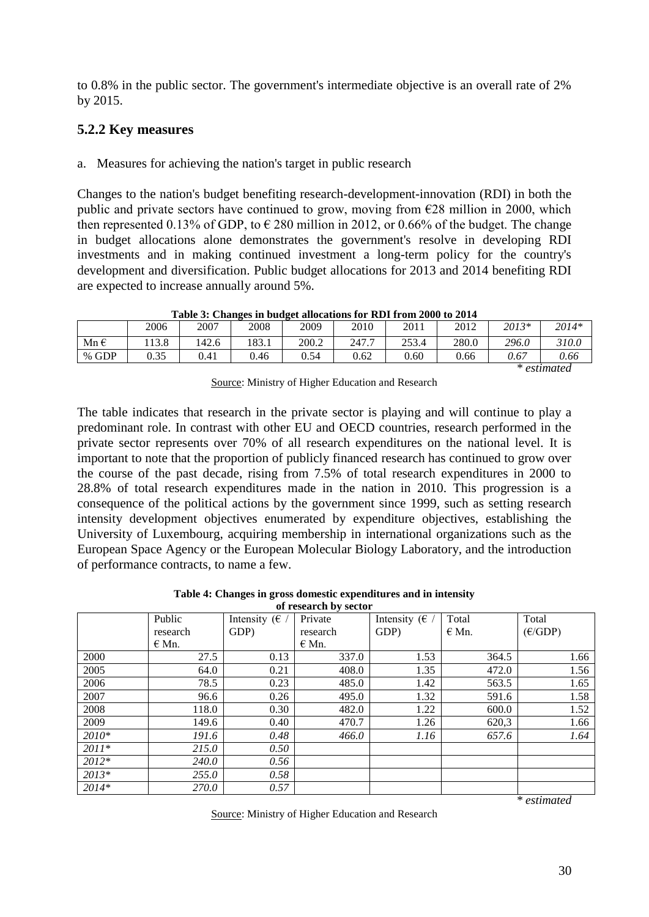to 0.8% in the public sector. The government's intermediate objective is an overall rate of 2% by 2015.

#### <span id="page-29-0"></span>**5.2.2 Key measures**

a. Measures for achieving the nation's target in public research

Changes to the nation's budget benefiting research-development-innovation (RDI) in both the public and private sectors have continued to grow, moving from  $\epsilon$ 28 million in 2000, which then represented 0.13% of GDP, to  $\epsilon$  280 million in 2012, or 0.66% of the budget. The change in budget allocations alone demonstrates the government's resolve in developing RDI investments and in making continued investment a long-term policy for the country's development and diversification. Public budget allocations for 2013 and 2014 benefiting RDI are expected to increase annually around 5%.

|               | 2006 | 2007  | 2008  | 2009  | 2010  | 2011  | 2012  | 2013* | 2014* |
|---------------|------|-------|-------|-------|-------|-------|-------|-------|-------|
| Mn $\epsilon$ | 13.8 | 142.6 | 183.1 | 200.2 | 247.7 | 253.4 | 280.0 | 296.0 | 310.0 |
| % GDP         | 0.35 | 0.41  | 0.46  | 0.54  | 0.62  | 0.60  | 0.66  | 0.67  | 0.66  |

**Table 3: Changes in budget allocations for RDI from 2000 to 2014**

*\* estimated* 

Source: Ministry of Higher Education and Research

The table indicates that research in the private sector is playing and will continue to play a predominant role. In contrast with other EU and OECD countries, research performed in the private sector represents over 70% of all research expenditures on the national level. It is important to note that the proportion of publicly financed research has continued to grow over the course of the past decade, rising from 7.5% of total research expenditures in 2000 to 28.8% of total research expenditures made in the nation in 2010. This progression is a consequence of the political actions by the government since 1999, such as setting research intensity development objectives enumerated by expenditure objectives, establishing the University of Luxembourg, acquiring membership in international organizations such as the European Space Agency or the European Molecular Biology Laboratory, and the introduction of performance contracts, to name a few.

> **Table 4: Changes in gross domestic expenditures and in intensity of research by sector**

| ul research by sector |           |                        |           |                          |           |                  |  |  |  |  |
|-----------------------|-----------|------------------------|-----------|--------------------------|-----------|------------------|--|--|--|--|
|                       | Public    | Intensity ( $\epsilon$ | Private   | Intensity ( $\epsilon$ / | Total     | Total            |  |  |  |  |
|                       | research  | GDP)                   | research  | GDP)                     | $\in$ Mn. | $(\epsilon$ GDP) |  |  |  |  |
|                       | $\in$ Mn. |                        | $\in$ Mn. |                          |           |                  |  |  |  |  |
| 2000                  | 27.5      | 0.13                   | 337.0     | 1.53                     | 364.5     | 1.66             |  |  |  |  |
| 2005                  | 64.0      | 0.21                   | 408.0     | 1.35                     | 472.0     | 1.56             |  |  |  |  |
| 2006                  | 78.5      | 0.23                   | 485.0     | 1.42                     | 563.5     | 1.65             |  |  |  |  |
| 2007                  | 96.6      | 0.26                   | 495.0     | 1.32                     | 591.6     | 1.58             |  |  |  |  |
| 2008                  | 118.0     | 0.30                   | 482.0     | 1.22                     | 600.0     | 1.52             |  |  |  |  |
| 2009                  | 149.6     | 0.40                   | 470.7     | 1.26                     | 620,3     | 1.66             |  |  |  |  |
| 2010*                 | 191.6     | 0.48                   | 466.0     | 1.16                     | 657.6     | 1.64             |  |  |  |  |
| $2011*$               | 215.0     | 0.50                   |           |                          |           |                  |  |  |  |  |
| $2012*$               | 240.0     | 0.56                   |           |                          |           |                  |  |  |  |  |
| $2013*$               | 255.0     | 0.58                   |           |                          |           |                  |  |  |  |  |
| $2014*$               | 270.0     | 0.57                   |           |                          |           |                  |  |  |  |  |

*\* estimated* 

Source: Ministry of Higher Education and Research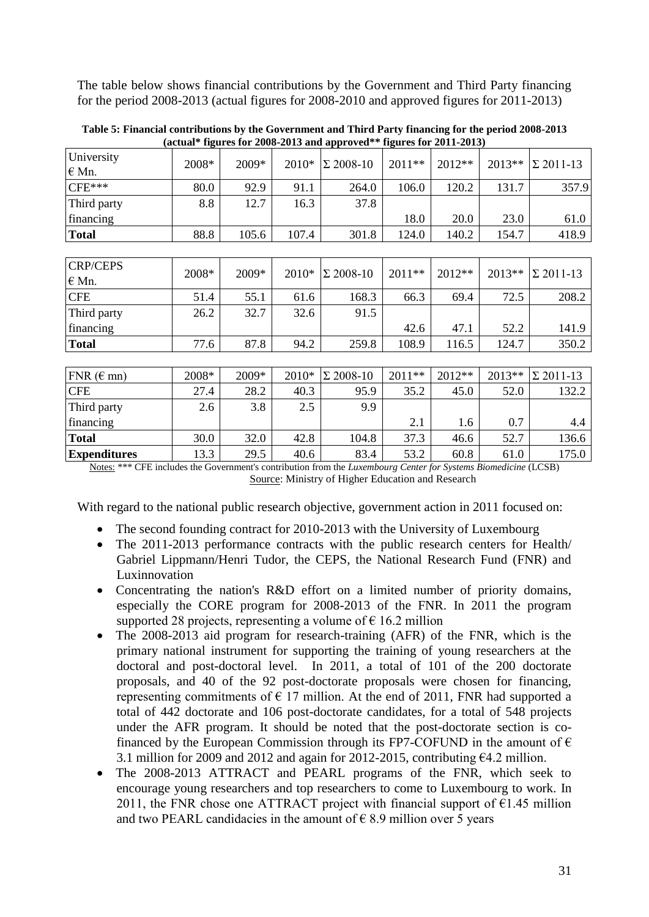The table below shows financial contributions by the Government and Third Party financing for the period 2008-2013 (actual figures for 2008-2010 and approved figures for 2011-2013)

|                              |       | $($ uctum $\frac{1}{2}$ urts for 2000 2010 und upproved |       |                  |        | $\frac{1}{2}$ and $\frac{1}{2}$ and $\frac{1}{2}$ and $\frac{1}{2}$ |        |                  |
|------------------------------|-------|---------------------------------------------------------|-------|------------------|--------|---------------------------------------------------------------------|--------|------------------|
| University<br>$\epsilon$ Mn. | 2008* | 2009*                                                   | 2010* | $\Sigma$ 2008-10 | 2011** | 2012**                                                              | 2013** | $\Sigma$ 2011-13 |
| $CFE***$                     | 80.0  | 92.9                                                    | 91.1  | 264.0            | 106.0  | 120.2                                                               | 131.7  | 357.9            |
| Third party                  | 8.8   | 12.7                                                    | 16.3  | 37.8             |        |                                                                     |        |                  |
| financing                    |       |                                                         |       |                  | 18.0   | 20.0                                                                | 23.0   | 61.0             |
| <b>Total</b>                 | 88.8  | 105.6                                                   | 107.4 | 301.8            | 124.0  | 140.2                                                               | 154.7  | 418.9            |
|                              |       |                                                         |       |                  |        |                                                                     |        |                  |
| <b>CRP/CEPS</b><br>$E$ Mn.   | 2008* | 2009*                                                   | 2010* | $\Sigma$ 2008-10 | 2011** | 2012**                                                              | 2013** | $\Sigma$ 2011-13 |
| <b>CFE</b>                   | 51.4  | 55.1                                                    | 61.6  | 168.3            | 66.3   | 69.4                                                                | 72.5   | 208.2            |
| Third party                  | 26.2  | 32.7                                                    | 32.6  | 91.5             |        |                                                                     |        |                  |
| financing                    |       |                                                         |       |                  | 42.6   | 47.1                                                                | 52.2   | 141.9            |
| <b>Total</b>                 | 77.6  | 87.8                                                    | 94.2  | 259.8            | 108.9  | 116.5                                                               | 124.7  | 350.2            |
|                              |       |                                                         |       |                  |        |                                                                     |        |                  |
| FNR $(\epsilon$ mn)          | 2008* | 2009*                                                   | 2010* | $\Sigma$ 2008-10 | 2011** | 2012**                                                              | 2013** | $\Sigma$ 2011-13 |
| <b>CFE</b>                   | 27.4  | 28.2                                                    | 40.3  | 95.9             | 35.2   | 45.0                                                                | 52.0   | 132.2            |
| Third party                  | 2.6   | 3.8                                                     | 2.5   | 9.9              |        |                                                                     |        |                  |
| financing                    |       |                                                         |       |                  | 2.1    | 1.6                                                                 | 0.7    | 4.4              |
| <b>Total</b>                 | 30.0  | 32.0                                                    | 42.8  | 104.8            | 37.3   | 46.6                                                                | 52.7   | 136.6            |
| <b>Expenditures</b>          | 13.3  | 29.5                                                    | 40.6  | 83.4             | 53.2   | 60.8                                                                | 61.0   | 175.0            |

**Table 5: Financial contributions by the Government and Third Party financing for the period 2008-2013 (actual\* figures for 2008-2013 and approved\*\* figures for 2011-2013)**

Notes: \*\*\* CFE includes the Government's contribution from the *Luxembourg Center for Systems Biomedicine* (LCSB) Source: Ministry of Higher Education and Research

With regard to the national public research objective, government action in 2011 focused on:

- The second founding contract for 2010-2013 with the University of Luxembourg
- The 2011-2013 performance contracts with the public research centers for Health/ Gabriel Lippmann/Henri Tudor, the CEPS, the National Research Fund (FNR) and Luxinnovation
- Concentrating the nation's R&D effort on a limited number of priority domains, especially the CORE program for 2008-2013 of the FNR. In 2011 the program supported 28 projects, representing a volume of  $\epsilon$  16.2 million
- The 2008-2013 aid program for research-training (AFR) of the FNR, which is the primary national instrument for supporting the training of young researchers at the doctoral and post-doctoral level. In 2011, a total of 101 of the 200 doctorate proposals, and 40 of the 92 post-doctorate proposals were chosen for financing, representing commitments of  $\epsilon$  17 million. At the end of 2011, FNR had supported a total of 442 doctorate and 106 post-doctorate candidates, for a total of 548 projects under the AFR program. It should be noted that the post-doctorate section is cofinanced by the European Commission through its FP7-COFUND in the amount of  $\epsilon$ 3.1 million for 2009 and 2012 and again for 2012-2015, contributing  $\epsilon$ 4.2 million.
- The 2008-2013 ATTRACT and PEARL programs of the FNR, which seek to encourage young researchers and top researchers to come to Luxembourg to work. In 2011, the FNR chose one ATTRACT project with financial support of  $\epsilon$ 1.45 million and two PEARL candidacies in the amount of  $\epsilon$  8.9 million over 5 years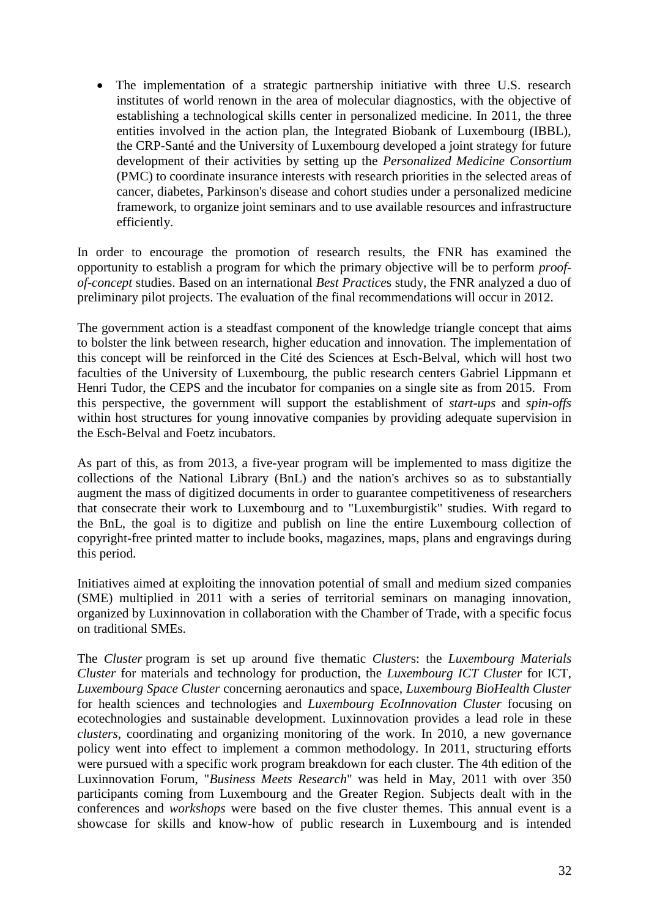• The implementation of a strategic partnership initiative with three U.S. research institutes of world renown in the area of molecular diagnostics, with the objective of establishing a technological skills center in personalized medicine. In 2011, the three entities involved in the action plan, the Integrated Biobank of Luxembourg (IBBL), the CRP-Santé and the University of Luxembourg developed a joint strategy for future development of their activities by setting up the *Personalized Medicine Consortium* (PMC) to coordinate insurance interests with research priorities in the selected areas of cancer, diabetes, Parkinson's disease and cohort studies under a personalized medicine framework, to organize joint seminars and to use available resources and infrastructure efficiently.

In order to encourage the promotion of research results, the FNR has examined the opportunity to establish a program for which the primary objective will be to perform *proofof-concept* studies. Based on an international *Best Practice*s study, the FNR analyzed a duo of preliminary pilot projects. The evaluation of the final recommendations will occur in 2012.

The government action is a steadfast component of the knowledge triangle concept that aims to bolster the link between research, higher education and innovation. The implementation of this concept will be reinforced in the Cité des Sciences at Esch-Belval, which will host two faculties of the University of Luxembourg, the public research centers Gabriel Lippmann et Henri Tudor, the CEPS and the incubator for companies on a single site as from 2015. From this perspective, the government will support the establishment of *start-ups* and *spin-offs* within host structures for young innovative companies by providing adequate supervision in the Esch-Belval and Foetz incubators.

As part of this, as from 2013, a five-year program will be implemented to mass digitize the collections of the National Library (BnL) and the nation's archives so as to substantially augment the mass of digitized documents in order to guarantee competitiveness of researchers that consecrate their work to Luxembourg and to "Luxemburgistik" studies. With regard to the BnL, the goal is to digitize and publish on line the entire Luxembourg collection of copyright-free printed matter to include books, magazines, maps, plans and engravings during this period.

Initiatives aimed at exploiting the innovation potential of small and medium sized companies (SME) multiplied in 2011 with a series of territorial seminars on managing innovation, organized by Luxinnovation in collaboration with the Chamber of Trade, with a specific focus on traditional SMEs.

The *Cluster* program is set up around five thematic *Cluster*s: the *Luxembourg Materials Cluster* for materials and technology for production, the *Luxembourg ICT Cluster* for ICT, *Luxembourg Space Cluster* concerning aeronautics and space, *Luxembourg BioHealth Cluster* for health sciences and technologies and *Luxembourg EcoInnovation Cluster* focusing on ecotechnologies and sustainable development. Luxinnovation provides a lead role in these *clusters*, coordinating and organizing monitoring of the work. In 2010, a new governance policy went into effect to implement a common methodology. In 2011, structuring efforts were pursued with a specific work program breakdown for each cluster. The 4th edition of the Luxinnovation Forum, "*Business Meets Research*" was held in May, 2011 with over 350 participants coming from Luxembourg and the Greater Region. Subjects dealt with in the conferences and *workshops* were based on the five cluster themes. This annual event is a showcase for skills and know-how of public research in Luxembourg and is intended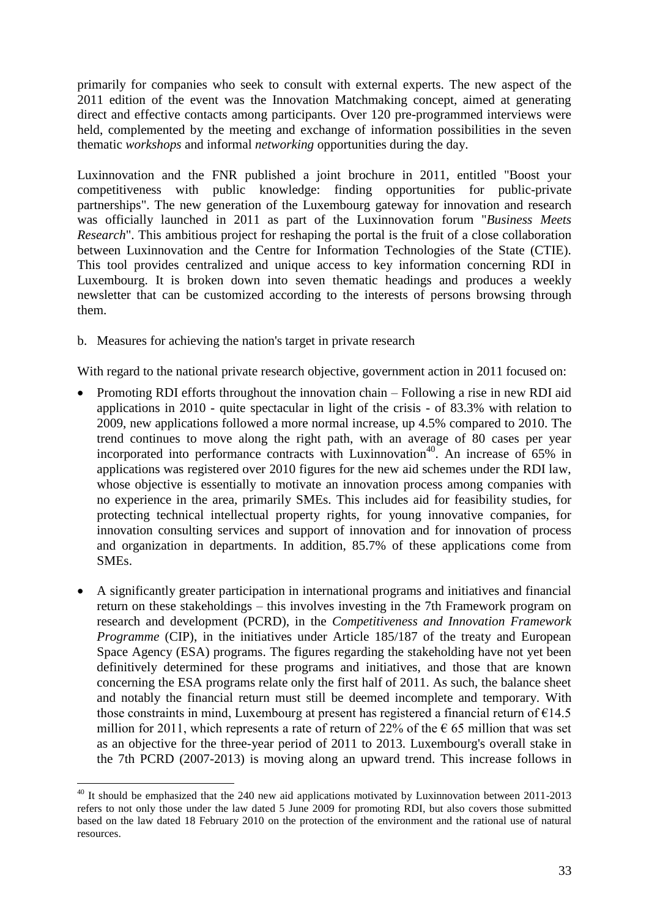primarily for companies who seek to consult with external experts. The new aspect of the 2011 edition of the event was the Innovation Matchmaking concept, aimed at generating direct and effective contacts among participants. Over 120 pre-programmed interviews were held, complemented by the meeting and exchange of information possibilities in the seven thematic *workshops* and informal *networking* opportunities during the day.

Luxinnovation and the FNR published a joint brochure in 2011, entitled "Boost your competitiveness with public knowledge: finding opportunities for public-private partnerships". The new generation of the Luxembourg gateway for innovation and research was officially launched in 2011 as part of the Luxinnovation forum "*Business Meets Research*". This ambitious project for reshaping the portal is the fruit of a close collaboration between Luxinnovation and the Centre for Information Technologies of the State (CTIE). This tool provides centralized and unique access to key information concerning RDI in Luxembourg. It is broken down into seven thematic headings and produces a weekly newsletter that can be customized according to the interests of persons browsing through them.

b. Measures for achieving the nation's target in private research

With regard to the national private research objective, government action in 2011 focused on:

- Promoting RDI efforts throughout the innovation chain Following a rise in new RDI aid applications in 2010 - quite spectacular in light of the crisis - of 83.3% with relation to 2009, new applications followed a more normal increase, up 4.5% compared to 2010. The trend continues to move along the right path, with an average of 80 cases per year incorporated into performance contracts with Luxinnovation<sup>40</sup>. An increase of 65% in applications was registered over 2010 figures for the new aid schemes under the RDI law, whose objective is essentially to motivate an innovation process among companies with no experience in the area, primarily SMEs. This includes aid for feasibility studies, for protecting technical intellectual property rights, for young innovative companies, for innovation consulting services and support of innovation and for innovation of process and organization in departments. In addition, 85.7% of these applications come from SMEs.
- A significantly greater participation in international programs and initiatives and financial return on these stakeholdings – this involves investing in the 7th Framework program on research and development (PCRD), in the *Competitiveness and Innovation Framework Programme* (CIP), in the initiatives under Article 185/187 of the treaty and European Space Agency (ESA) programs. The figures regarding the stakeholding have not yet been definitively determined for these programs and initiatives, and those that are known concerning the ESA programs relate only the first half of 2011. As such, the balance sheet and notably the financial return must still be deemed incomplete and temporary. With those constraints in mind, Luxembourg at present has registered a financial return of  $E14.5$ million for 2011, which represents a rate of return of 22% of the  $\epsilon$  65 million that was set as an objective for the three-year period of 2011 to 2013. Luxembourg's overall stake in the 7th PCRD (2007-2013) is moving along an upward trend. This increase follows in

 $\overline{a}$  $40$  It should be emphasized that the 240 new aid applications motivated by Luxinnovation between 2011-2013 refers to not only those under the law dated 5 June 2009 for promoting RDI, but also covers those submitted based on the law dated 18 February 2010 on the protection of the environment and the rational use of natural resources.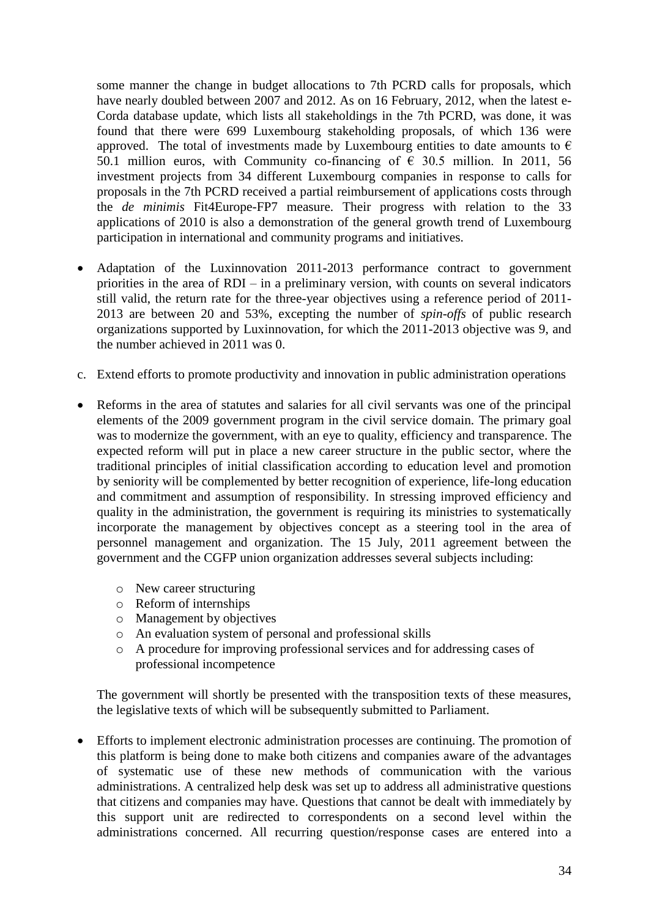some manner the change in budget allocations to 7th PCRD calls for proposals, which have nearly doubled between 2007 and 2012. As on 16 February, 2012, when the latest e-Corda database update, which lists all stakeholdings in the 7th PCRD, was done, it was found that there were 699 Luxembourg stakeholding proposals, of which 136 were approved. The total of investments made by Luxembourg entities to date amounts to  $\epsilon$ 50.1 million euros, with Community co-financing of  $\epsilon$  30.5 million. In 2011, 56 investment projects from 34 different Luxembourg companies in response to calls for proposals in the 7th PCRD received a partial reimbursement of applications costs through the *de minimis* Fit4Europe-FP7 measure. Their progress with relation to the 33 applications of 2010 is also a demonstration of the general growth trend of Luxembourg participation in international and community programs and initiatives.

- Adaptation of the Luxinnovation 2011-2013 performance contract to government priorities in the area of RDI – in a preliminary version, with counts on several indicators still valid, the return rate for the three-year objectives using a reference period of 2011- 2013 are between 20 and 53%, excepting the number of *spin-offs* of public research organizations supported by Luxinnovation, for which the 2011-2013 objective was 9, and the number achieved in 2011 was 0.
- c. Extend efforts to promote productivity and innovation in public administration operations
- Reforms in the area of statutes and salaries for all civil servants was one of the principal elements of the 2009 government program in the civil service domain. The primary goal was to modernize the government, with an eye to quality, efficiency and transparence. The expected reform will put in place a new career structure in the public sector, where the traditional principles of initial classification according to education level and promotion by seniority will be complemented by better recognition of experience, life-long education and commitment and assumption of responsibility. In stressing improved efficiency and quality in the administration, the government is requiring its ministries to systematically incorporate the management by objectives concept as a steering tool in the area of personnel management and organization. The 15 July, 2011 agreement between the government and the CGFP union organization addresses several subjects including:
	- o New career structuring
	- o Reform of internships
	- o Management by objectives
	- o An evaluation system of personal and professional skills
	- o A procedure for improving professional services and for addressing cases of professional incompetence

The government will shortly be presented with the transposition texts of these measures, the legislative texts of which will be subsequently submitted to Parliament.

 Efforts to implement electronic administration processes are continuing. The promotion of this platform is being done to make both citizens and companies aware of the advantages of systematic use of these new methods of communication with the various administrations. A centralized help desk was set up to address all administrative questions that citizens and companies may have. Questions that cannot be dealt with immediately by this support unit are redirected to correspondents on a second level within the administrations concerned. All recurring question/response cases are entered into a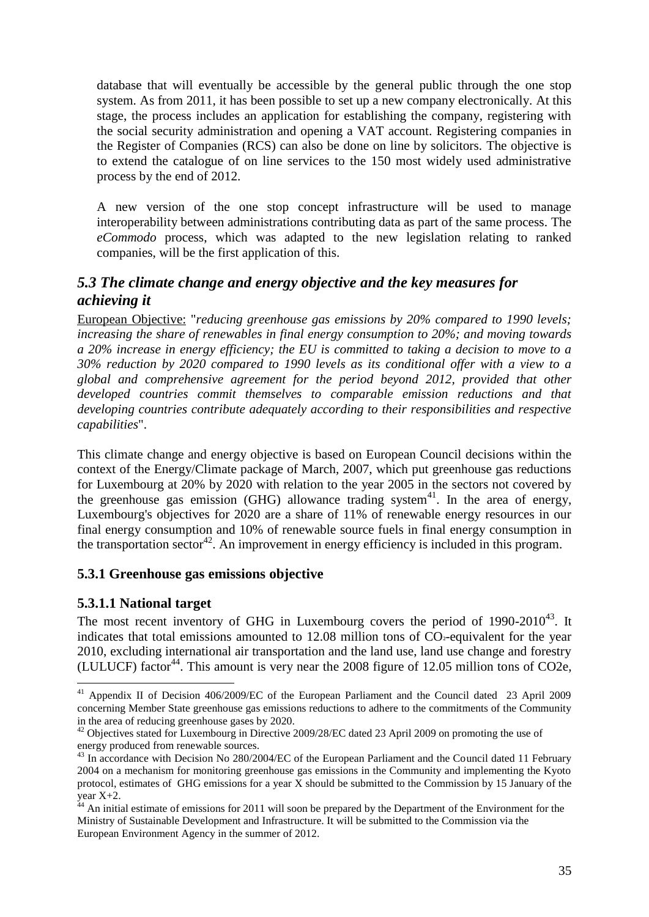database that will eventually be accessible by the general public through the one stop system. As from 2011, it has been possible to set up a new company electronically. At this stage, the process includes an application for establishing the company, registering with the social security administration and opening a VAT account. Registering companies in the Register of Companies (RCS) can also be done on line by solicitors. The objective is to extend the catalogue of on line services to the 150 most widely used administrative process by the end of 2012.

A new version of the one stop concept infrastructure will be used to manage interoperability between administrations contributing data as part of the same process. The *eCommodo* process, which was adapted to the new legislation relating to ranked companies, will be the first application of this.

# <span id="page-34-0"></span>*5.3 The climate change and energy objective and the key measures for achieving it*

European Objective: "*reducing greenhouse gas emissions by 20% compared to 1990 levels; increasing the share of renewables in final energy consumption to 20%; and moving towards a 20% increase in energy efficiency; the EU is committed to taking a decision to move to a 30% reduction by 2020 compared to 1990 levels as its conditional offer with a view to a global and comprehensive agreement for the period beyond 2012, provided that other developed countries commit themselves to comparable emission reductions and that developing countries contribute adequately according to their responsibilities and respective capabilities*".

This climate change and energy objective is based on European Council decisions within the context of the Energy/Climate package of March, 2007, which put greenhouse gas reductions for Luxembourg at 20% by 2020 with relation to the year 2005 in the sectors not covered by the greenhouse gas emission (GHG) allowance trading system $4$ <sup>1</sup>. In the area of energy, Luxembourg's objectives for 2020 are a share of 11% of renewable energy resources in our final energy consumption and 10% of renewable source fuels in final energy consumption in the transportation sector<sup>42</sup>. An improvement in energy efficiency is included in this program.

#### <span id="page-34-1"></span>**5.3.1 Greenhouse gas emissions objective**

#### <span id="page-34-2"></span>**5.3.1.1 National target**

The most recent inventory of GHG in Luxembourg covers the period of  $1990-2010^{43}$ . It indicates that total emissions amounted to  $12.08$  million tons of  $CO$ -equivalent for the year 2010, excluding international air transportation and the land use, land use change and forestry (LULUCF) factor<sup>44</sup>. This amount is very near the 2008 figure of 12.05 million tons of CO2e,

 $\overline{a}$ <sup>41</sup> Appendix II of Decision 406/2009/EC of the European Parliament and the Council dated 23 April 2009 concerning Member State greenhouse gas emissions reductions to adhere to the commitments of the Community in the area of reducing greenhouse gases by 2020.

<sup>&</sup>lt;sup>42</sup> Objectives stated for Luxembourg in Directive 2009/28/EC dated 23 April 2009 on promoting the use of energy produced from renewable sources.

<sup>&</sup>lt;sup>43</sup> In accordance with Decision No 280/2004/EC of the European Parliament and the Council dated 11 February 2004 on a mechanism for monitoring greenhouse gas emissions in the Community and implementing the Kyoto protocol, estimates of GHG emissions for a year X should be submitted to the Commission by 15 January of the year X+2.

 $44$  An initial estimate of emissions for 2011 will soon be prepared by the Department of the Environment for the Ministry of Sustainable Development and Infrastructure. It will be submitted to the Commission via the European Environment Agency in the summer of 2012.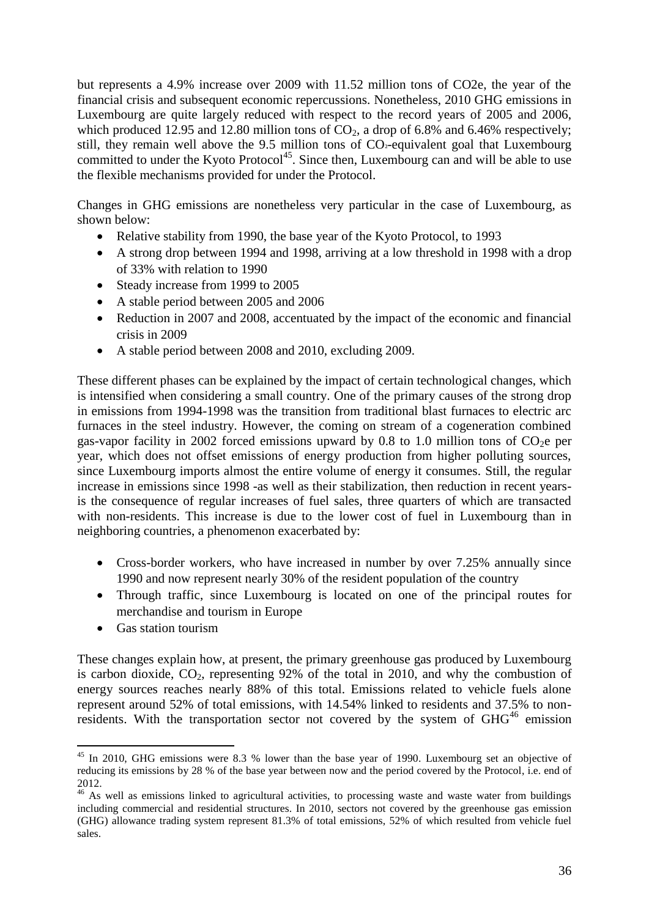but represents a 4.9% increase over 2009 with 11.52 million tons of CO2e, the year of the financial crisis and subsequent economic repercussions. Nonetheless, 2010 GHG emissions in Luxembourg are quite largely reduced with respect to the record years of 2005 and 2006, which produced 12.95 and 12.80 million tons of  $CO<sub>2</sub>$ , a drop of 6.8% and 6.46% respectively; still, they remain well above the 9.5 million tons of  $CO<sub>2</sub>$ -equivalent goal that Luxembourg committed to under the Kyoto Protocol<sup>45</sup>. Since then, Luxembourg can and will be able to use the flexible mechanisms provided for under the Protocol.

Changes in GHG emissions are nonetheless very particular in the case of Luxembourg, as shown below:

- Relative stability from 1990, the base year of the Kyoto Protocol, to 1993
- A strong drop between 1994 and 1998, arriving at a low threshold in 1998 with a drop of 33% with relation to 1990
- Steady increase from 1999 to 2005
- A stable period between 2005 and 2006
- Reduction in 2007 and 2008, accentuated by the impact of the economic and financial crisis in 2009
- A stable period between 2008 and 2010, excluding 2009.

These different phases can be explained by the impact of certain technological changes, which is intensified when considering a small country. One of the primary causes of the strong drop in emissions from 1994-1998 was the transition from traditional blast furnaces to electric arc furnaces in the steel industry. However, the coming on stream of a cogeneration combined gas-vapor facility in 2002 forced emissions upward by 0.8 to 1.0 million tons of  $CO<sub>2</sub>e$  per year, which does not offset emissions of energy production from higher polluting sources, since Luxembourg imports almost the entire volume of energy it consumes. Still, the regular increase in emissions since 1998 -as well as their stabilization, then reduction in recent yearsis the consequence of regular increases of fuel sales, three quarters of which are transacted with non-residents. This increase is due to the lower cost of fuel in Luxembourg than in neighboring countries, a phenomenon exacerbated by:

- Cross-border workers, who have increased in number by over 7.25% annually since 1990 and now represent nearly 30% of the resident population of the country
- Through traffic, since Luxembourg is located on one of the principal routes for merchandise and tourism in Europe
- Gas station tourism

 $\overline{a}$ 

These changes explain how, at present, the primary greenhouse gas produced by Luxembourg is carbon dioxide,  $CO<sub>2</sub>$ , representing 92% of the total in 2010, and why the combustion of energy sources reaches nearly 88% of this total. Emissions related to vehicle fuels alone represent around 52% of total emissions, with 14.54% linked to residents and 37.5% to nonresidents. With the transportation sector not covered by the system of  $GHG<sup>46</sup>$  emission

<sup>&</sup>lt;sup>45</sup> In 2010. GHG emissions were 8.3 % lower than the base year of 1990. Luxembourg set an objective of reducing its emissions by 28 % of the base year between now and the period covered by the Protocol, i.e. end of 2012.

<sup>&</sup>lt;sup>46</sup> As well as emissions linked to agricultural activities, to processing waste and waste water from buildings including commercial and residential structures. In 2010, sectors not covered by the greenhouse gas emission (GHG) allowance trading system represent 81.3% of total emissions, 52% of which resulted from vehicle fuel sales.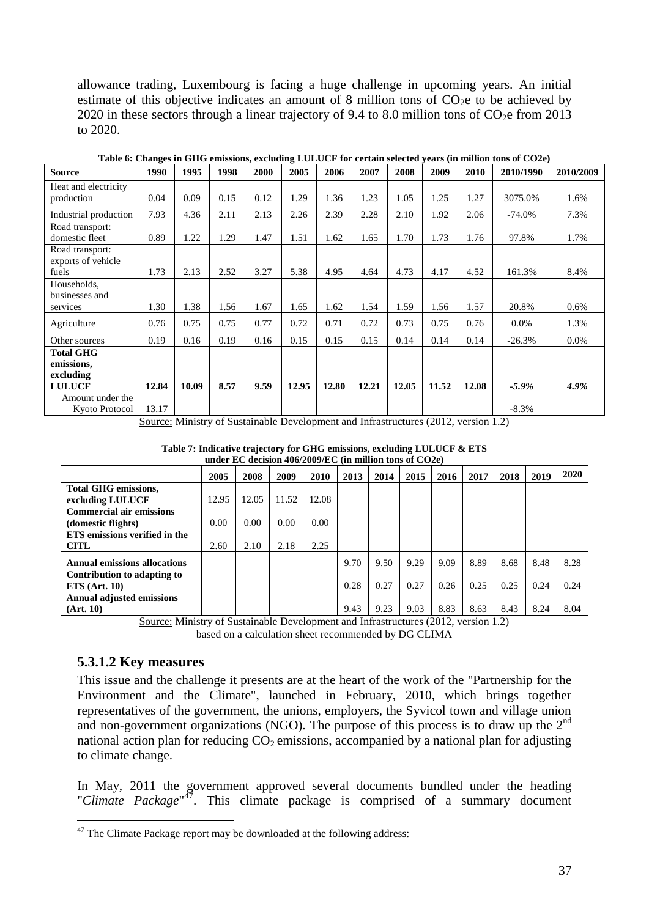allowance trading, Luxembourg is facing a huge challenge in upcoming years. An initial estimate of this objective indicates an amount of 8 million tons of  $CO<sub>2</sub>e$  to be achieved by 2020 in these sectors through a linear trajectory of 9.4 to 8.0 million tons of  $CO<sub>2</sub>e$  from 2013 to 2020.

| <b>Source</b>         | 1990  | 1995  | 1998 | 2000 | 2005  | 2006  | 2007  | 2008  | 2009  | 2010  | 2010/1990 | 2010/2009 |
|-----------------------|-------|-------|------|------|-------|-------|-------|-------|-------|-------|-----------|-----------|
| Heat and electricity  |       |       |      |      |       |       |       |       |       |       |           |           |
| production            | 0.04  | 0.09  | 0.15 | 0.12 | 1.29  | 1.36  | 1.23  | 1.05  | 1.25  | 1.27  | 3075.0%   | 1.6%      |
| Industrial production | 7.93  | 4.36  | 2.11 | 2.13 | 2.26  | 2.39  | 2.28  | 2.10  | 1.92  | 2.06  | $-74.0\%$ | 7.3%      |
| Road transport:       |       |       |      |      |       |       |       |       |       |       |           |           |
| domestic fleet        | 0.89  | 1.22  | 1.29 | 1.47 | 1.51  | 1.62  | 1.65  | 1.70  | 1.73  | 1.76  | 97.8%     | 1.7%      |
| Road transport:       |       |       |      |      |       |       |       |       |       |       |           |           |
| exports of vehicle    |       |       |      |      |       |       |       |       |       |       |           |           |
| fuels                 | 1.73  | 2.13  | 2.52 | 3.27 | 5.38  | 4.95  | 4.64  | 4.73  | 4.17  | 4.52  | 161.3%    | 8.4%      |
| Households,           |       |       |      |      |       |       |       |       |       |       |           |           |
| businesses and        |       |       |      |      |       |       |       |       |       |       |           |           |
| services              | 1.30  | 1.38  | 1.56 | 1.67 | 1.65  | 1.62  | 1.54  | 1.59  | 1.56  | 1.57  | 20.8%     | 0.6%      |
| Agriculture           | 0.76  | 0.75  | 0.75 | 0.77 | 0.72  | 0.71  | 0.72  | 0.73  | 0.75  | 0.76  | $0.0\%$   | 1.3%      |
| Other sources         | 0.19  | 0.16  | 0.19 | 0.16 | 0.15  | 0.15  | 0.15  | 0.14  | 0.14  | 0.14  | $-26.3%$  | $0.0\%$   |
| <b>Total GHG</b>      |       |       |      |      |       |       |       |       |       |       |           |           |
| emissions,            |       |       |      |      |       |       |       |       |       |       |           |           |
| excluding             |       |       |      |      |       |       |       |       |       |       |           |           |
| <b>LULUCF</b>         | 12.84 | 10.09 | 8.57 | 9.59 | 12.95 | 12.80 | 12.21 | 12.05 | 11.52 | 12.08 | $-5.9\%$  | 4.9%      |
| Amount under the      |       |       |      |      |       |       |       |       |       |       |           |           |
| Kyoto Protocol        | 13.17 |       |      |      |       |       |       |       |       |       | $-8.3\%$  |           |

**Table 6: Changes in GHG emissions, excluding LULUCF for certain selected years (in million tons of CO2e)** 

Source: Ministry of Sustainable Development and Infrastructures (2012, version 1.2)

| under EC decision 400/2009/EC (in million tons of $COZe$ ) |       |       |       |       |      |      |      |      |      |      |      |      |
|------------------------------------------------------------|-------|-------|-------|-------|------|------|------|------|------|------|------|------|
|                                                            | 2005  | 2008  | 2009  | 2010  | 2013 | 2014 | 2015 | 2016 | 2017 | 2018 | 2019 | 2020 |
| <b>Total GHG emissions,</b>                                |       |       |       |       |      |      |      |      |      |      |      |      |
| excluding LULUCF                                           | 12.95 | 12.05 | 11.52 | 12.08 |      |      |      |      |      |      |      |      |
| <b>Commercial air emissions</b>                            |       |       |       |       |      |      |      |      |      |      |      |      |
| (domestic flights)                                         | 0.00  | 0.00  | 0.00  | 0.00  |      |      |      |      |      |      |      |      |
| ETS emissions verified in the                              |       |       |       |       |      |      |      |      |      |      |      |      |
| <b>CITL</b>                                                | 2.60  | 2.10  | 2.18  | 2.25  |      |      |      |      |      |      |      |      |
| <b>Annual emissions allocations</b>                        |       |       |       |       | 9.70 | 9.50 | 9.29 | 9.09 | 8.89 | 8.68 | 8.48 | 8.28 |
| Contribution to adapting to                                |       |       |       |       |      |      |      |      |      |      |      |      |
| ETS (Art. 10)                                              |       |       |       |       | 0.28 | 0.27 | 0.27 | 0.26 | 0.25 | 0.25 | 0.24 | 0.24 |
| <b>Annual adjusted emissions</b>                           |       |       |       |       |      |      |      |      |      |      |      |      |
| (Art. 10)                                                  |       |       |       |       | 9.43 | 9.23 | 9.03 | 8.83 | 8.63 | 8.43 | 8.24 | 8.04 |

**Table 7: Indicative trajectory for GHG emissions, excluding LULUCF & ETS under EC decision 406/2009/EC (in million tons of CO2e)**

Source: Ministry of Sustainable Development and Infrastructures (2012, version 1.2) based on a calculation sheet recommended by DG CLIMA

#### <span id="page-36-0"></span>**5.3.1.2 Key measures**

 $\overline{a}$ 

This issue and the challenge it presents are at the heart of the work of the "Partnership for the Environment and the Climate", launched in February, 2010, which brings together representatives of the government, the unions, employers, the Syvicol town and village union and non-government organizations (NGO). The purpose of this process is to draw up the  $2<sup>nd</sup>$ national action plan for reducing  $CO<sub>2</sub>$  emissions, accompanied by a national plan for adjusting to climate change.

In May, 2011 the government approved several documents bundled under the heading "*Climate Package*" 47 . This climate package is comprised of a summary document

 $47$  The Climate Package report may be downloaded at the following address: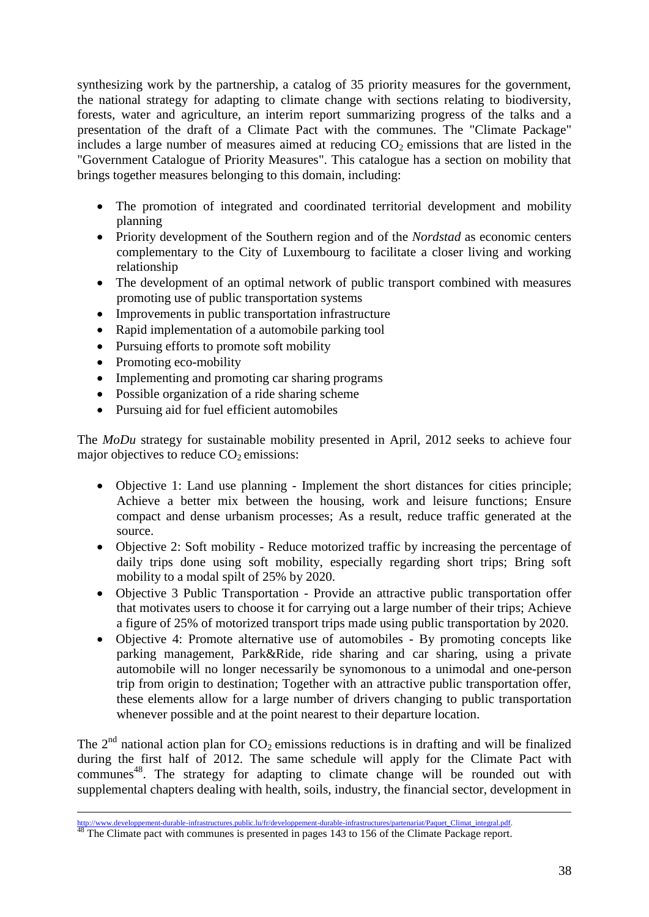synthesizing work by the partnership, a catalog of 35 priority measures for the government, the national strategy for adapting to climate change with sections relating to biodiversity, forests, water and agriculture, an interim report summarizing progress of the talks and a presentation of the draft of a Climate Pact with the communes. The "Climate Package" includes a large number of measures aimed at reducing  $CO<sub>2</sub>$  emissions that are listed in the "Government Catalogue of Priority Measures". This catalogue has a section on mobility that brings together measures belonging to this domain, including:

- The promotion of integrated and coordinated territorial development and mobility planning
- Priority development of the Southern region and of the *Nordstad* as economic centers complementary to the City of Luxembourg to facilitate a closer living and working relationship
- The development of an optimal network of public transport combined with measures promoting use of public transportation systems
- Improvements in public transportation infrastructure
- Rapid implementation of a automobile parking tool
- Pursuing efforts to promote soft mobility
- Promoting eco-mobility
- Implementing and promoting car sharing programs
- Possible organization of a ride sharing scheme
- Pursuing aid for fuel efficient automobiles

The *MoDu* strategy for sustainable mobility presented in April, 2012 seeks to achieve four major objectives to reduce  $CO<sub>2</sub>$  emissions:

- Objective 1: Land use planning Implement the short distances for cities principle; Achieve a better mix between the housing, work and leisure functions; Ensure compact and dense urbanism processes; As a result, reduce traffic generated at the source.
- Objective 2: Soft mobility Reduce motorized traffic by increasing the percentage of daily trips done using soft mobility, especially regarding short trips; Bring soft mobility to a modal spilt of 25% by 2020.
- Objective 3 Public Transportation Provide an attractive public transportation offer that motivates users to choose it for carrying out a large number of their trips; Achieve a figure of 25% of motorized transport trips made using public transportation by 2020.
- Objective 4: Promote alternative use of automobiles By promoting concepts like parking management, Park&Ride, ride sharing and car sharing, using a private automobile will no longer necessarily be synomonous to a unimodal and one-person trip from origin to destination; Together with an attractive public transportation offer, these elements allow for a large number of drivers changing to public transportation whenever possible and at the point nearest to their departure location.

The  $2<sup>nd</sup>$  national action plan for  $CO<sub>2</sub>$  emissions reductions is in drafting and will be finalized during the first half of 2012. The same schedule will apply for the Climate Pact with communes<sup>48</sup>. The strategy for adapting to climate change will be rounded out with supplemental chapters dealing with health, soils, industry, the financial sector, development in

 $\overline{a}$ [http://www.developpement-durable-infrastructures.public.lu/fr/developpement-durable-infrastructures/partenariat/Paquet\\_Climat\\_integral.pdf.](http://www.developpement-durable-infrastructures.public.lu/fr/developpement-durable-infrastructures/partenariat/Paquet_Climat_integral.pdf)

The Climate pact with communes is presented in pages 143 to 156 of the Climate Package report.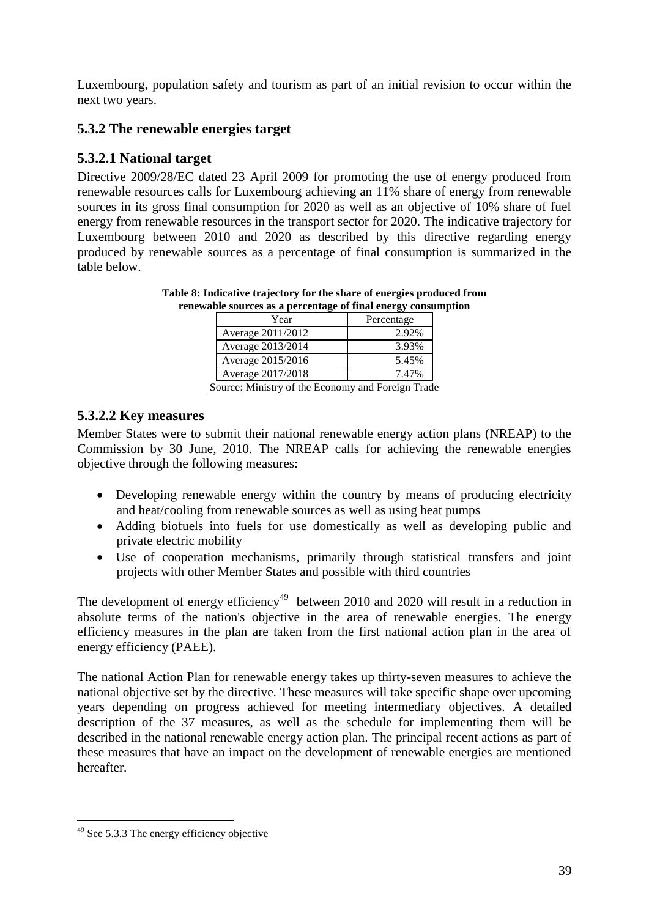Luxembourg, population safety and tourism as part of an initial revision to occur within the next two years.

#### <span id="page-38-0"></span>**5.3.2 The renewable energies target**

## <span id="page-38-1"></span>**5.3.2.1 National target**

Directive 2009/28/EC dated 23 April 2009 for promoting the use of energy produced from renewable resources calls for Luxembourg achieving an 11% share of energy from renewable sources in its gross final consumption for 2020 as well as an objective of 10% share of fuel energy from renewable resources in the transport sector for 2020. The indicative trajectory for Luxembourg between 2010 and 2020 as described by this directive regarding energy produced by renewable sources as a percentage of final consumption is summarized in the table below.

| abic sources as a percentage of final energy consul |            |  |
|-----------------------------------------------------|------------|--|
| Year                                                | Percentage |  |
| Average 2011/2012                                   | 2.92%      |  |
| Average 2013/2014                                   | 3.93%      |  |
| Average 2015/2016                                   | 5.45%      |  |
| Average 2017/2018                                   | 7.47%      |  |

**Table 8: Indicative trajectory for the share of energies produced from renewable sources as a percentage of final energy consumption** 

Source: Ministry of the Economy and Foreign Trade

#### <span id="page-38-2"></span>**5.3.2.2 Key measures**

Member States were to submit their national renewable energy action plans (NREAP) to the Commission by 30 June, 2010. The NREAP calls for achieving the renewable energies objective through the following measures:

- Developing renewable energy within the country by means of producing electricity and heat/cooling from renewable sources as well as using heat pumps
- Adding biofuels into fuels for use domestically as well as developing public and private electric mobility
- Use of cooperation mechanisms, primarily through statistical transfers and joint projects with other Member States and possible with third countries

The development of energy efficiency<sup>49</sup> between 2010 and 2020 will result in a reduction in absolute terms of the nation's objective in the area of renewable energies. The energy efficiency measures in the plan are taken from the first national action plan in the area of energy efficiency (PAEE).

The national Action Plan for renewable energy takes up thirty-seven measures to achieve the national objective set by the directive. These measures will take specific shape over upcoming years depending on progress achieved for meeting intermediary objectives. A detailed description of the 37 measures, as well as the schedule for implementing them will be described in the national renewable energy action plan. The principal recent actions as part of these measures that have an impact on the development of renewable energies are mentioned hereafter.

 $\overline{a}$ <sup>49</sup> See 5.3.3 The energy efficiency objective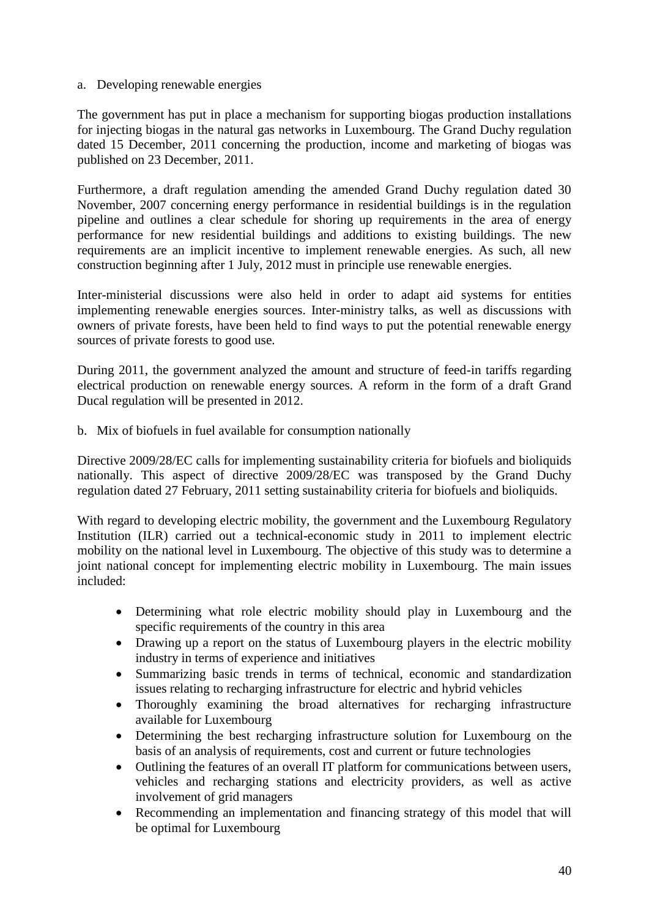#### a. Developing renewable energies

The government has put in place a mechanism for supporting biogas production installations for injecting biogas in the natural gas networks in Luxembourg. The Grand Duchy regulation dated 15 December, 2011 concerning the production, income and marketing of biogas was published on 23 December, 2011.

Furthermore, a draft regulation amending the amended Grand Duchy regulation dated 30 November, 2007 concerning energy performance in residential buildings is in the regulation pipeline and outlines a clear schedule for shoring up requirements in the area of energy performance for new residential buildings and additions to existing buildings. The new requirements are an implicit incentive to implement renewable energies. As such, all new construction beginning after 1 July, 2012 must in principle use renewable energies.

Inter-ministerial discussions were also held in order to adapt aid systems for entities implementing renewable energies sources. Inter-ministry talks, as well as discussions with owners of private forests, have been held to find ways to put the potential renewable energy sources of private forests to good use.

During 2011, the government analyzed the amount and structure of feed-in tariffs regarding electrical production on renewable energy sources. A reform in the form of a draft Grand Ducal regulation will be presented in 2012.

b. Mix of biofuels in fuel available for consumption nationally

Directive 2009/28/EC calls for implementing sustainability criteria for biofuels and bioliquids nationally. This aspect of directive 2009/28/EC was transposed by the Grand Duchy regulation dated 27 February, 2011 setting sustainability criteria for biofuels and bioliquids.

With regard to developing electric mobility, the government and the Luxembourg Regulatory Institution (ILR) carried out a technical-economic study in 2011 to implement electric mobility on the national level in Luxembourg. The objective of this study was to determine a joint national concept for implementing electric mobility in Luxembourg. The main issues included:

- Determining what role electric mobility should play in Luxembourg and the specific requirements of the country in this area
- Drawing up a report on the status of Luxembourg players in the electric mobility industry in terms of experience and initiatives
- Summarizing basic trends in terms of technical, economic and standardization issues relating to recharging infrastructure for electric and hybrid vehicles
- Thoroughly examining the broad alternatives for recharging infrastructure available for Luxembourg
- Determining the best recharging infrastructure solution for Luxembourg on the basis of an analysis of requirements, cost and current or future technologies
- Outlining the features of an overall IT platform for communications between users, vehicles and recharging stations and electricity providers, as well as active involvement of grid managers
- Recommending an implementation and financing strategy of this model that will be optimal for Luxembourg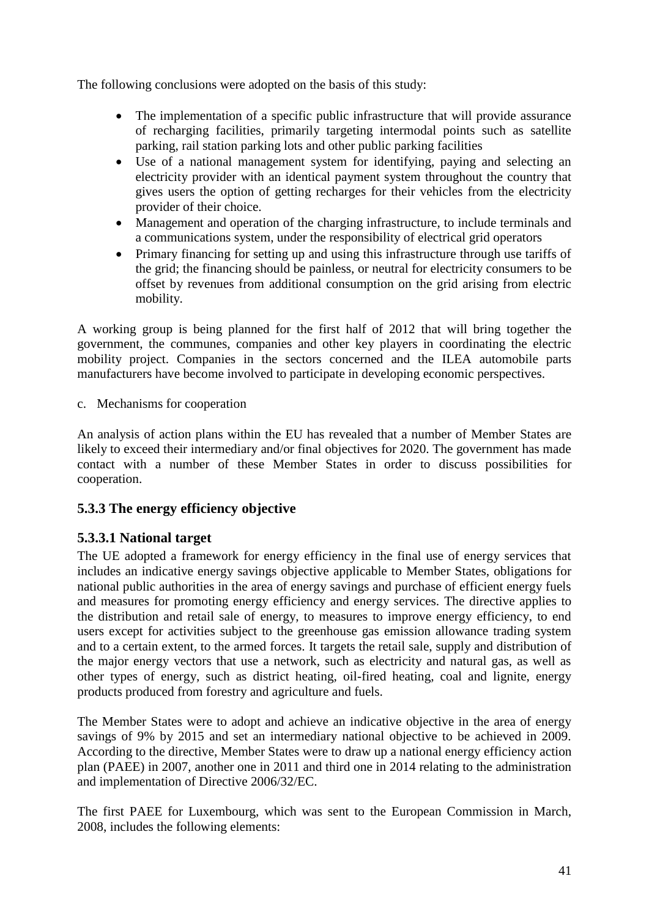The following conclusions were adopted on the basis of this study:

- The implementation of a specific public infrastructure that will provide assurance of recharging facilities, primarily targeting intermodal points such as satellite parking, rail station parking lots and other public parking facilities
- Use of a national management system for identifying, paying and selecting an electricity provider with an identical payment system throughout the country that gives users the option of getting recharges for their vehicles from the electricity provider of their choice.
- Management and operation of the charging infrastructure, to include terminals and a communications system, under the responsibility of electrical grid operators
- Primary financing for setting up and using this infrastructure through use tariffs of the grid; the financing should be painless, or neutral for electricity consumers to be offset by revenues from additional consumption on the grid arising from electric mobility.

A working group is being planned for the first half of 2012 that will bring together the government, the communes, companies and other key players in coordinating the electric mobility project. Companies in the sectors concerned and the ILEA automobile parts manufacturers have become involved to participate in developing economic perspectives.

c. Mechanisms for cooperation

An analysis of action plans within the EU has revealed that a number of Member States are likely to exceed their intermediary and/or final objectives for 2020. The government has made contact with a number of these Member States in order to discuss possibilities for cooperation.

# <span id="page-40-0"></span>**5.3.3 The energy efficiency objective**

#### <span id="page-40-1"></span>**5.3.3.1 National target**

The UE adopted a framework for energy efficiency in the final use of energy services that includes an indicative energy savings objective applicable to Member States, obligations for national public authorities in the area of energy savings and purchase of efficient energy fuels and measures for promoting energy efficiency and energy services. The directive applies to the distribution and retail sale of energy, to measures to improve energy efficiency, to end users except for activities subject to the greenhouse gas emission allowance trading system and to a certain extent, to the armed forces. It targets the retail sale, supply and distribution of the major energy vectors that use a network, such as electricity and natural gas, as well as other types of energy, such as district heating, oil-fired heating, coal and lignite, energy products produced from forestry and agriculture and fuels.

The Member States were to adopt and achieve an indicative objective in the area of energy savings of 9% by 2015 and set an intermediary national objective to be achieved in 2009. According to the directive, Member States were to draw up a national energy efficiency action plan (PAEE) in 2007, another one in 2011 and third one in 2014 relating to the administration and implementation of Directive 2006/32/EC.

The first PAEE for Luxembourg, which was sent to the European Commission in March, 2008, includes the following elements: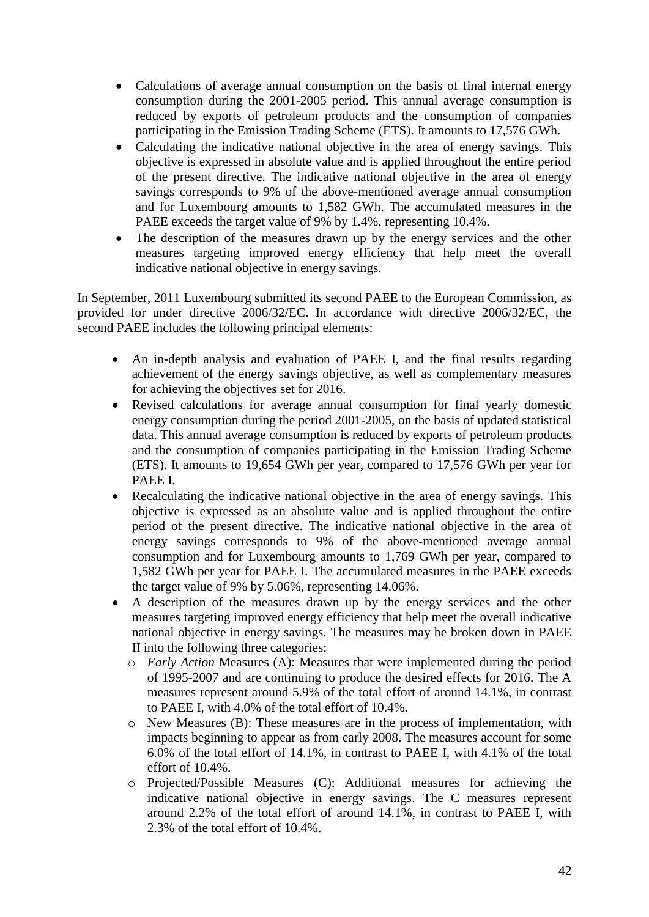- Calculations of average annual consumption on the basis of final internal energy consumption during the 2001-2005 period. This annual average consumption is reduced by exports of petroleum products and the consumption of companies participating in the Emission Trading Scheme (ETS). It amounts to 17,576 GWh.
- Calculating the indicative national objective in the area of energy savings. This objective is expressed in absolute value and is applied throughout the entire period of the present directive. The indicative national objective in the area of energy savings corresponds to 9% of the above-mentioned average annual consumption and for Luxembourg amounts to 1,582 GWh. The accumulated measures in the PAEE exceeds the target value of 9% by 1.4%, representing 10.4%.
- The description of the measures drawn up by the energy services and the other measures targeting improved energy efficiency that help meet the overall indicative national objective in energy savings.

In September, 2011 Luxembourg submitted its second PAEE to the European Commission, as provided for under directive 2006/32/EC. In accordance with directive 2006/32/EC, the second PAEE includes the following principal elements:

- An in-depth analysis and evaluation of PAEE I, and the final results regarding achievement of the energy savings objective, as well as complementary measures for achieving the objectives set for 2016.
- Revised calculations for average annual consumption for final yearly domestic energy consumption during the period 2001-2005, on the basis of updated statistical data. This annual average consumption is reduced by exports of petroleum products and the consumption of companies participating in the Emission Trading Scheme (ETS). It amounts to 19,654 GWh per year, compared to 17,576 GWh per year for PAEE I.
- Recalculating the indicative national objective in the area of energy savings. This objective is expressed as an absolute value and is applied throughout the entire period of the present directive. The indicative national objective in the area of energy savings corresponds to 9% of the above-mentioned average annual consumption and for Luxembourg amounts to 1,769 GWh per year, compared to 1,582 GWh per year for PAEE I. The accumulated measures in the PAEE exceeds the target value of 9% by 5.06%, representing 14.06%.
- A description of the measures drawn up by the energy services and the other measures targeting improved energy efficiency that help meet the overall indicative national objective in energy savings. The measures may be broken down in PAEE II into the following three categories:
	- o *Early Action* Measures (A): Measures that were implemented during the period of 1995-2007 and are continuing to produce the desired effects for 2016. The A measures represent around 5.9% of the total effort of around 14.1%, in contrast to PAEE I, with 4.0% of the total effort of 10.4%.
	- o New Measures (B): These measures are in the process of implementation, with impacts beginning to appear as from early 2008. The measures account for some 6.0% of the total effort of 14.1%, in contrast to PAEE I, with 4.1% of the total effort of 10.4%.
	- o Projected/Possible Measures (C): Additional measures for achieving the indicative national objective in energy savings. The C measures represent around 2.2% of the total effort of around 14.1%, in contrast to PAEE I, with 2.3% of the total effort of 10.4%.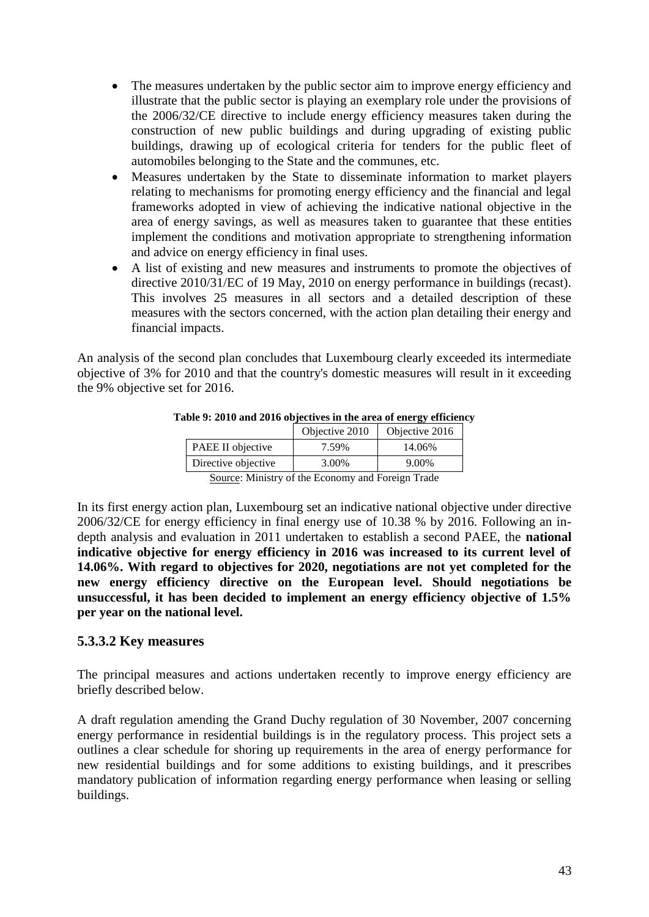- The measures undertaken by the public sector aim to improve energy efficiency and illustrate that the public sector is playing an exemplary role under the provisions of the 2006/32/CE directive to include energy efficiency measures taken during the construction of new public buildings and during upgrading of existing public buildings, drawing up of ecological criteria for tenders for the public fleet of automobiles belonging to the State and the communes, etc.
- Measures undertaken by the State to disseminate information to market players relating to mechanisms for promoting energy efficiency and the financial and legal frameworks adopted in view of achieving the indicative national objective in the area of energy savings, as well as measures taken to guarantee that these entities implement the conditions and motivation appropriate to strengthening information and advice on energy efficiency in final uses.
- A list of existing and new measures and instruments to promote the objectives of directive 2010/31/EC of 19 May, 2010 on energy performance in buildings (recast). This involves 25 measures in all sectors and a detailed description of these measures with the sectors concerned, with the action plan detailing their energy and financial impacts.

An analysis of the second plan concludes that Luxembourg clearly exceeded its intermediate objective of 3% for 2010 and that the country's domestic measures will result in it exceeding the 9% objective set for 2016.

| $1000$ ), 2010 and 2010 00 jectives in the area of energy emerging |                |                |  |
|--------------------------------------------------------------------|----------------|----------------|--|
|                                                                    | Objective 2010 | Objective 2016 |  |
| <b>PAEE II</b> objective                                           | 7.59%          | 14.06%         |  |
| Directive objective                                                | 3.00%          | 9.00%          |  |

#### **Table 9: 2010 and 2016 objectives in the area of energy efficiency**

Source: Ministry of the Economy and Foreign Trade

In its first energy action plan, Luxembourg set an indicative national objective under directive 2006/32/CE for energy efficiency in final energy use of 10.38 % by 2016. Following an indepth analysis and evaluation in 2011 undertaken to establish a second PAEE, the **national indicative objective for energy efficiency in 2016 was increased to its current level of 14.06%. With regard to objectives for 2020, negotiations are not yet completed for the new energy efficiency directive on the European level. Should negotiations be unsuccessful, it has been decided to implement an energy efficiency objective of 1.5% per year on the national level.**

#### <span id="page-42-0"></span>**5.3.3.2 Key measures**

The principal measures and actions undertaken recently to improve energy efficiency are briefly described below.

A draft regulation amending the Grand Duchy regulation of 30 November, 2007 concerning energy performance in residential buildings is in the regulatory process. This project sets a outlines a clear schedule for shoring up requirements in the area of energy performance for new residential buildings and for some additions to existing buildings, and it prescribes mandatory publication of information regarding energy performance when leasing or selling buildings.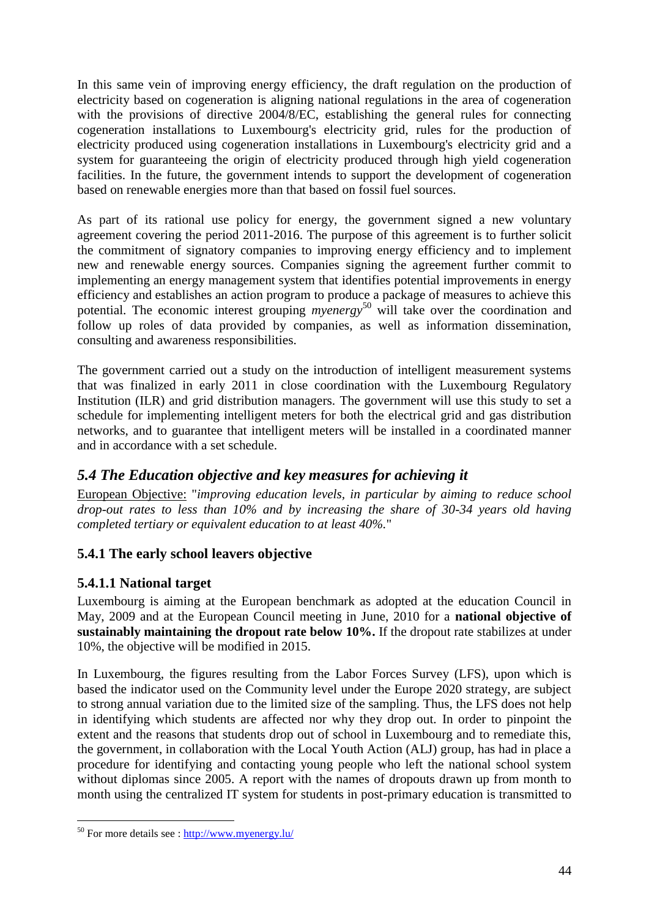In this same vein of improving energy efficiency, the draft regulation on the production of electricity based on cogeneration is aligning national regulations in the area of cogeneration with the provisions of directive 2004/8/EC, establishing the general rules for connecting cogeneration installations to Luxembourg's electricity grid, rules for the production of electricity produced using cogeneration installations in Luxembourg's electricity grid and a system for guaranteeing the origin of electricity produced through high yield cogeneration facilities. In the future, the government intends to support the development of cogeneration based on renewable energies more than that based on fossil fuel sources.

As part of its rational use policy for energy, the government signed a new voluntary agreement covering the period 2011-2016. The purpose of this agreement is to further solicit the commitment of signatory companies to improving energy efficiency and to implement new and renewable energy sources. Companies signing the agreement further commit to implementing an energy management system that identifies potential improvements in energy efficiency and establishes an action program to produce a package of measures to achieve this potential. The economic interest grouping *myenergy* <sup>50</sup> will take over the coordination and follow up roles of data provided by companies, as well as information dissemination, consulting and awareness responsibilities.

The government carried out a study on the introduction of intelligent measurement systems that was finalized in early 2011 in close coordination with the Luxembourg Regulatory Institution (ILR) and grid distribution managers. The government will use this study to set a schedule for implementing intelligent meters for both the electrical grid and gas distribution networks, and to guarantee that intelligent meters will be installed in a coordinated manner and in accordance with a set schedule.

# <span id="page-43-0"></span>*5.4 The Education objective and key measures for achieving it*

European Objective: "*improving education levels, in particular by aiming to reduce school drop-out rates to less than 10% and by increasing the share of 30-34 years old having completed tertiary or equivalent education to at least 40%.*"

# <span id="page-43-1"></span>**5.4.1 The early school leavers objective**

# <span id="page-43-2"></span>**5.4.1.1 National target**

Luxembourg is aiming at the European benchmark as adopted at the education Council in May, 2009 and at the European Council meeting in June, 2010 for a **national objective of sustainably maintaining the dropout rate below 10%.** If the dropout rate stabilizes at under 10%, the objective will be modified in 2015.

In Luxembourg, the figures resulting from the Labor Forces Survey (LFS), upon which is based the indicator used on the Community level under the Europe 2020 strategy, are subject to strong annual variation due to the limited size of the sampling. Thus, the LFS does not help in identifying which students are affected nor why they drop out. In order to pinpoint the extent and the reasons that students drop out of school in Luxembourg and to remediate this, the government, in collaboration with the Local Youth Action (ALJ) group, has had in place a procedure for identifying and contacting young people who left the national school system without diplomas since 2005. A report with the names of dropouts drawn up from month to month using the centralized IT system for students in post-primary education is transmitted to

 $\overline{a}$ 

<sup>&</sup>lt;sup>50</sup> For more details see :<http://www.myenergy.lu/>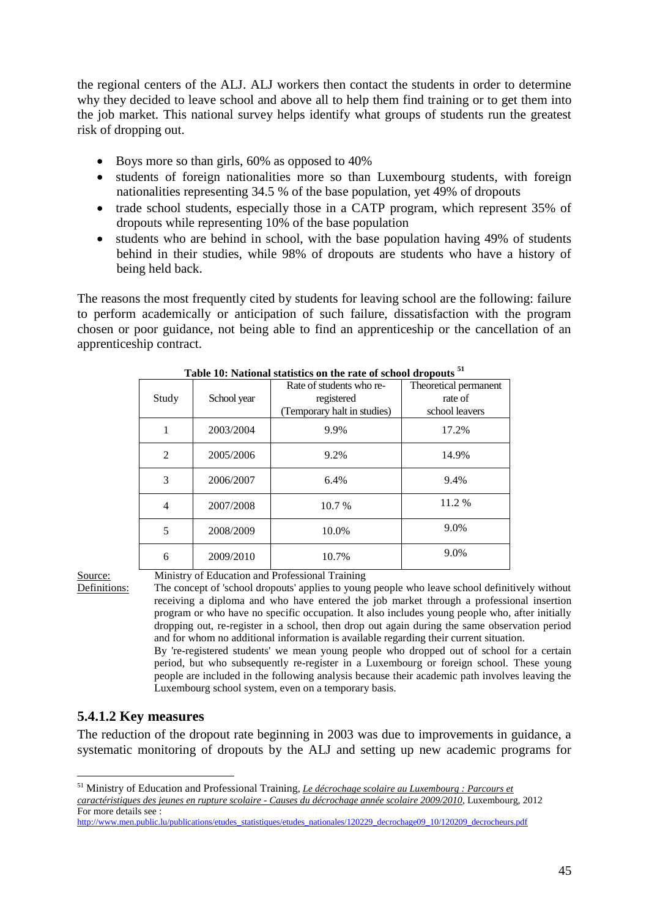the regional centers of the ALJ. ALJ workers then contact the students in order to determine why they decided to leave school and above all to help them find training or to get them into the job market. This national survey helps identify what groups of students run the greatest risk of dropping out.

- Boys more so than girls, 60% as opposed to 40%
- students of foreign nationalities more so than Luxembourg students, with foreign nationalities representing 34.5 % of the base population, yet 49% of dropouts
- trade school students, especially those in a CATP program, which represent 35% of dropouts while representing 10% of the base population
- students who are behind in school, with the base population having 49% of students behind in their studies, while 98% of dropouts are students who have a history of being held back.

The reasons the most frequently cited by students for leaving school are the following: failure to perform academically or anticipation of such failure, dissatisfaction with the program chosen or poor guidance, not being able to find an apprenticeship or the cancellation of an apprenticeship contract.

| Study          | School year | Rate of students who re-<br>registered<br>(Temporary halt in studies) | Theoretical permanent<br>rate of<br>school leavers |  |  |
|----------------|-------------|-----------------------------------------------------------------------|----------------------------------------------------|--|--|
|                |             |                                                                       |                                                    |  |  |
| 1              | 2003/2004   | 9.9%                                                                  | 17.2%                                              |  |  |
| $\overline{2}$ | 2005/2006   | 9.2%                                                                  | 14.9%                                              |  |  |
|                |             |                                                                       |                                                    |  |  |
| 3              | 2006/2007   | 6.4%                                                                  | 9.4%                                               |  |  |
| 4              | 2007/2008   | 10.7 %                                                                | 11.2 %                                             |  |  |
| 5              | 2008/2009   | 10.0%                                                                 | 9.0%                                               |  |  |
| 6              | 2009/2010   | 10.7%                                                                 | 9.0%                                               |  |  |

**Table 10: National statistics on the rate of school dropouts <sup>51</sup>**

 $\overline{a}$ 

Source: Ministry of Education and Professional Training

Definitions: The concept of 'school dropouts' applies to young people who leave school definitively without receiving a diploma and who have entered the job market through a professional insertion program or who have no specific occupation. It also includes young people who, after initially dropping out, re-register in a school, then drop out again during the same observation period and for whom no additional information is available regarding their current situation.

By 're-registered students' we mean young people who dropped out of school for a certain period, but who subsequently re-register in a Luxembourg or foreign school. These young people are included in the following analysis because their academic path involves leaving the Luxembourg school system, even on a temporary basis.

#### <span id="page-44-0"></span>**5.4.1.2 Key measures**

The reduction of the dropout rate beginning in 2003 was due to improvements in guidance, a systematic monitoring of dropouts by the ALJ and setting up new academic programs for

<sup>51</sup> Ministry of Education and Professional Training, *Le décrochage scolaire au Luxembourg : Parcours et caractéristiques des jeunes en rupture scolaire - Causes du décrochage année scolaire 2009/2010*, Luxembourg, 2012 For more details see :

[http://www.men.public.lu/publications/etudes\\_statistiques/etudes\\_nationales/120229\\_decrochage09\\_10/120209\\_decrocheurs.pdf](http://www.men.public.lu/publications/etudes_statistiques/etudes_nationales/120229_decrochage09_10/120209_decrocheurs.pdf)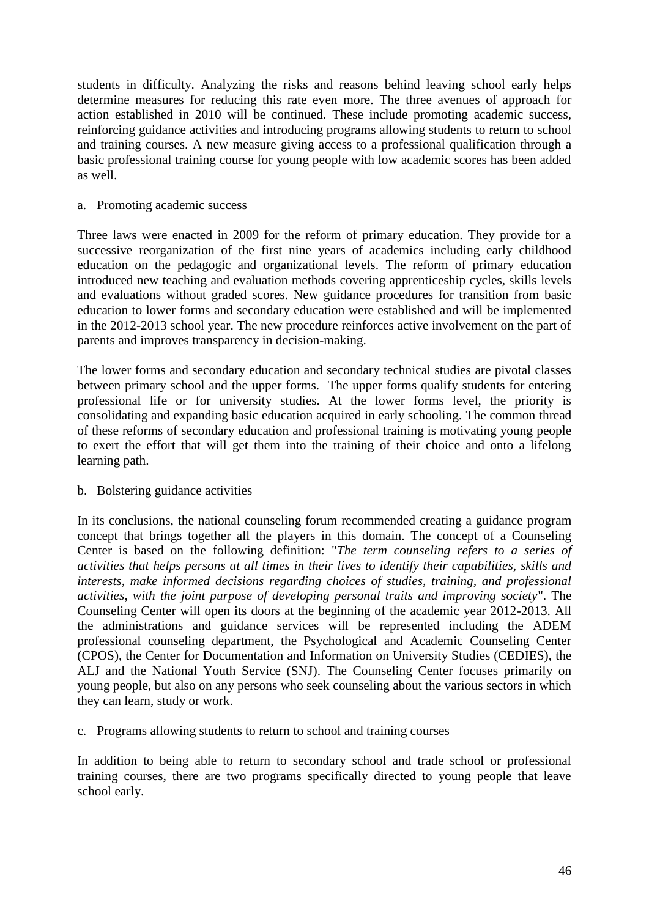students in difficulty. Analyzing the risks and reasons behind leaving school early helps determine measures for reducing this rate even more. The three avenues of approach for action established in 2010 will be continued. These include promoting academic success, reinforcing guidance activities and introducing programs allowing students to return to school and training courses. A new measure giving access to a professional qualification through a basic professional training course for young people with low academic scores has been added as well.

#### a. Promoting academic success

Three laws were enacted in 2009 for the reform of primary education. They provide for a successive reorganization of the first nine years of academics including early childhood education on the pedagogic and organizational levels. The reform of primary education introduced new teaching and evaluation methods covering apprenticeship cycles, skills levels and evaluations without graded scores. New guidance procedures for transition from basic education to lower forms and secondary education were established and will be implemented in the 2012-2013 school year. The new procedure reinforces active involvement on the part of parents and improves transparency in decision-making.

The lower forms and secondary education and secondary technical studies are pivotal classes between primary school and the upper forms. The upper forms qualify students for entering professional life or for university studies. At the lower forms level, the priority is consolidating and expanding basic education acquired in early schooling. The common thread of these reforms of secondary education and professional training is motivating young people to exert the effort that will get them into the training of their choice and onto a lifelong learning path.

#### b. Bolstering guidance activities

In its conclusions, the national counseling forum recommended creating a guidance program concept that brings together all the players in this domain. The concept of a Counseling Center is based on the following definition: "*The term counseling refers to a series of activities that helps persons at all times in their lives to identify their capabilities, skills and interests, make informed decisions regarding choices of studies, training, and professional activities, with the joint purpose of developing personal traits and improving society*". The Counseling Center will open its doors at the beginning of the academic year 2012-2013. All the administrations and guidance services will be represented including the ADEM professional counseling department, the Psychological and Academic Counseling Center (CPOS), the Center for Documentation and Information on University Studies (CEDIES), the ALJ and the National Youth Service (SNJ). The Counseling Center focuses primarily on young people, but also on any persons who seek counseling about the various sectors in which they can learn, study or work.

c. Programs allowing students to return to school and training courses

In addition to being able to return to secondary school and trade school or professional training courses, there are two programs specifically directed to young people that leave school early.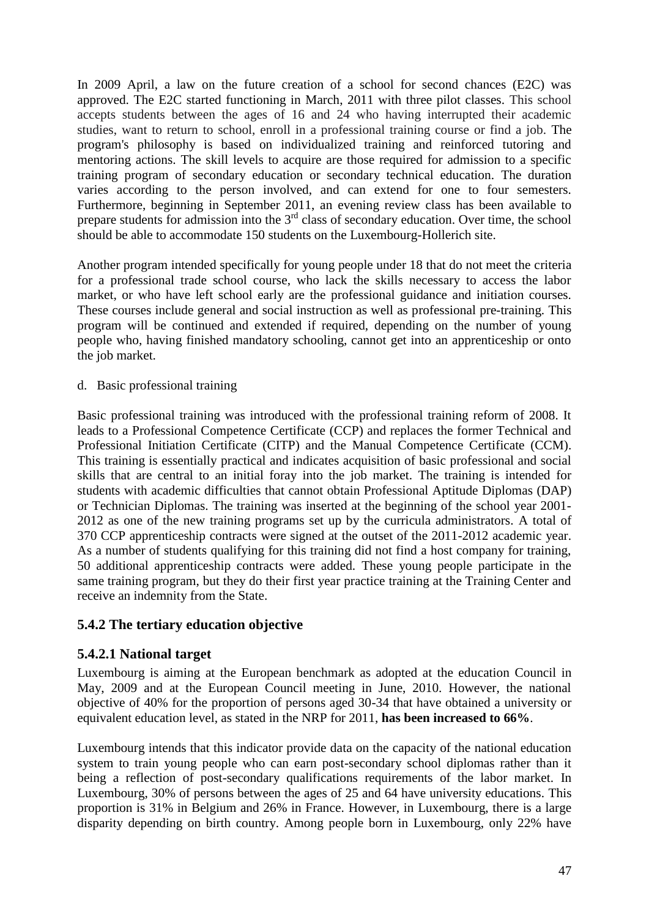In 2009 April, a law on the future creation of a school for second chances (E2C) was approved. The E2C started functioning in March, 2011 with three pilot classes. This school accepts students between the ages of 16 and 24 who having interrupted their academic studies, want to return to school, enroll in a professional training course or find a job. The program's philosophy is based on individualized training and reinforced tutoring and mentoring actions. The skill levels to acquire are those required for admission to a specific training program of secondary education or secondary technical education. The duration varies according to the person involved, and can extend for one to four semesters. Furthermore, beginning in September 2011, an evening review class has been available to prepare students for admission into the 3<sup>rd</sup> class of secondary education. Over time, the school should be able to accommodate 150 students on the Luxembourg-Hollerich site.

Another program intended specifically for young people under 18 that do not meet the criteria for a professional trade school course, who lack the skills necessary to access the labor market, or who have left school early are the professional guidance and initiation courses. These courses include general and social instruction as well as professional pre-training. This program will be continued and extended if required, depending on the number of young people who, having finished mandatory schooling, cannot get into an apprenticeship or onto the job market.

d. Basic professional training

Basic professional training was introduced with the professional training reform of 2008. It leads to a Professional Competence Certificate (CCP) and replaces the former Technical and Professional Initiation Certificate (CITP) and the Manual Competence Certificate (CCM). This training is essentially practical and indicates acquisition of basic professional and social skills that are central to an initial foray into the job market. The training is intended for students with academic difficulties that cannot obtain Professional Aptitude Diplomas (DAP) or Technician Diplomas. The training was inserted at the beginning of the school year 2001- 2012 as one of the new training programs set up by the curricula administrators. A total of 370 CCP apprenticeship contracts were signed at the outset of the 2011-2012 academic year. As a number of students qualifying for this training did not find a host company for training, 50 additional apprenticeship contracts were added. These young people participate in the same training program, but they do their first year practice training at the Training Center and receive an indemnity from the State.

#### <span id="page-46-0"></span>**5.4.2 The tertiary education objective**

#### <span id="page-46-1"></span>**5.4.2.1 National target**

Luxembourg is aiming at the European benchmark as adopted at the education Council in May, 2009 and at the European Council meeting in June, 2010. However, the national objective of 40% for the proportion of persons aged 30-34 that have obtained a university or equivalent education level, as stated in the NRP for 2011, **has been increased to 66%**.

Luxembourg intends that this indicator provide data on the capacity of the national education system to train young people who can earn post-secondary school diplomas rather than it being a reflection of post-secondary qualifications requirements of the labor market. In Luxembourg, 30% of persons between the ages of 25 and 64 have university educations. This proportion is 31% in Belgium and 26% in France. However, in Luxembourg, there is a large disparity depending on birth country. Among people born in Luxembourg, only 22% have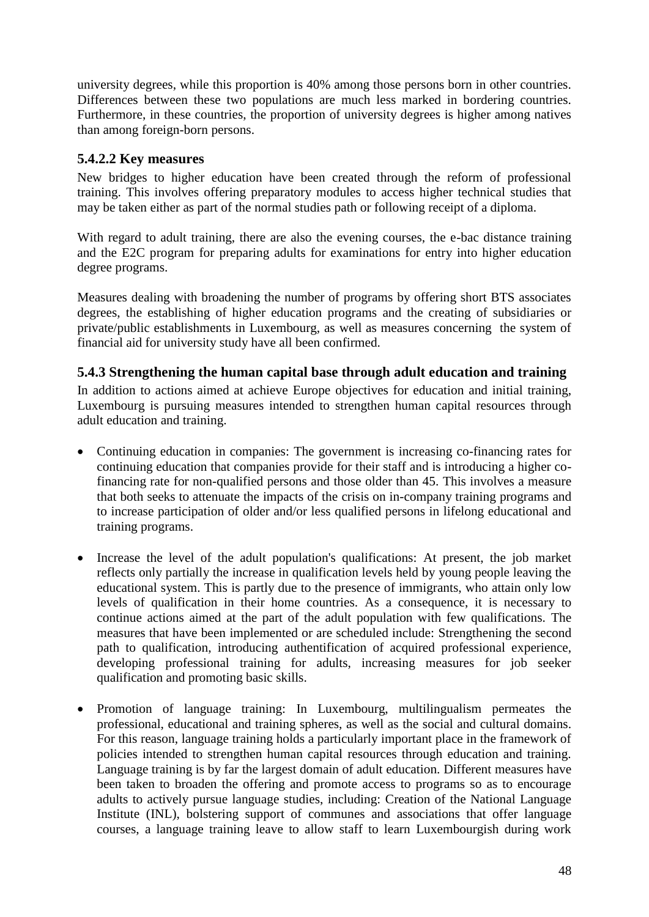university degrees, while this proportion is 40% among those persons born in other countries. Differences between these two populations are much less marked in bordering countries. Furthermore, in these countries, the proportion of university degrees is higher among natives than among foreign-born persons.

## <span id="page-47-0"></span>**5.4.2.2 Key measures**

New bridges to higher education have been created through the reform of professional training. This involves offering preparatory modules to access higher technical studies that may be taken either as part of the normal studies path or following receipt of a diploma.

With regard to adult training, there are also the evening courses, the e-bac distance training and the E2C program for preparing adults for examinations for entry into higher education degree programs.

Measures dealing with broadening the number of programs by offering short BTS associates degrees, the establishing of higher education programs and the creating of subsidiaries or private/public establishments in Luxembourg, as well as measures concerning the system of financial aid for university study have all been confirmed.

## <span id="page-47-1"></span>**5.4.3 Strengthening the human capital base through adult education and training**

In addition to actions aimed at achieve Europe objectives for education and initial training, Luxembourg is pursuing measures intended to strengthen human capital resources through adult education and training.

- Continuing education in companies: The government is increasing co-financing rates for continuing education that companies provide for their staff and is introducing a higher cofinancing rate for non-qualified persons and those older than 45. This involves a measure that both seeks to attenuate the impacts of the crisis on in-company training programs and to increase participation of older and/or less qualified persons in lifelong educational and training programs.
- Increase the level of the adult population's qualifications: At present, the job market reflects only partially the increase in qualification levels held by young people leaving the educational system. This is partly due to the presence of immigrants, who attain only low levels of qualification in their home countries. As a consequence, it is necessary to continue actions aimed at the part of the adult population with few qualifications. The measures that have been implemented or are scheduled include: Strengthening the second path to qualification, introducing authentification of acquired professional experience, developing professional training for adults, increasing measures for job seeker qualification and promoting basic skills.
- Promotion of language training: In Luxembourg, multilingualism permeates the professional, educational and training spheres, as well as the social and cultural domains. For this reason, language training holds a particularly important place in the framework of policies intended to strengthen human capital resources through education and training. Language training is by far the largest domain of adult education. Different measures have been taken to broaden the offering and promote access to programs so as to encourage adults to actively pursue language studies, including: Creation of the National Language Institute (INL), bolstering support of communes and associations that offer language courses, a language training leave to allow staff to learn Luxembourgish during work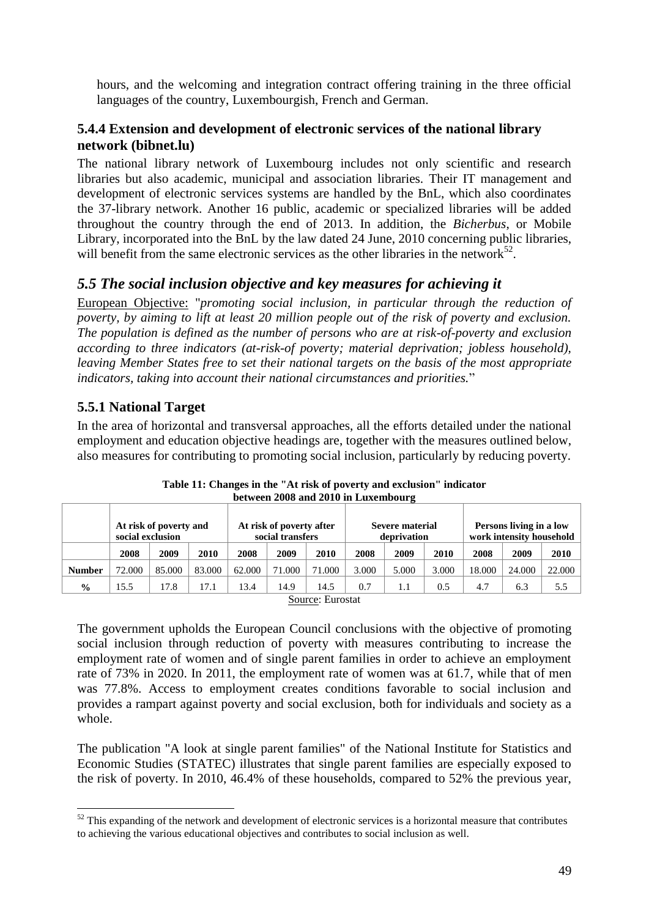hours, and the welcoming and integration contract offering training in the three official languages of the country, Luxembourgish, French and German.

#### <span id="page-48-0"></span>**5.4.4 Extension and development of electronic services of the national library network (bibnet.lu)**

The national library network of Luxembourg includes not only scientific and research libraries but also academic, municipal and association libraries. Their IT management and development of electronic services systems are handled by the BnL, which also coordinates the 37-library network. Another 16 public, academic or specialized libraries will be added throughout the country through the end of 2013. In addition, the *Bicherbus*, or Mobile Library, incorporated into the BnL by the law dated 24 June, 2010 concerning public libraries, will benefit from the same electronic services as the other libraries in the network $52$ .

# <span id="page-48-1"></span>*5.5 The social inclusion objective and key measures for achieving it*

European Objective: "*promoting social inclusion, in particular through the reduction of poverty, by aiming to lift at least 20 million people out of the risk of poverty and exclusion. The population is defined as the number of persons who are at risk-of-poverty and exclusion according to three indicators (at-risk-of poverty; material deprivation; jobless household), leaving Member States free to set their national targets on the basis of the most appropriate indicators, taking into account their national circumstances and priorities.*"

# <span id="page-48-2"></span>**5.5.1 National Target**

 $\overline{a}$ 

In the area of horizontal and transversal approaches, all the efforts detailed under the national employment and education objective headings are, together with the measures outlined below, also measures for contributing to promoting social inclusion, particularly by reducing poverty.

|               | At risk of poverty and<br>social exclusion |        | At risk of poverty after<br>social transfers |        | Severe material<br>deprivation |       | Persons living in a low<br>work intensity household |       |       |        |        |        |
|---------------|--------------------------------------------|--------|----------------------------------------------|--------|--------------------------------|-------|-----------------------------------------------------|-------|-------|--------|--------|--------|
|               | 2008                                       | 2009   | 2010                                         | 2008   | 2009                           | 2010  | 2008                                                | 2009  | 2010  | 2008   | 2009   | 2010   |
| <b>Number</b> | 72.000                                     | 85.000 | 83.000                                       | 62.000 | 71.000                         | 1.000 | 3.000                                               | 5.000 | 3.000 | 18.000 | 24.000 | 22,000 |
| $\frac{0}{0}$ | l 5.5                                      | !7.8   | 17.1                                         | 13.4   | 14.9                           | 14.5  | 0.7                                                 | 1.1   | 0.5   | 4.7    | 6.3    | 5.5    |
|               | $\sim$<br>$\sim$                           |        |                                              |        |                                |       |                                                     |       |       |        |        |        |

**Table 11: Changes in the "At risk of poverty and exclusion" indicator between 2008 and 2010 in Luxembourg**

Source: Eurostat

The government upholds the European Council conclusions with the objective of promoting social inclusion through reduction of poverty with measures contributing to increase the employment rate of women and of single parent families in order to achieve an employment rate of 73% in 2020. In 2011, the employment rate of women was at 61.7, while that of men was 77.8%. Access to employment creates conditions favorable to social inclusion and provides a rampart against poverty and social exclusion, both for individuals and society as a whole.

The publication "A look at single parent families" of the National Institute for Statistics and Economic Studies (STATEC) illustrates that single parent families are especially exposed to the risk of poverty. In 2010, 46.4% of these households, compared to 52% the previous year,

 $52$  This expanding of the network and development of electronic services is a horizontal measure that contributes to achieving the various educational objectives and contributes to social inclusion as well.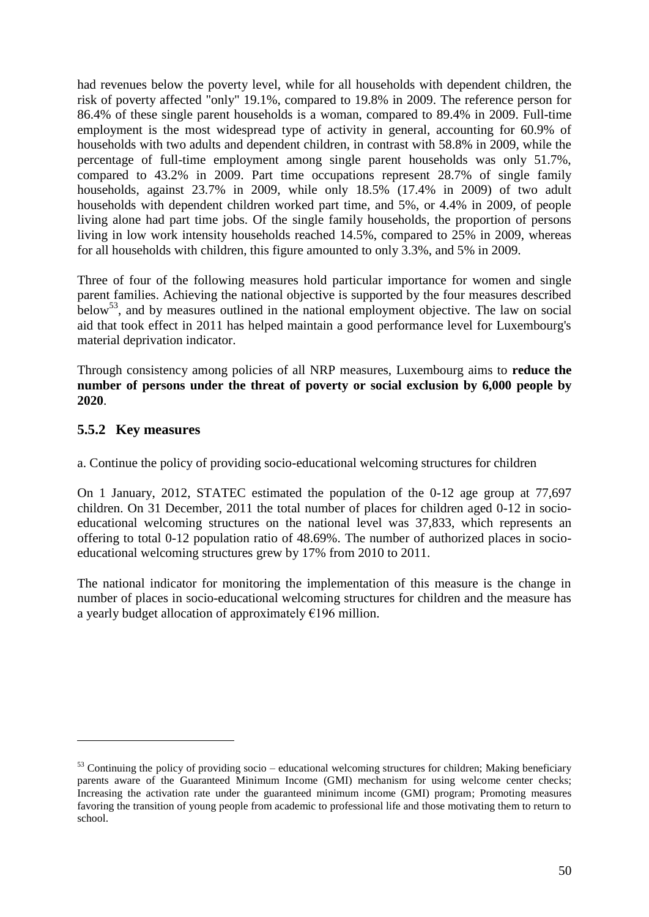had revenues below the poverty level, while for all households with dependent children, the risk of poverty affected "only" 19.1%, compared to 19.8% in 2009. The reference person for 86.4% of these single parent households is a woman, compared to 89.4% in 2009. Full-time employment is the most widespread type of activity in general, accounting for 60.9% of households with two adults and dependent children, in contrast with 58.8% in 2009, while the percentage of full-time employment among single parent households was only 51.7%, compared to 43.2% in 2009. Part time occupations represent 28.7% of single family households, against 23.7% in 2009, while only 18.5% (17.4% in 2009) of two adult households with dependent children worked part time, and 5%, or 4.4% in 2009, of people living alone had part time jobs. Of the single family households, the proportion of persons living in low work intensity households reached 14.5%, compared to 25% in 2009, whereas for all households with children, this figure amounted to only 3.3%, and 5% in 2009.

Three of four of the following measures hold particular importance for women and single parent families. Achieving the national objective is supported by the four measures described below<sup>53</sup>, and by measures outlined in the national employment objective. The law on social aid that took effect in 2011 has helped maintain a good performance level for Luxembourg's material deprivation indicator.

Through consistency among policies of all NRP measures, Luxembourg aims to **reduce the number of persons under the threat of poverty or social exclusion by 6,000 people by 2020**.

#### <span id="page-49-0"></span>**5.5.2 Key measures**

 $\overline{a}$ 

a. Continue the policy of providing socio-educational welcoming structures for children

On 1 January, 2012, STATEC estimated the population of the 0-12 age group at 77,697 children. On 31 December, 2011 the total number of places for children aged 0-12 in socioeducational welcoming structures on the national level was 37,833, which represents an offering to total 0-12 population ratio of 48.69%. The number of authorized places in socioeducational welcoming structures grew by 17% from 2010 to 2011.

The national indicator for monitoring the implementation of this measure is the change in number of places in socio-educational welcoming structures for children and the measure has a yearly budget allocation of approximately  $E$ 196 million.

 $53$  Continuing the policy of providing socio – educational welcoming structures for children; Making beneficiary parents aware of the Guaranteed Minimum Income (GMI) mechanism for using welcome center checks; Increasing the activation rate under the guaranteed minimum income (GMI) program; Promoting measures favoring the transition of young people from academic to professional life and those motivating them to return to school.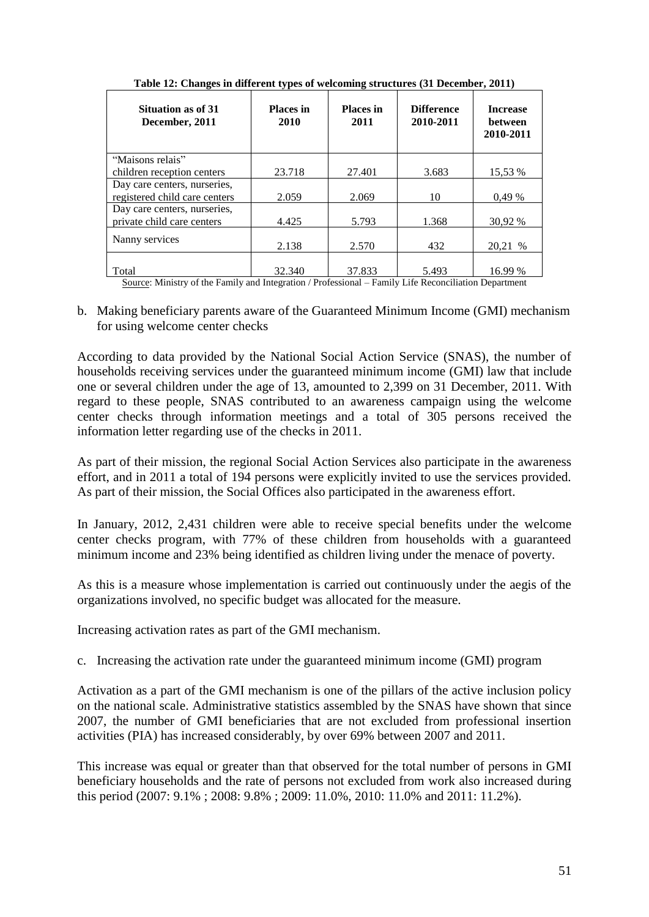| Situation as of 31<br>December, 2011                                                     | <b>Places in</b><br>2010 | <b>Places</b> in<br>2011 | <b>Difference</b><br>2010-2011 | <b>Increase</b><br><b>between</b><br>2010-2011 |  |  |  |
|------------------------------------------------------------------------------------------|--------------------------|--------------------------|--------------------------------|------------------------------------------------|--|--|--|
| "Maisons relais"                                                                         |                          |                          |                                |                                                |  |  |  |
| children reception centers                                                               | 23.718                   | 27.401                   | 3.683                          | 15.53 %                                        |  |  |  |
| Day care centers, nurseries,                                                             |                          |                          |                                |                                                |  |  |  |
| registered child care centers                                                            | 2.059                    | 2.069                    | 10                             | 0.49%                                          |  |  |  |
| Day care centers, nurseries,                                                             |                          |                          |                                |                                                |  |  |  |
| private child care centers                                                               | 4.425                    | 5.793                    | 1.368                          | 30.92 %                                        |  |  |  |
| Nanny services                                                                           | 2.138                    | 2.570                    | 432                            | 20.21 %                                        |  |  |  |
|                                                                                          |                          |                          |                                |                                                |  |  |  |
| Total                                                                                    | 32.340                   | 37.833                   | 5.493                          | 16.99 %                                        |  |  |  |
| $\alpha$ are $\alpha$ put if $\alpha$ in $\alpha$ in put if $\alpha$ , then the $\alpha$ |                          |                          |                                |                                                |  |  |  |

**Table 12: Changes in different types of welcoming structures (31 December, 2011)**

Source: Ministry of the Family and Integration / Professional – Family Life Reconciliation Department

b. Making beneficiary parents aware of the Guaranteed Minimum Income (GMI) mechanism for using welcome center checks

According to data provided by the National Social Action Service (SNAS), the number of households receiving services under the guaranteed minimum income (GMI) law that include one or several children under the age of 13, amounted to 2,399 on 31 December, 2011. With regard to these people, SNAS contributed to an awareness campaign using the welcome center checks through information meetings and a total of 305 persons received the information letter regarding use of the checks in 2011.

As part of their mission, the regional Social Action Services also participate in the awareness effort, and in 2011 a total of 194 persons were explicitly invited to use the services provided. As part of their mission, the Social Offices also participated in the awareness effort.

In January, 2012, 2,431 children were able to receive special benefits under the welcome center checks program, with 77% of these children from households with a guaranteed minimum income and 23% being identified as children living under the menace of poverty.

As this is a measure whose implementation is carried out continuously under the aegis of the organizations involved, no specific budget was allocated for the measure.

Increasing activation rates as part of the GMI mechanism.

c. Increasing the activation rate under the guaranteed minimum income (GMI) program

Activation as a part of the GMI mechanism is one of the pillars of the active inclusion policy on the national scale. Administrative statistics assembled by the SNAS have shown that since 2007, the number of GMI beneficiaries that are not excluded from professional insertion activities (PIA) has increased considerably, by over 69% between 2007 and 2011.

This increase was equal or greater than that observed for the total number of persons in GMI beneficiary households and the rate of persons not excluded from work also increased during this period (2007: 9.1% ; 2008: 9.8% ; 2009: 11.0%, 2010: 11.0% and 2011: 11.2%).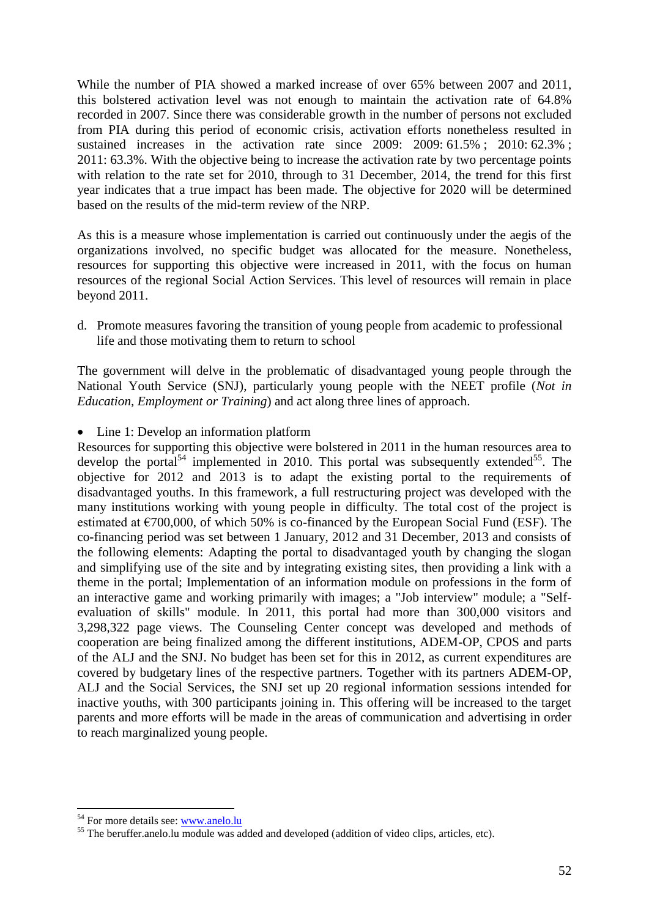While the number of PIA showed a marked increase of over 65% between 2007 and 2011, this bolstered activation level was not enough to maintain the activation rate of 64.8% recorded in 2007. Since there was considerable growth in the number of persons not excluded from PIA during this period of economic crisis, activation efforts nonetheless resulted in sustained increases in the activation rate since 2009: 2009: 61.5%; 2010: 62.3%; 2011: 63.3%. With the objective being to increase the activation rate by two percentage points with relation to the rate set for 2010, through to 31 December, 2014, the trend for this first year indicates that a true impact has been made. The objective for 2020 will be determined based on the results of the mid-term review of the NRP.

As this is a measure whose implementation is carried out continuously under the aegis of the organizations involved, no specific budget was allocated for the measure. Nonetheless, resources for supporting this objective were increased in 2011, with the focus on human resources of the regional Social Action Services. This level of resources will remain in place beyond 2011.

d. Promote measures favoring the transition of young people from academic to professional life and those motivating them to return to school

The government will delve in the problematic of disadvantaged young people through the National Youth Service (SNJ), particularly young people with the NEET profile (*Not in Education, Employment or Training*) and act along three lines of approach.

#### • Line 1: Develop an information platform

Resources for supporting this objective were bolstered in 2011 in the human resources area to develop the portal<sup>54</sup> implemented in 2010. This portal was subsequently extended<sup>55</sup>. The objective for 2012 and 2013 is to adapt the existing portal to the requirements of disadvantaged youths. In this framework, a full restructuring project was developed with the many institutions working with young people in difficulty. The total cost of the project is estimated at  $\epsilon$ 700,000, of which 50% is co-financed by the European Social Fund (ESF). The co-financing period was set between 1 January, 2012 and 31 December, 2013 and consists of the following elements: Adapting the portal to disadvantaged youth by changing the slogan and simplifying use of the site and by integrating existing sites, then providing a link with a theme in the portal; Implementation of an information module on professions in the form of an interactive game and working primarily with images; a "Job interview" module; a "Selfevaluation of skills" module. In 2011, this portal had more than 300,000 visitors and 3,298,322 page views. The Counseling Center concept was developed and methods of cooperation are being finalized among the different institutions, ADEM-OP, CPOS and parts of the ALJ and the SNJ. No budget has been set for this in 2012, as current expenditures are covered by budgetary lines of the respective partners. Together with its partners ADEM-OP, ALJ and the Social Services, the SNJ set up 20 regional information sessions intended for inactive youths, with 300 participants joining in. This offering will be increased to the target parents and more efforts will be made in the areas of communication and advertising in order to reach marginalized young people.

 $\overline{a}$ <sup>54</sup> For more details see: [www.anelo.lu](http://www.anelo.lu/)

<sup>&</sup>lt;sup>55</sup> The beruffer.anelo.lu module was added and developed (addition of video clips, articles, etc).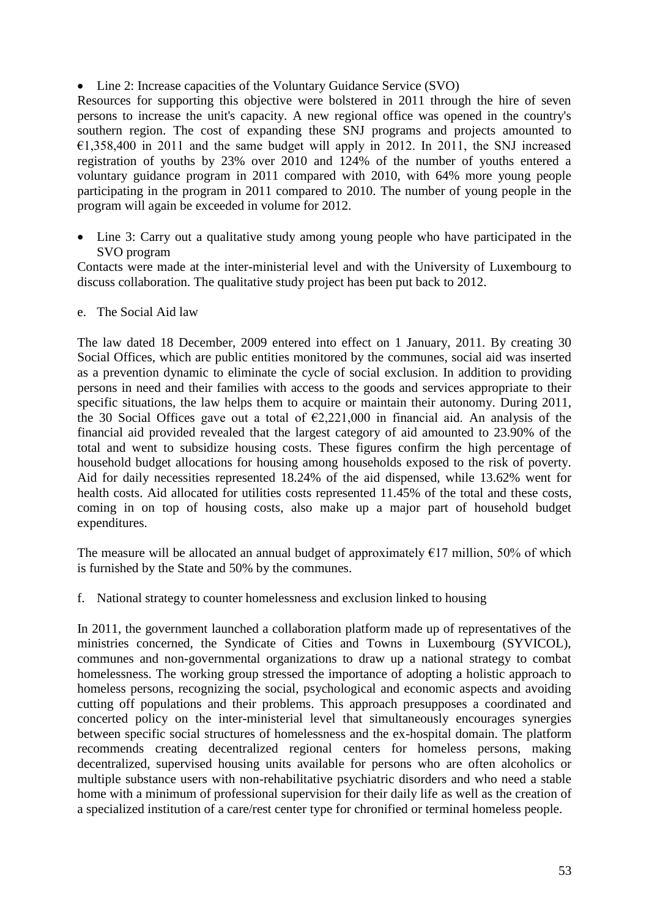• Line 2: Increase capacities of the Voluntary Guidance Service (SVO)

Resources for supporting this objective were bolstered in 2011 through the hire of seven persons to increase the unit's capacity. A new regional office was opened in the country's southern region. The cost of expanding these SNJ programs and projects amounted to  $\epsilon$ 1,358,400 in 2011 and the same budget will apply in 2012. In 2011, the SNJ increased registration of youths by 23% over 2010 and 124% of the number of youths entered a voluntary guidance program in 2011 compared with 2010, with 64% more young people participating in the program in 2011 compared to 2010. The number of young people in the program will again be exceeded in volume for 2012.

• Line 3: Carry out a qualitative study among young people who have participated in the SVO program

Contacts were made at the inter-ministerial level and with the University of Luxembourg to discuss collaboration. The qualitative study project has been put back to 2012.

#### e. The Social Aid law

The law dated 18 December, 2009 entered into effect on 1 January, 2011. By creating 30 Social Offices, which are public entities monitored by the communes, social aid was inserted as a prevention dynamic to eliminate the cycle of social exclusion. In addition to providing persons in need and their families with access to the goods and services appropriate to their specific situations, the law helps them to acquire or maintain their autonomy. During 2011, the 30 Social Offices gave out a total of  $\epsilon$ 2,221,000 in financial aid. An analysis of the financial aid provided revealed that the largest category of aid amounted to 23.90% of the total and went to subsidize housing costs. These figures confirm the high percentage of household budget allocations for housing among households exposed to the risk of poverty. Aid for daily necessities represented 18.24% of the aid dispensed, while 13.62% went for health costs. Aid allocated for utilities costs represented 11.45% of the total and these costs, coming in on top of housing costs, also make up a major part of household budget expenditures.

The measure will be allocated an annual budget of approximately  $E17$  million, 50% of which is furnished by the State and 50% by the communes.

f. National strategy to counter homelessness and exclusion linked to housing

In 2011, the government launched a collaboration platform made up of representatives of the ministries concerned, the Syndicate of Cities and Towns in Luxembourg (SYVICOL), communes and non-governmental organizations to draw up a national strategy to combat homelessness. The working group stressed the importance of adopting a holistic approach to homeless persons, recognizing the social, psychological and economic aspects and avoiding cutting off populations and their problems. This approach presupposes a coordinated and concerted policy on the inter-ministerial level that simultaneously encourages synergies between specific social structures of homelessness and the ex-hospital domain. The platform recommends creating decentralized regional centers for homeless persons, making decentralized, supervised housing units available for persons who are often alcoholics or multiple substance users with non-rehabilitative psychiatric disorders and who need a stable home with a minimum of professional supervision for their daily life as well as the creation of a specialized institution of a care/rest center type for chronified or terminal homeless people.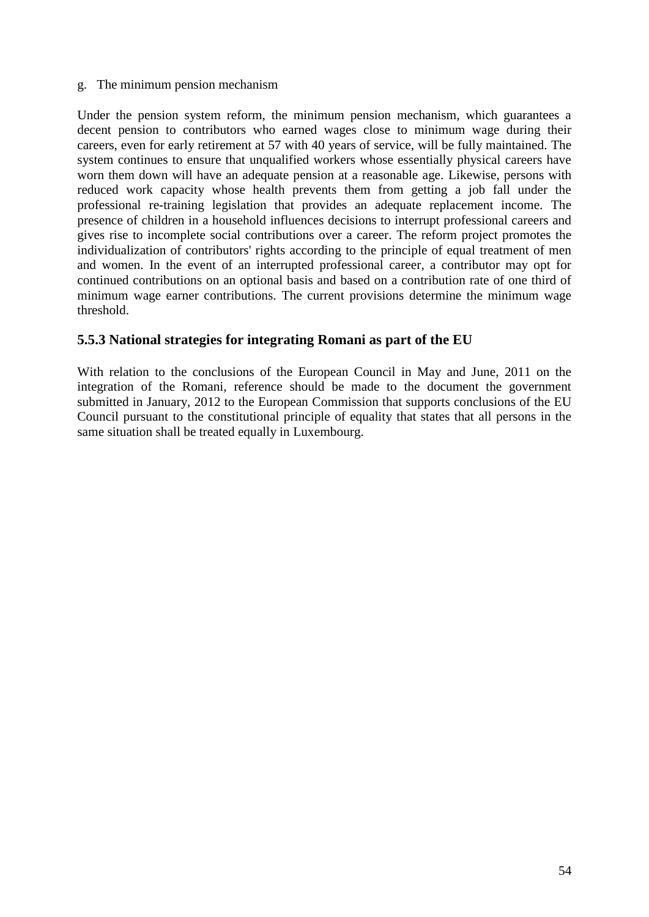#### g. The minimum pension mechanism

Under the pension system reform, the minimum pension mechanism, which guarantees a decent pension to contributors who earned wages close to minimum wage during their careers, even for early retirement at 57 with 40 years of service, will be fully maintained. The system continues to ensure that unqualified workers whose essentially physical careers have worn them down will have an adequate pension at a reasonable age. Likewise, persons with reduced work capacity whose health prevents them from getting a job fall under the professional re-training legislation that provides an adequate replacement income. The presence of children in a household influences decisions to interrupt professional careers and gives rise to incomplete social contributions over a career. The reform project promotes the individualization of contributors' rights according to the principle of equal treatment of men and women. In the event of an interrupted professional career, a contributor may opt for continued contributions on an optional basis and based on a contribution rate of one third of minimum wage earner contributions. The current provisions determine the minimum wage threshold.

#### <span id="page-53-0"></span>**5.5.3 National strategies for integrating Romani as part of the EU**

With relation to the conclusions of the European Council in May and June, 2011 on the integration of the Romani, reference should be made to the document the government submitted in January, 2012 to the European Commission that supports conclusions of the EU Council pursuant to the constitutional principle of equality that states that all persons in the same situation shall be treated equally in Luxembourg.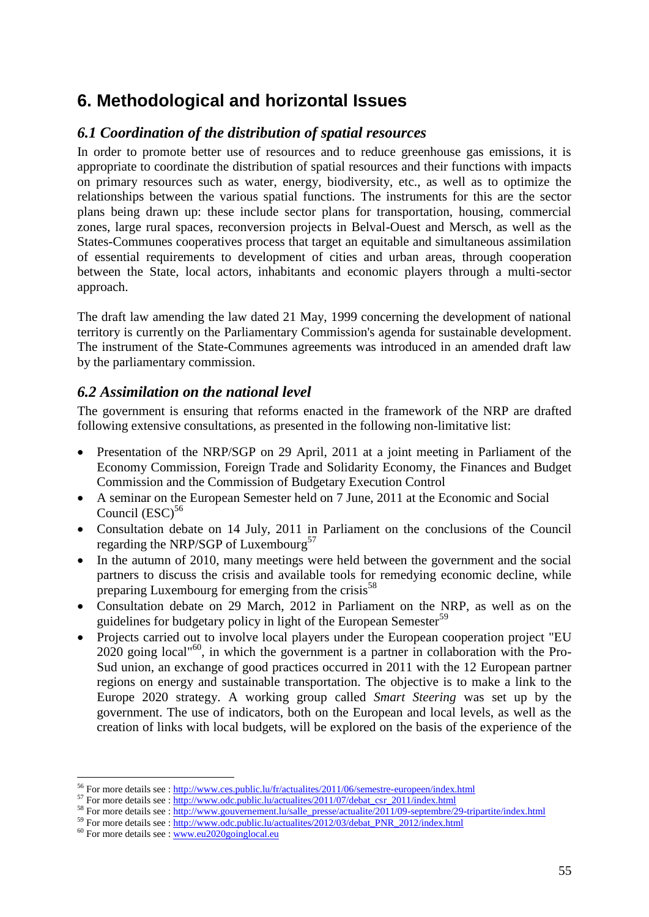# <span id="page-54-0"></span>**6. Methodological and horizontal Issues**

# <span id="page-54-1"></span>*6.1 Coordination of the distribution of spatial resources*

In order to promote better use of resources and to reduce greenhouse gas emissions, it is appropriate to coordinate the distribution of spatial resources and their functions with impacts on primary resources such as water, energy, biodiversity, etc., as well as to optimize the relationships between the various spatial functions. The instruments for this are the sector plans being drawn up: these include sector plans for transportation, housing, commercial zones, large rural spaces, reconversion projects in Belval-Ouest and Mersch, as well as the States-Communes cooperatives process that target an equitable and simultaneous assimilation of essential requirements to development of cities and urban areas, through cooperation between the State, local actors, inhabitants and economic players through a multi-sector approach.

The draft law amending the law dated 21 May, 1999 concerning the development of national territory is currently on the Parliamentary Commission's agenda for sustainable development. The instrument of the State-Communes agreements was introduced in an amended draft law by the parliamentary commission.

# <span id="page-54-2"></span>*6.2 Assimilation on the national level*

The government is ensuring that reforms enacted in the framework of the NRP are drafted following extensive consultations, as presented in the following non-limitative list:

- Presentation of the NRP/SGP on 29 April, 2011 at a joint meeting in Parliament of the Economy Commission, Foreign Trade and Solidarity Economy, the Finances and Budget Commission and the Commission of Budgetary Execution Control
- A seminar on the European Semester held on 7 June, 2011 at the Economic and Social Council  $(ESC)^{56}$
- Consultation debate on 14 July, 2011 in Parliament on the conclusions of the Council regarding the NRP/SGP of Luxembourg<sup>57</sup>
- In the autumn of 2010, many meetings were held between the government and the social partners to discuss the crisis and available tools for remedying economic decline, while preparing Luxembourg for emerging from the crisis<sup>58</sup>
- Consultation debate on 29 March, 2012 in Parliament on the NRP, as well as on the guidelines for budgetary policy in light of the European Semester<sup>59</sup>
- Projects carried out to involve local players under the European cooperation project "EU 2020 going local"<sup>60</sup>, in which the government is a partner in collaboration with the Pro-Sud union, an exchange of good practices occurred in 2011 with the 12 European partner regions on energy and sustainable transportation. The objective is to make a link to the Europe 2020 strategy. A working group called *Smart Steering* was set up by the government. The use of indicators, both on the European and local levels, as well as the creation of links with local budgets, will be explored on the basis of the experience of the

 $\overline{a}$ <sup>56</sup> For more details see :<http://www.ces.public.lu/fr/actualites/2011/06/semestre-europeen/index.html>

 $57$  For more details see : [http://www.odc.public.lu/actualites/2011/07/debat\\_csr\\_2011/index.html](http://www.odc.public.lu/actualites/2011/07/debat_csr_2011/index.html)

<sup>&</sup>lt;sup>58</sup> For more details see : [http://www.gouvernement.lu/salle\\_presse/actualite/2011/09-septembre/29-tripartite/index.html](http://www.gouvernement.lu/salle_presse/actualite/2011/09-septembre/29-tripartite/index.html)

<sup>&</sup>lt;sup>59</sup> For more details see : [http://www.odc.public.lu/actualites/2012/03/debat\\_PNR\\_2012/index.html](http://www.odc.public.lu/actualites/2012/03/debat_PNR_2012/index.html)

 $60$  For more details see :  $\overline{\text{www.eu2020goinglocal.eu}}$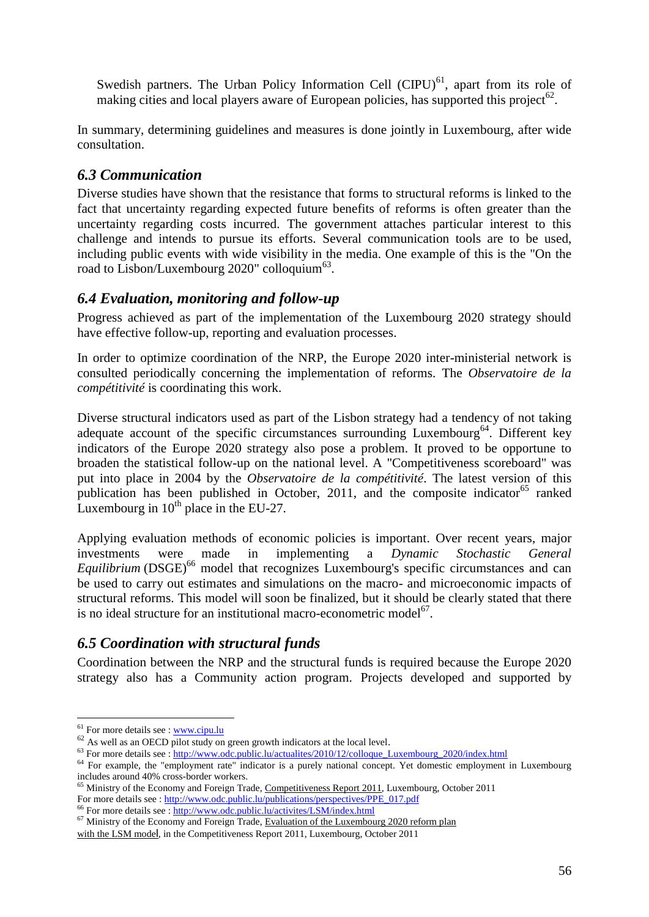Swedish partners. The Urban Policy Information Cell  $(CIPU)^{61}$ , apart from its role of making cities and local players aware of European policies, has supported this project<sup>62</sup>.

In summary, determining guidelines and measures is done jointly in Luxembourg, after wide consultation.

## <span id="page-55-0"></span>*6.3 Communication*

Diverse studies have shown that the resistance that forms to structural reforms is linked to the fact that uncertainty regarding expected future benefits of reforms is often greater than the uncertainty regarding costs incurred. The government attaches particular interest to this challenge and intends to pursue its efforts. Several communication tools are to be used, including public events with wide visibility in the media. One example of this is the "On the road to Lisbon/Luxembourg 2020" colloquium<sup>63</sup>.

## <span id="page-55-1"></span>*6.4 Evaluation, monitoring and follow-up*

Progress achieved as part of the implementation of the Luxembourg 2020 strategy should have effective follow-up, reporting and evaluation processes.

In order to optimize coordination of the NRP, the Europe 2020 inter-ministerial network is consulted periodically concerning the implementation of reforms. The *Observatoire de la compétitivité* is coordinating this work.

Diverse structural indicators used as part of the Lisbon strategy had a tendency of not taking adequate account of the specific circumstances surrounding  $L$ uxembourg<sup>64</sup>. Different key indicators of the Europe 2020 strategy also pose a problem. It proved to be opportune to broaden the statistical follow-up on the national level. A "Competitiveness scoreboard" was put into place in 2004 by the *Observatoire de la compétitivité*. The latest version of this publication has been published in October, 2011, and the composite indicator  $65$  ranked Luxembourg in  $10^{th}$  place in the EU-27.

Applying evaluation methods of economic policies is important. Over recent years, major investments were made in implementing a *Dynamic Stochastic General Equilibrium* (DSGE)<sup>66</sup> model that recognizes Luxembourg's specific circumstances and can be used to carry out estimates and simulations on the macro- and microeconomic impacts of structural reforms. This model will soon be finalized, but it should be clearly stated that there is no ideal structure for an institutional macro-econometric model<sup>67</sup>.

# <span id="page-55-2"></span>*6.5 Coordination with structural funds*

Coordination between the NRP and the structural funds is required because the Europe 2020 strategy also has a Community action program. Projects developed and supported by

 $\overline{a}$ 

<sup>&</sup>lt;sup>61</sup> For more details see : [www.cipu.lu](http://www.cipu.lu/)

 $62$  As well as an OECD pilot study on green growth indicators at the local level.

<sup>&</sup>lt;sup>63</sup> For more details see : http://www.odc.public.lu/actualites/2010/12/colloque\_Luxembourg\_2020/index.html

<sup>&</sup>lt;sup>64</sup> For example, the "employment rate" indicator is a purely national concept. Yet domestic employment in Luxembourg includes around 40% cross-border workers.

<sup>&</sup>lt;sup>65</sup> Ministry of the Economy and Foreign Trade, Competitiveness Report 2011, Luxembourg, October 2011 For more details see [: http://www.odc.public.lu/publications/perspectives/PPE\\_017.pdf](http://www.odc.public.lu/publications/perspectives/PPE_017.pdf)

<sup>&</sup>lt;sup>66</sup> For more details see :<http://www.odc.public.lu/activites/LSM/index.html>

<sup>&</sup>lt;sup>67</sup> Ministry of the Economy and Foreign Trade, Evaluation of the Luxembourg 2020 reform plan

with the LSM model, in the Competitiveness Report 2011, Luxembourg, October 2011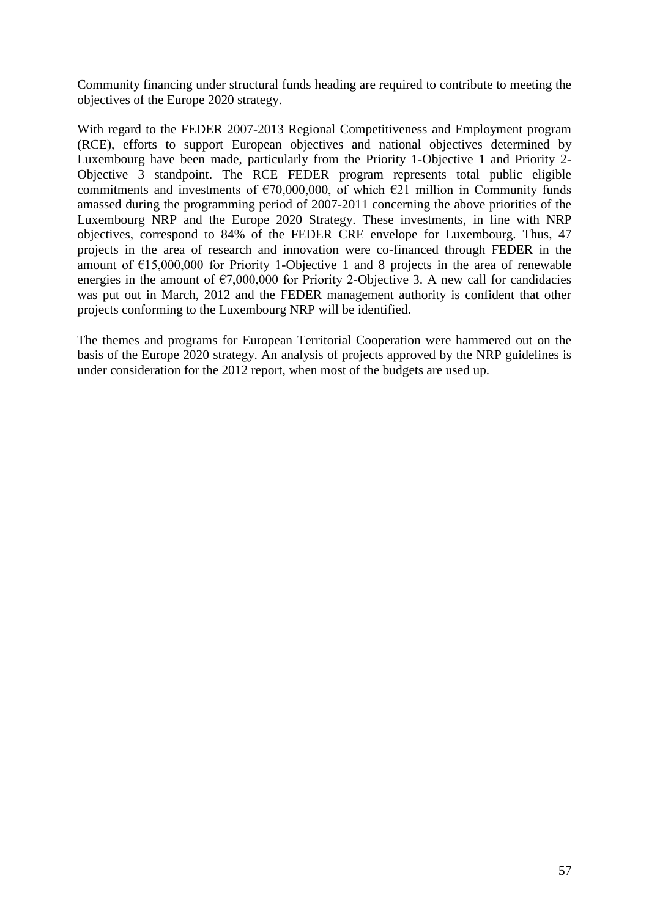Community financing under structural funds heading are required to contribute to meeting the objectives of the Europe 2020 strategy.

With regard to the FEDER 2007-2013 Regional Competitiveness and Employment program (RCE), efforts to support European objectives and national objectives determined by Luxembourg have been made, particularly from the Priority 1-Objective 1 and Priority 2- Objective 3 standpoint. The RCE FEDER program represents total public eligible commitments and investments of  $\epsilon$ 70,000,000, of which  $\epsilon$ 21 million in Community funds amassed during the programming period of 2007-2011 concerning the above priorities of the Luxembourg NRP and the Europe 2020 Strategy. These investments, in line with NRP objectives, correspond to 84% of the FEDER CRE envelope for Luxembourg. Thus, 47 projects in the area of research and innovation were co-financed through FEDER in the amount of  $E15,000,000$  for Priority 1-Objective 1 and 8 projects in the area of renewable energies in the amount of  $\epsilon$ 7,000,000 for Priority 2-Objective 3. A new call for candidacies was put out in March, 2012 and the FEDER management authority is confident that other projects conforming to the Luxembourg NRP will be identified.

The themes and programs for European Territorial Cooperation were hammered out on the basis of the Europe 2020 strategy. An analysis of projects approved by the NRP guidelines is under consideration for the 2012 report, when most of the budgets are used up.